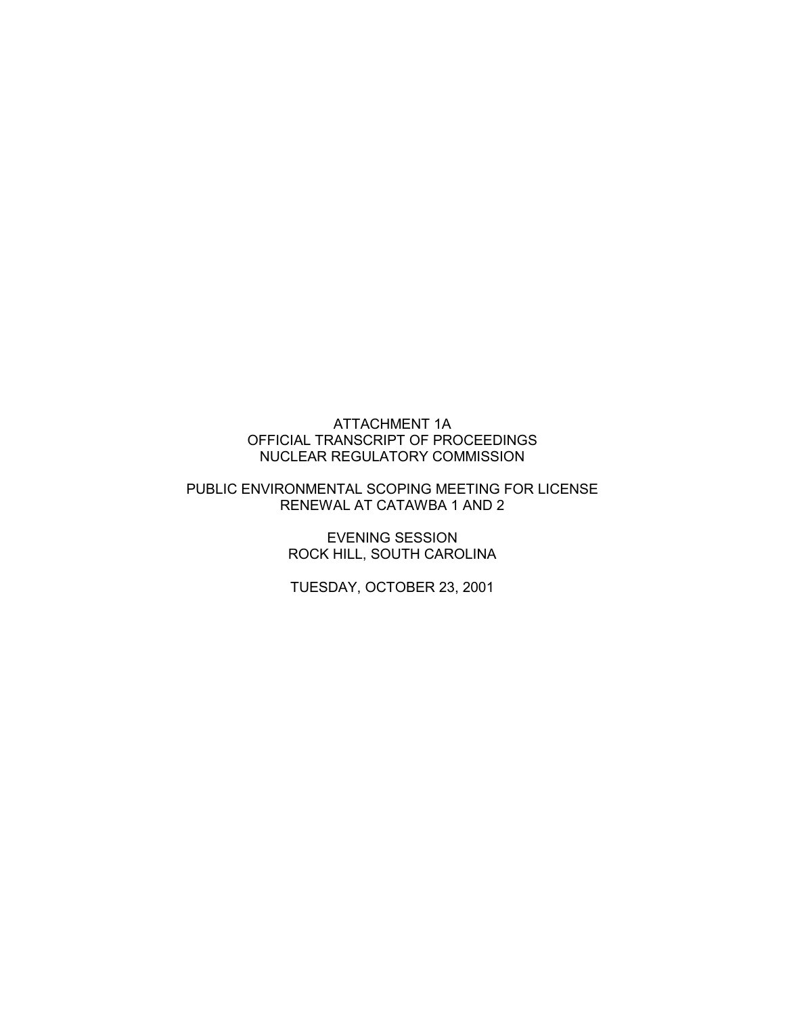## ATTACHMENT 1A OFFICIAL TRANSCRIPT OF PROCEEDINGS NUCLEAR REGULATORY COMMISSION

## PUBLIC ENVIRONMENTAL SCOPING MEETING FOR LICENSE RENEWAL AT CATAWBA 1 AND 2

EVENING SESSION ROCK HILL, SOUTH CAROLINA

TUESDAY, OCTOBER 23, 2001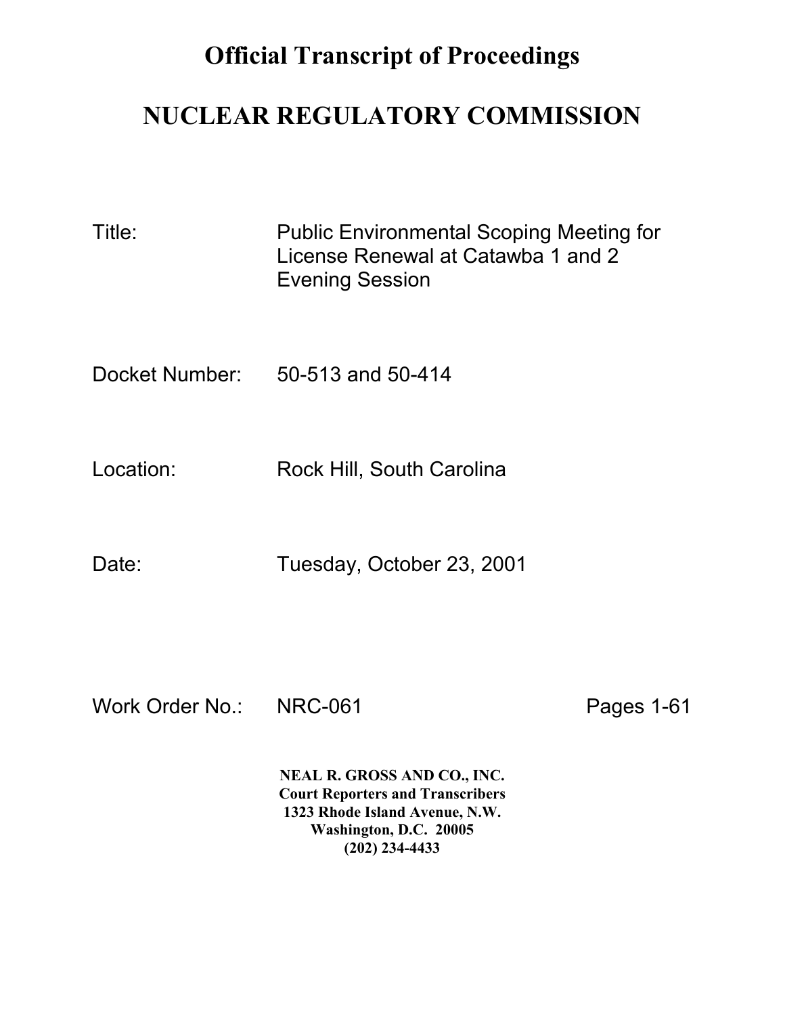## **Official Transcript of Proceedings**

## **NUCLEAR REGULATORY COMMISSION**

| Title:    | <b>Public Environmental Scoping Meeting for</b><br>License Renewal at Catawba 1 and 2<br><b>Evening Session</b> |
|-----------|-----------------------------------------------------------------------------------------------------------------|
|           | Docket Number: 50-513 and 50-414                                                                                |
| Location: | Rock Hill, South Carolina                                                                                       |
| Date:     | Tuesday, October 23, 2001                                                                                       |

Work Order No.: NRC-061 Pages 1-61

**NEAL R. GROSS AND CO., INC. Court Reporters and Transcribers 1323 Rhode Island Avenue, N.W. Washington, D.C. 20005 (202) 234-4433**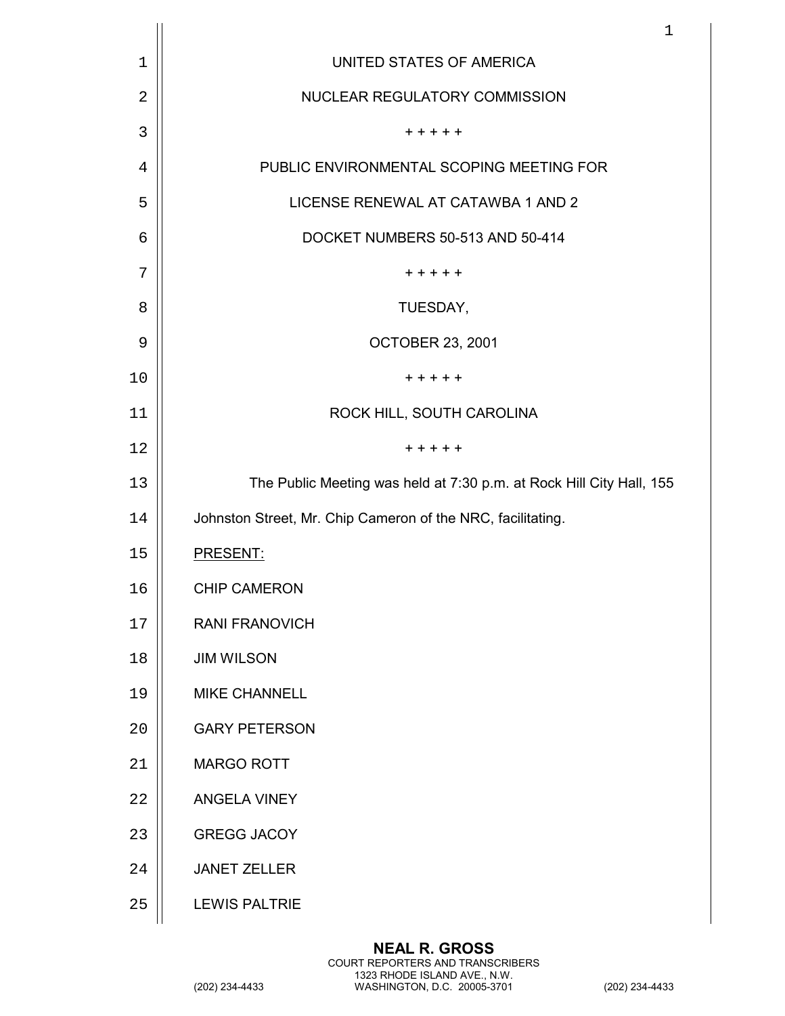|    | $\mathbf 1$                                                          |
|----|----------------------------------------------------------------------|
| 1  | UNITED STATES OF AMERICA                                             |
| 2  | NUCLEAR REGULATORY COMMISSION                                        |
| 3  | + + + + +                                                            |
| 4  | PUBLIC ENVIRONMENTAL SCOPING MEETING FOR                             |
| 5  | LICENSE RENEWAL AT CATAWBA 1 AND 2                                   |
| 6  | DOCKET NUMBERS 50-513 AND 50-414                                     |
| 7  | + + + + +                                                            |
| 8  | TUESDAY,                                                             |
| 9  | <b>OCTOBER 23, 2001</b>                                              |
| 10 | $+ + + + +$                                                          |
| 11 | ROCK HILL, SOUTH CAROLINA                                            |
| 12 | + + + + +                                                            |
| 13 | The Public Meeting was held at 7:30 p.m. at Rock Hill City Hall, 155 |
| 14 | Johnston Street, Mr. Chip Cameron of the NRC, facilitating.          |
| 15 | PRESENT:                                                             |
| 16 | <b>CHIP CAMERON</b>                                                  |
| 17 | <b>RANI FRANOVICH</b>                                                |
| 18 | <b>JIM WILSON</b>                                                    |
| 19 | <b>MIKE CHANNELL</b>                                                 |
| 20 | <b>GARY PETERSON</b>                                                 |
| 21 | <b>MARGO ROTT</b>                                                    |
| 22 | ANGELA VINEY                                                         |
| 23 | <b>GREGG JACOY</b>                                                   |
| 24 | <b>JANET ZELLER</b>                                                  |
| 25 | <b>LEWIS PALTRIE</b>                                                 |
|    |                                                                      |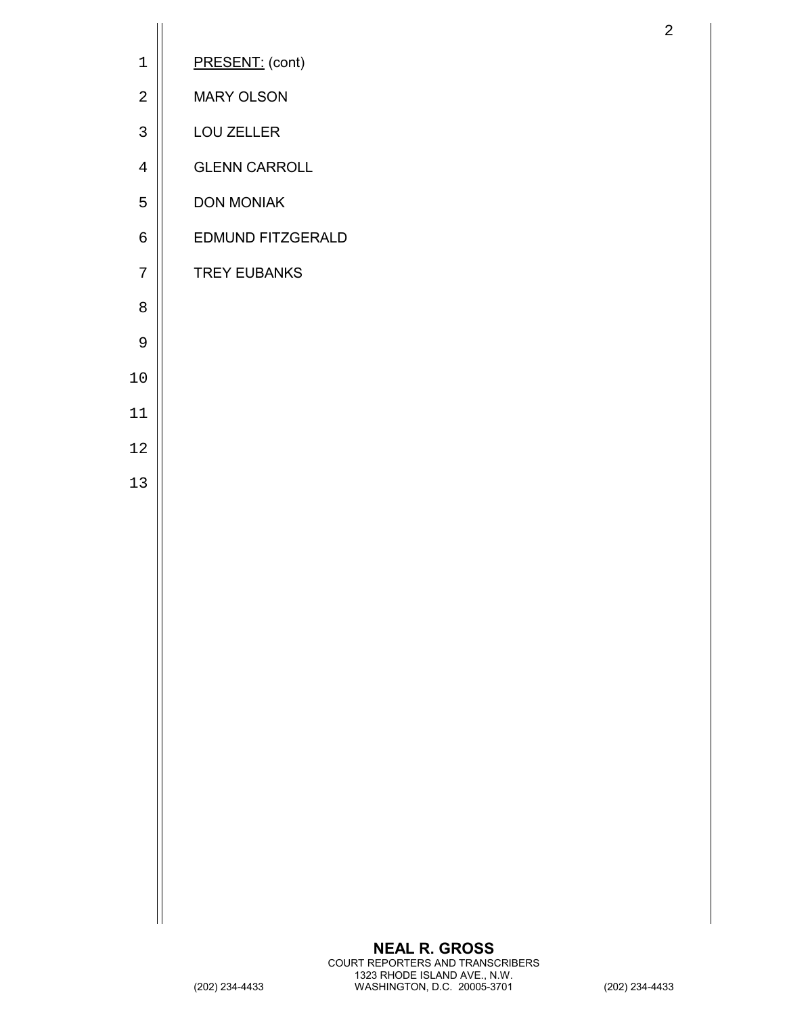| $\mathbf 1$    | PRESENT: (cont)      |
|----------------|----------------------|
| $\overline{2}$ | <b>MARY OLSON</b>    |
| 3              | LOU ZELLER           |
| $\overline{4}$ | <b>GLENN CARROLL</b> |
| 5              | <b>DON MONIAK</b>    |
| 6              | EDMUND FITZGERALD    |
| 7              | <b>TREY EUBANKS</b>  |
| 8              |                      |
| 9              |                      |
| $10$           |                      |
| 11             |                      |
| 12             |                      |
| 13             |                      |
|                |                      |
|                |                      |
|                |                      |
|                |                      |
|                |                      |
|                |                      |
|                |                      |
|                |                      |
|                |                      |
|                |                      |
|                |                      |
|                |                      |
|                | <b>NEAL R. GROSS</b> |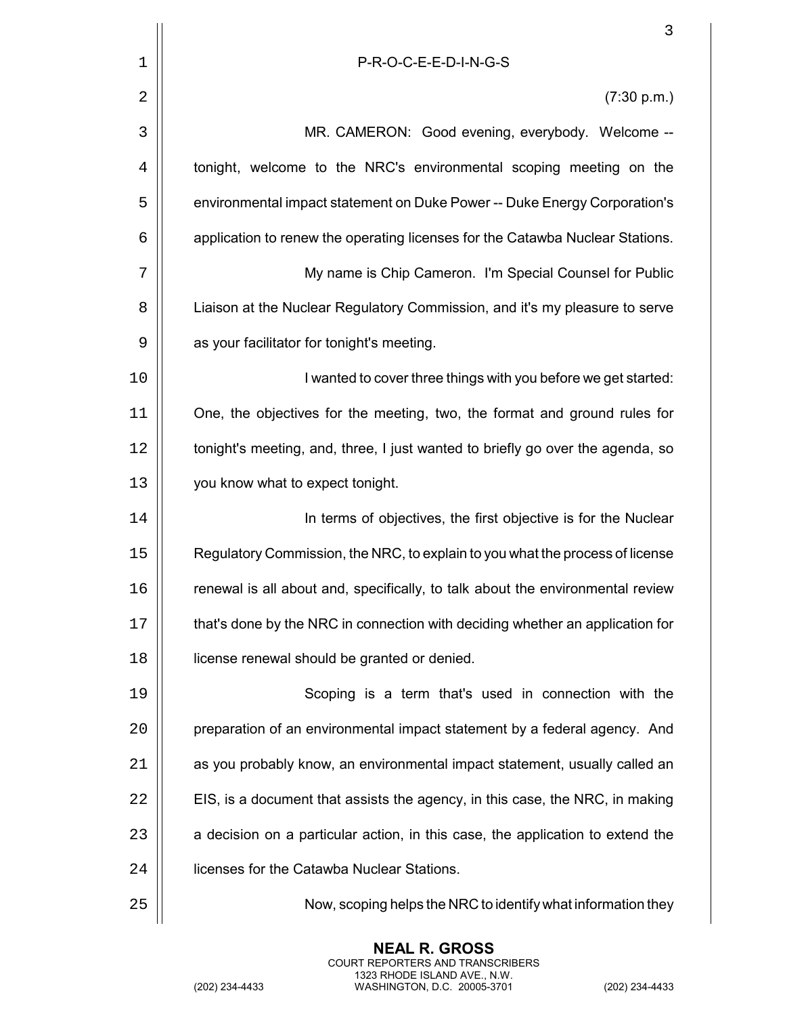|    | 3                                                                              |
|----|--------------------------------------------------------------------------------|
| 1  | P-R-O-C-E-E-D-I-N-G-S                                                          |
| 2  | (7:30 p.m.)                                                                    |
| 3  | MR. CAMERON: Good evening, everybody. Welcome --                               |
| 4  | tonight, welcome to the NRC's environmental scoping meeting on the             |
| 5  | environmental impact statement on Duke Power -- Duke Energy Corporation's      |
| 6  | application to renew the operating licenses for the Catawba Nuclear Stations.  |
| 7  | My name is Chip Cameron. I'm Special Counsel for Public                        |
| 8  | Liaison at the Nuclear Regulatory Commission, and it's my pleasure to serve    |
| 9  | as your facilitator for tonight's meeting.                                     |
| 10 | I wanted to cover three things with you before we get started:                 |
| 11 | One, the objectives for the meeting, two, the format and ground rules for      |
| 12 | tonight's meeting, and, three, I just wanted to briefly go over the agenda, so |
| 13 | you know what to expect tonight.                                               |
| 14 | In terms of objectives, the first objective is for the Nuclear                 |
| 15 | Regulatory Commission, the NRC, to explain to you what the process of license  |
| 16 | renewal is all about and, specifically, to talk about the environmental review |
| 17 | that's done by the NRC in connection with deciding whether an application for  |
| 18 | license renewal should be granted or denied.                                   |
| 19 | Scoping is a term that's used in connection with the                           |
| 20 | preparation of an environmental impact statement by a federal agency. And      |
| 21 | as you probably know, an environmental impact statement, usually called an     |
| 22 | EIS, is a document that assists the agency, in this case, the NRC, in making   |
| 23 | a decision on a particular action, in this case, the application to extend the |
| 24 | licenses for the Catawba Nuclear Stations.                                     |
| 25 | Now, scoping helps the NRC to identify what information they                   |

**NEAL R. GROSS** COURT REPORTERS AND TRANSCRIBERS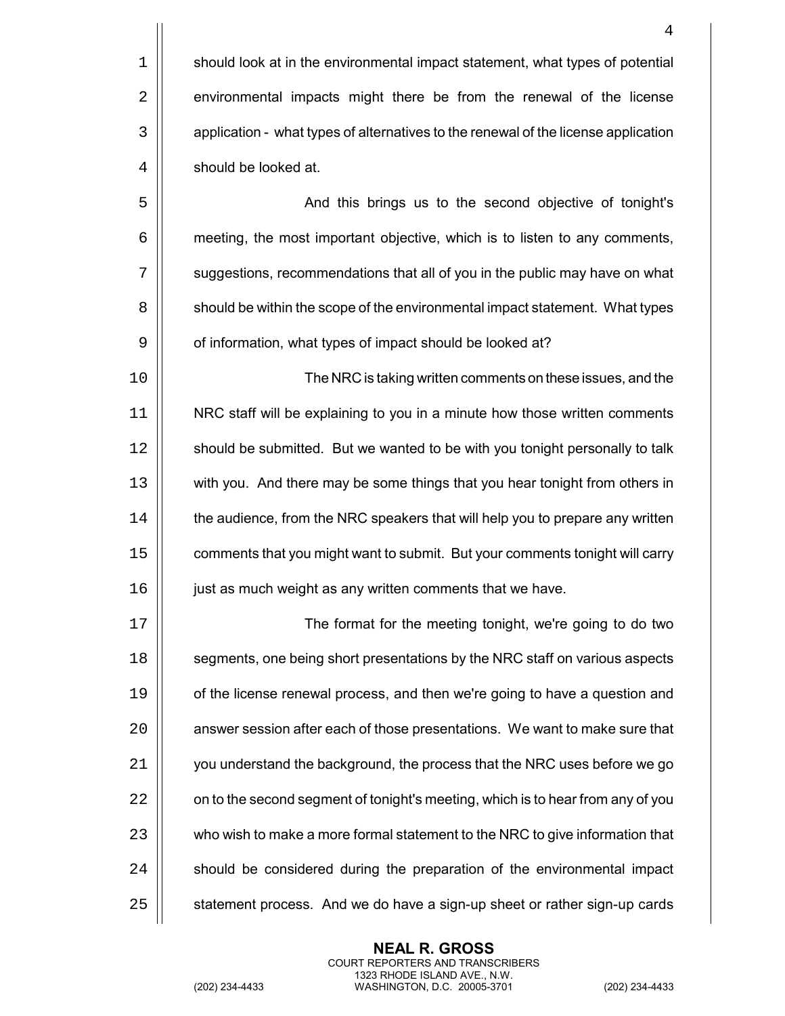$1$   $\parallel$  should look at in the environmental impact statement, what types of potential 2 | environmental impacts might there be from the renewal of the license 3  $\vert$  application - what types of alternatives to the renewal of the license application 4 | should be looked at.

5 And this brings us to the second objective of tonight's 6 meeting, the most important objective, which is to listen to any comments, 7  $\vert\vert$  suggestions, recommendations that all of you in the public may have on what 8 | should be within the scope of the environmental impact statement. What types 9 | of information, what types of impact should be looked at?

 The NRC is taking written comments on these issues, and the NRC staff will be explaining to you in a minute how those written comments 12 | should be submitted. But we wanted to be with you tonight personally to talk with you. And there may be some things that you hear tonight from others in  $\parallel$  the audience, from the NRC speakers that will help you to prepare any written  $\vert\vert$  comments that you might want to submit. But your comments tonight will carry 16 | just as much weight as any written comments that we have.

17 || **The format for the meeting tonight, we're going to do two** 18 **Solut** segments, one being short presentations by the NRC staff on various aspects 19  $\parallel$  of the license renewal process, and then we're going to have a question and 20 | answer session after each of those presentations. We want to make sure that 21 | vou understand the background, the process that the NRC uses before we go 22  $\vert$  on to the second segment of tonight's meeting, which is to hear from any of you 23 | who wish to make a more formal statement to the NRC to give information that  $24$   $\parallel$  should be considered during the preparation of the environmental impact  $25$   $\parallel$  statement process. And we do have a sign-up sheet or rather sign-up cards

> **NEAL R. GROSS** COURT REPORTERS AND TRANSCRIBERS 1323 RHODE ISLAND AVE., N.W.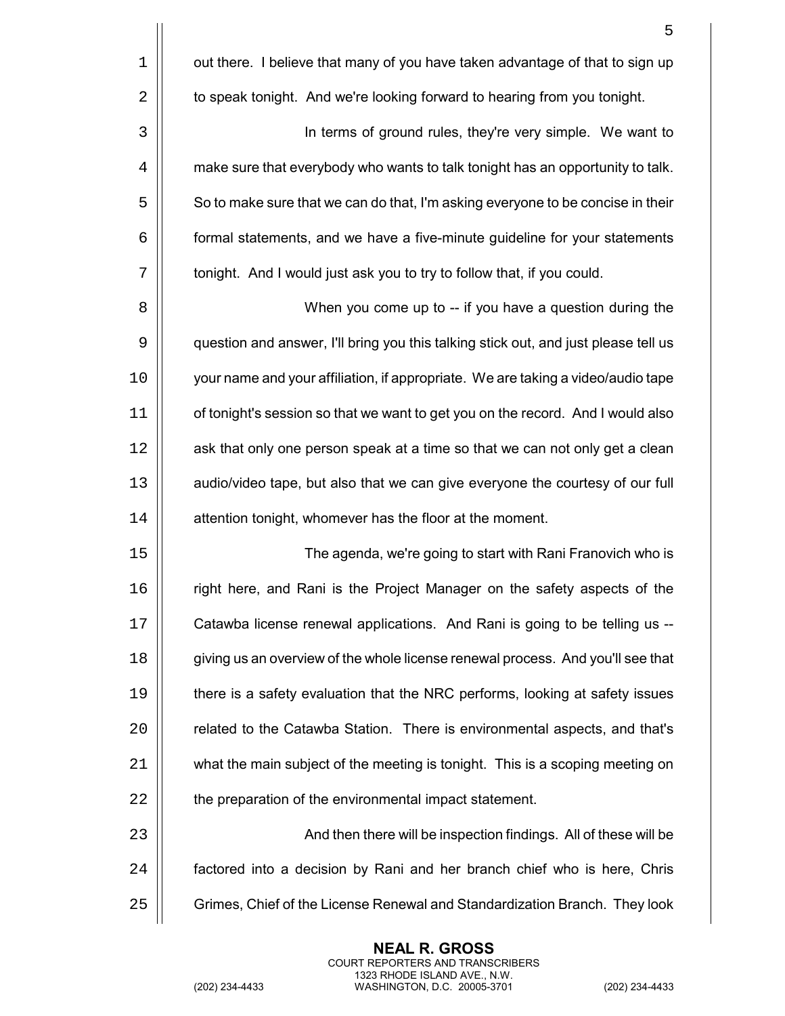|    | 5                                                                                   |
|----|-------------------------------------------------------------------------------------|
| 1  | out there. I believe that many of you have taken advantage of that to sign up       |
| 2  | to speak tonight. And we're looking forward to hearing from you tonight.            |
| 3  | In terms of ground rules, they're very simple. We want to                           |
| 4  | make sure that everybody who wants to talk tonight has an opportunity to talk.      |
| 5  | So to make sure that we can do that, I'm asking everyone to be concise in their     |
| 6  | formal statements, and we have a five-minute guideline for your statements          |
| 7  | tonight. And I would just ask you to try to follow that, if you could.              |
| 8  | When you come up to -- if you have a question during the                            |
| 9  | question and answer, I'll bring you this talking stick out, and just please tell us |
| 10 | your name and your affiliation, if appropriate. We are taking a video/audio tape    |
| 11 | of tonight's session so that we want to get you on the record. And I would also     |
| 12 | ask that only one person speak at a time so that we can not only get a clean        |
| 13 | audio/video tape, but also that we can give everyone the courtesy of our full       |
| 14 | attention tonight, whomever has the floor at the moment.                            |
| 15 | The agenda, we're going to start with Rani Franovich who is                         |
| 16 | right here, and Rani is the Project Manager on the safety aspects of the            |
| 17 | Catawba license renewal applications. And Rani is going to be telling us --         |
| 18 | giving us an overview of the whole license renewal process. And you'll see that     |
| 19 | there is a safety evaluation that the NRC performs, looking at safety issues        |
| 20 | related to the Catawba Station. There is environmental aspects, and that's          |
| 21 | what the main subject of the meeting is tonight. This is a scoping meeting on       |
| 22 | the preparation of the environmental impact statement.                              |
| 23 | And then there will be inspection findings. All of these will be                    |
| 24 | factored into a decision by Rani and her branch chief who is here, Chris            |
| 25 | Grimes, Chief of the License Renewal and Standardization Branch. They look          |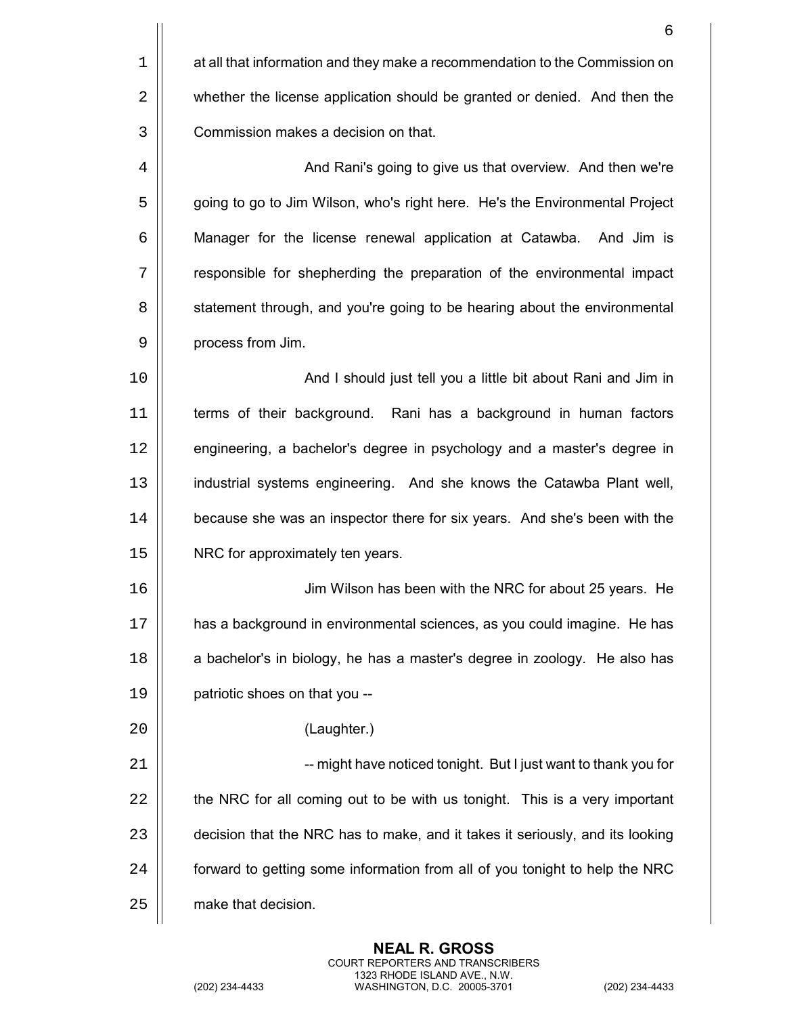|    | 6                                                                             |
|----|-------------------------------------------------------------------------------|
| 1  | at all that information and they make a recommendation to the Commission on   |
| 2  | whether the license application should be granted or denied. And then the     |
| 3  | Commission makes a decision on that.                                          |
| 4  | And Rani's going to give us that overview. And then we're                     |
| 5  | going to go to Jim Wilson, who's right here. He's the Environmental Project   |
| 6  | Manager for the license renewal application at Catawba. And Jim is            |
| 7  | responsible for shepherding the preparation of the environmental impact       |
| 8  | statement through, and you're going to be hearing about the environmental     |
| 9  | process from Jim.                                                             |
| 10 | And I should just tell you a little bit about Rani and Jim in                 |
| 11 | terms of their background. Rani has a background in human factors             |
| 12 | engineering, a bachelor's degree in psychology and a master's degree in       |
| 13 | industrial systems engineering. And she knows the Catawba Plant well,         |
| 14 | because she was an inspector there for six years. And she's been with the     |
| 15 | NRC for approximately ten years.                                              |
| 16 | Jim Wilson has been with the NRC for about 25 years. He                       |
| 17 | has a background in environmental sciences, as you could imagine. He has      |
| 18 | a bachelor's in biology, he has a master's degree in zoology. He also has     |
| 19 | patriotic shoes on that you --                                                |
| 20 | (Laughter.)                                                                   |
| 21 | -- might have noticed tonight. But I just want to thank you for               |
| 22 | the NRC for all coming out to be with us tonight. This is a very important    |
| 23 | decision that the NRC has to make, and it takes it seriously, and its looking |
| 24 | forward to getting some information from all of you tonight to help the NRC   |
| 25 | make that decision.                                                           |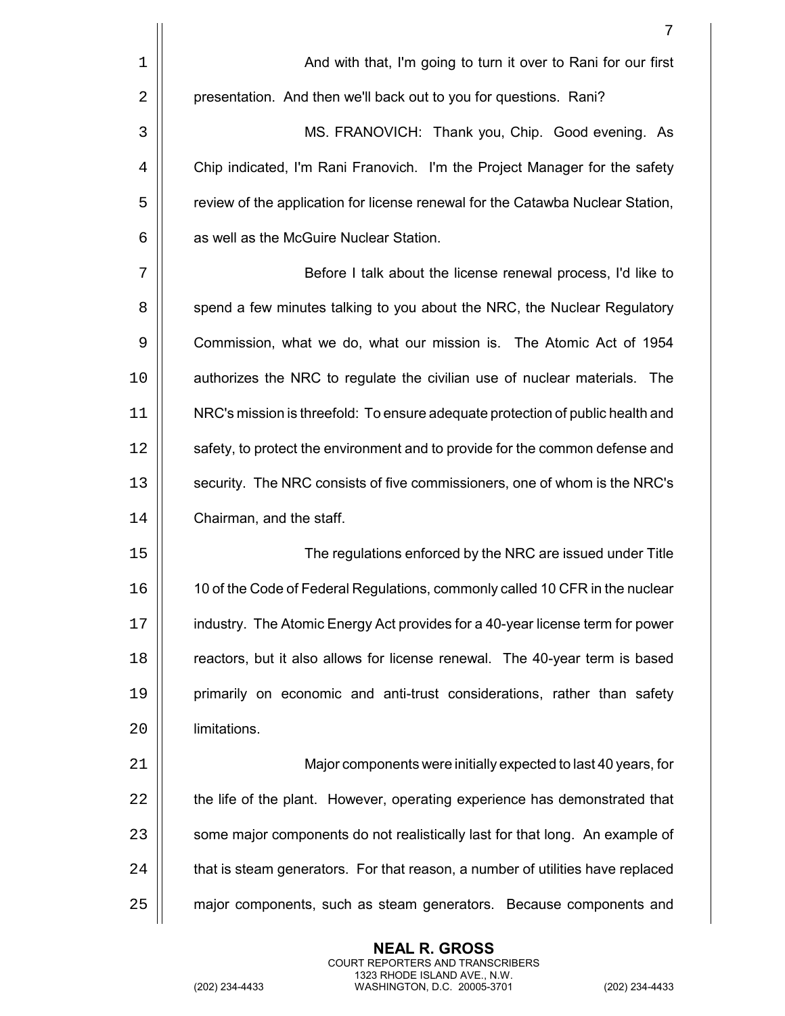7

 MS. FRANOVICH: Thank you, Chip. Good evening. As 4 | Chip indicated, I'm Rani Franovich. I'm the Project Manager for the safety **Fig. 2.** Feview of the application for license renewal for the Catawba Nuclear Station, **1** as well as the McGuire Nuclear Station.

7 || Before I talk about the license renewal process, I'd like to 8 | spend a few minutes talking to you about the NRC, the Nuclear Regulatory 9 | Commission, what we do, what our mission is. The Atomic Act of 1954 10 authorizes the NRC to regulate the civilian use of nuclear materials. The 11 NRC's mission is threefold: To ensure adequate protection of public health and 12 | safety, to protect the environment and to provide for the common defense and 13 | security. The NRC consists of five commissioners, one of whom is the NRC's 14 | Chairman, and the staff.

15 | Consequent The regulations enforced by the NRC are issued under Title 10 of the Code of Federal Regulations, commonly called 10 CFR in the nuclear 17 | industry. The Atomic Energy Act provides for a 40-year license term for power **Fig.** reactors, but it also allows for license renewal. The 40-year term is based primarily on economic and anti-trust considerations, rather than safety limitations.

21 Major components were initially expected to last 40 years, for 22 | the life of the plant. However, operating experience has demonstrated that 23 | some major components do not realistically last for that long. An example of  $24$   $\parallel$  that is steam generators. For that reason, a number of utilities have replaced 25 | major components, such as steam generators. Because components and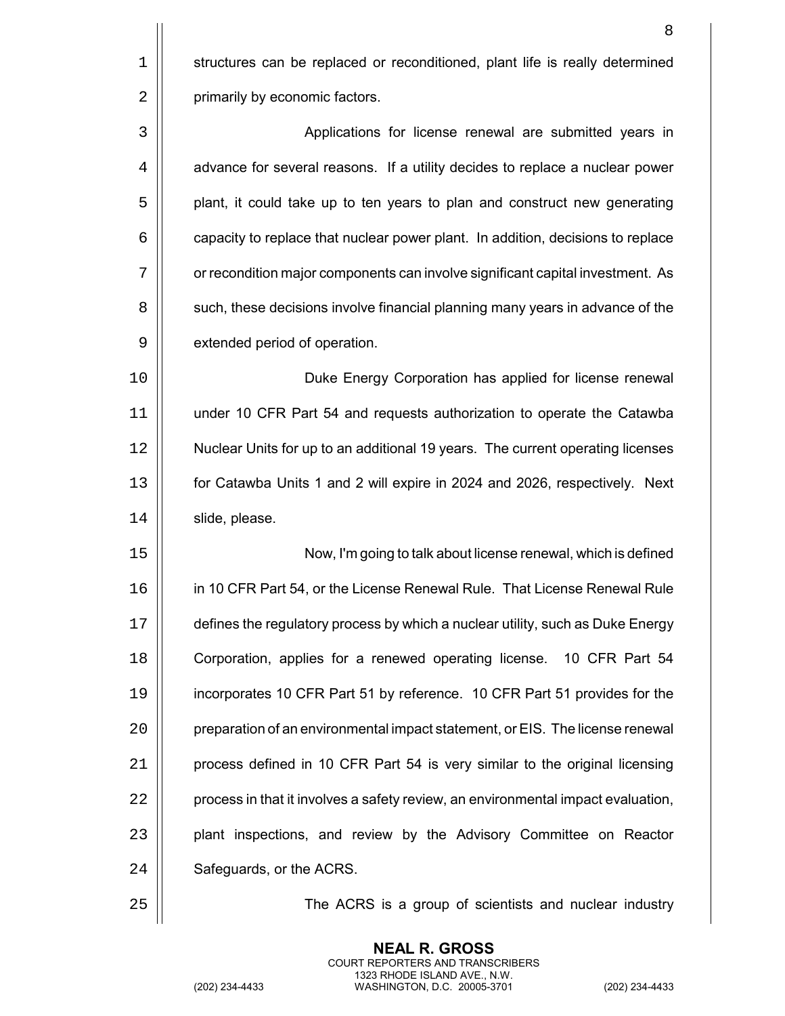|             | 8                                                                                |
|-------------|----------------------------------------------------------------------------------|
| $\mathbf 1$ | structures can be replaced or reconditioned, plant life is really determined     |
| 2           | primarily by economic factors.                                                   |
| 3           | Applications for license renewal are submitted years in                          |
| 4           | advance for several reasons. If a utility decides to replace a nuclear power     |
| 5           | plant, it could take up to ten years to plan and construct new generating        |
| 6           | capacity to replace that nuclear power plant. In addition, decisions to replace  |
| 7           | or recondition major components can involve significant capital investment. As   |
| 8           | such, these decisions involve financial planning many years in advance of the    |
| 9           | extended period of operation.                                                    |
| 10          | Duke Energy Corporation has applied for license renewal                          |
| 11          | under 10 CFR Part 54 and requests authorization to operate the Catawba           |
| 12          | Nuclear Units for up to an additional 19 years. The current operating licenses   |
| 13          | for Catawba Units 1 and 2 will expire in 2024 and 2026, respectively. Next       |
| 14          | slide, please.                                                                   |
| 15          | Now, I'm going to talk about license renewal, which is defined                   |
| 16          | in 10 CFR Part 54, or the License Renewal Rule. That License Renewal Rule        |
| 17          | defines the regulatory process by which a nuclear utility, such as Duke Energy   |
| 18          | Corporation, applies for a renewed operating license. 10 CFR Part 54             |
| 19          | incorporates 10 CFR Part 51 by reference. 10 CFR Part 51 provides for the        |
| 20          | preparation of an environmental impact statement, or EIS. The license renewal    |
| 21          | process defined in 10 CFR Part 54 is very similar to the original licensing      |
| 22          | process in that it involves a safety review, an environmental impact evaluation, |
| 23          | plant inspections, and review by the Advisory Committee on Reactor               |
| 24          | Safeguards, or the ACRS.                                                         |
| 25          | The ACRS is a group of scientists and nuclear industry                           |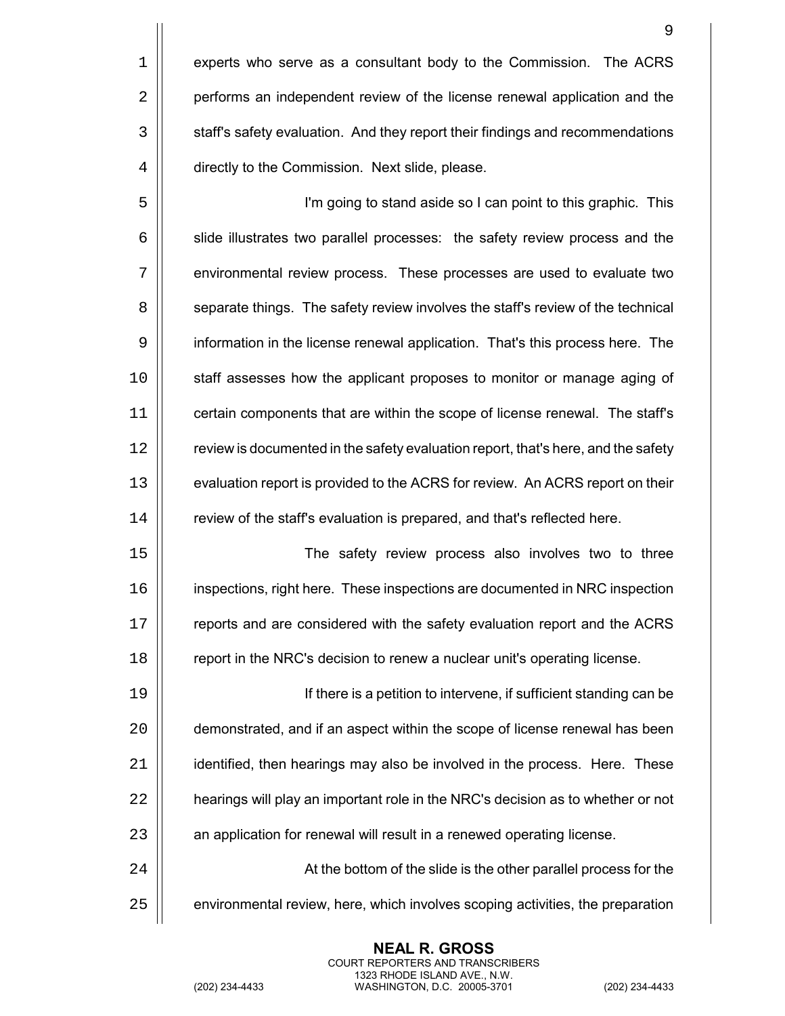5 I'm going to stand aside so I can point to this graphic. This  $6$   $\vert$  slide illustrates two parallel processes: the safety review process and the 7 environmental review process. These processes are used to evaluate two 8  $\vert\vert$  separate things. The safety review involves the staff's review of the technical 9 information in the license renewal application. That's this process here. The 10 | staff assesses how the applicant proposes to monitor or manage aging of 11 | certain components that are within the scope of license renewal. The staff's 12 | review is documented in the safety evaluation report, that's here, and the safety 13 | evaluation report is provided to the ACRS for review. An ACRS report on their 14 | review of the staff's evaluation is prepared, and that's reflected here.

 The safety review process also involves two to three inspections, right here. These inspections are documented in NRC inspection 17 | reports and are considered with the safety evaluation report and the ACRS **Fig.** report in the NRC's decision to renew a nuclear unit's operating license.

 If there is a petition to intervene, if sufficient standing can be  $\vert$  demonstrated, and if an aspect within the scope of license renewal has been | identified, then hearings may also be involved in the process. Here. These  $\parallel$  hearings will play an important role in the NRC's decision as to whether or not 23 | an application for renewal will result in a renewed operating license. 24 |  $\vert$  **At the bottom of the slide is the other parallel process for the** 

 $25$   $\parallel$  environmental review, here, which involves scoping activities, the preparation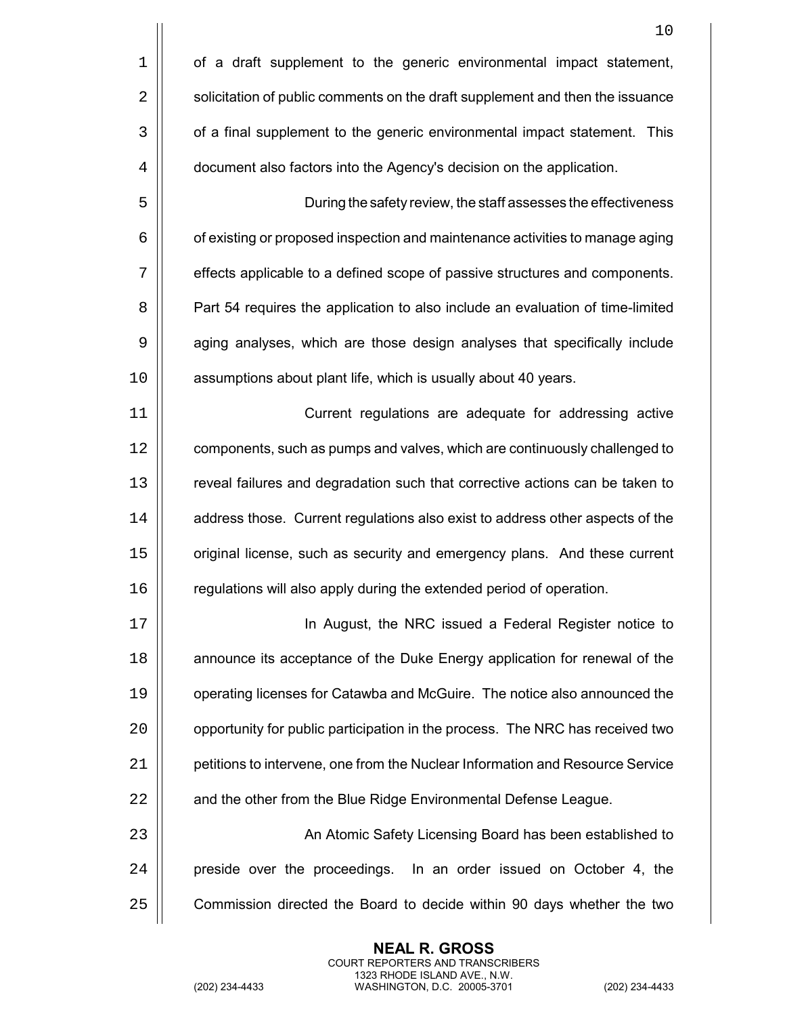|    | 10                                                                             |
|----|--------------------------------------------------------------------------------|
| 1  | of a draft supplement to the generic environmental impact statement,           |
| 2  | solicitation of public comments on the draft supplement and then the issuance  |
| 3  | of a final supplement to the generic environmental impact statement. This      |
| 4  | document also factors into the Agency's decision on the application.           |
| 5  | During the safety review, the staff assesses the effectiveness                 |
| 6  | of existing or proposed inspection and maintenance activities to manage aging  |
| 7  | effects applicable to a defined scope of passive structures and components.    |
| 8  | Part 54 requires the application to also include an evaluation of time-limited |
| 9  | aging analyses, which are those design analyses that specifically include      |
| 10 | assumptions about plant life, which is usually about 40 years.                 |
| 11 | Current regulations are adequate for addressing active                         |
| 12 | components, such as pumps and valves, which are continuously challenged to     |
| 13 | reveal failures and degradation such that corrective actions can be taken to   |
| 14 | address those. Current regulations also exist to address other aspects of the  |
| 15 | original license, such as security and emergency plans. And these current      |
| 16 | regulations will also apply during the extended period of operation.           |
| 17 | In August, the NRC issued a Federal Register notice to                         |
| 18 | announce its acceptance of the Duke Energy application for renewal of the      |
| 19 | operating licenses for Catawba and McGuire. The notice also announced the      |
| 20 | opportunity for public participation in the process. The NRC has received two  |
| 21 | petitions to intervene, one from the Nuclear Information and Resource Service  |
| 22 | and the other from the Blue Ridge Environmental Defense League.                |
| 23 | An Atomic Safety Licensing Board has been established to                       |
| 24 | preside over the proceedings. In an order issued on October 4, the             |
| 25 | Commission directed the Board to decide within 90 days whether the two         |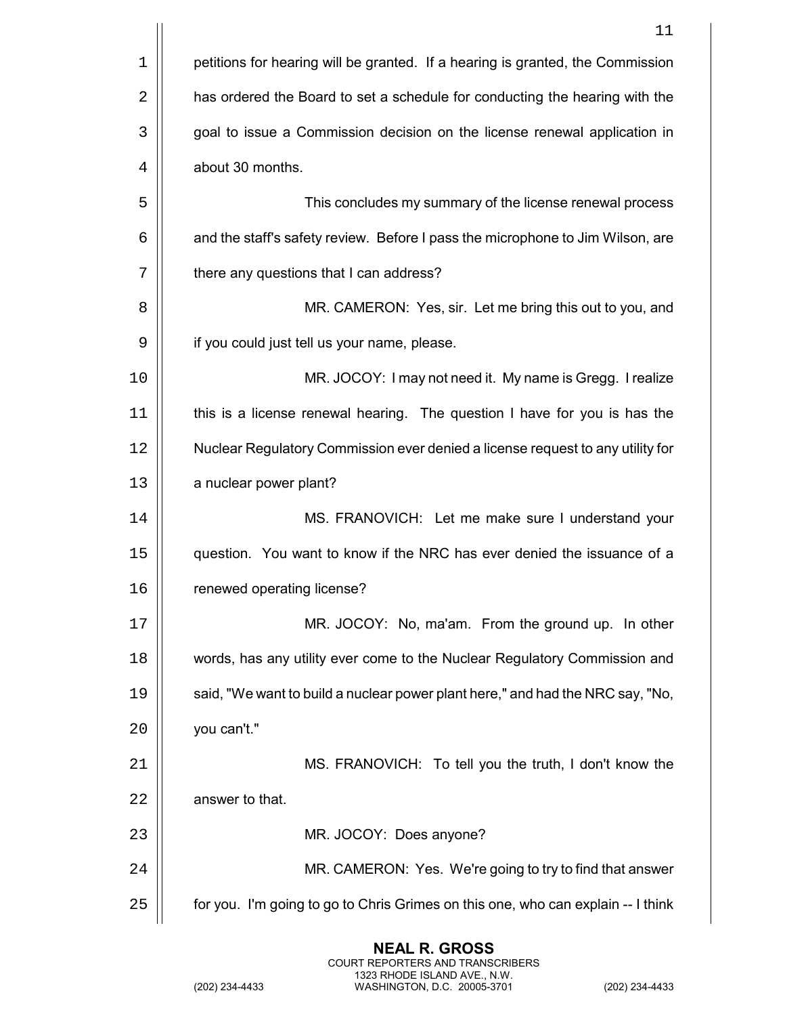|    | 11                                                                               |
|----|----------------------------------------------------------------------------------|
| 1  | petitions for hearing will be granted. If a hearing is granted, the Commission   |
| 2  | has ordered the Board to set a schedule for conducting the hearing with the      |
| 3  | goal to issue a Commission decision on the license renewal application in        |
| 4  | about 30 months.                                                                 |
| 5  | This concludes my summary of the license renewal process                         |
| 6  | and the staff's safety review. Before I pass the microphone to Jim Wilson, are   |
| 7  | there any questions that I can address?                                          |
| 8  | MR. CAMERON: Yes, sir. Let me bring this out to you, and                         |
| 9  | if you could just tell us your name, please.                                     |
| 10 | MR. JOCOY: I may not need it. My name is Gregg. I realize                        |
| 11 | this is a license renewal hearing. The question I have for you is has the        |
| 12 | Nuclear Regulatory Commission ever denied a license request to any utility for   |
| 13 | a nuclear power plant?                                                           |
| 14 | MS. FRANOVICH: Let me make sure I understand your                                |
| 15 | question. You want to know if the NRC has ever denied the issuance of a          |
| 16 | renewed operating license?                                                       |
| 17 | MR. JOCOY: No, ma'am. From the ground up. In other                               |
| 18 | words, has any utility ever come to the Nuclear Regulatory Commission and        |
| 19 | said, "We want to build a nuclear power plant here," and had the NRC say, "No,   |
| 20 | you can't."                                                                      |
| 21 | MS. FRANOVICH: To tell you the truth, I don't know the                           |
| 22 | answer to that.                                                                  |
| 23 | MR. JOCOY: Does anyone?                                                          |
| 24 | MR. CAMERON: Yes. We're going to try to find that answer                         |
| 25 | for you. I'm going to go to Chris Grimes on this one, who can explain -- I think |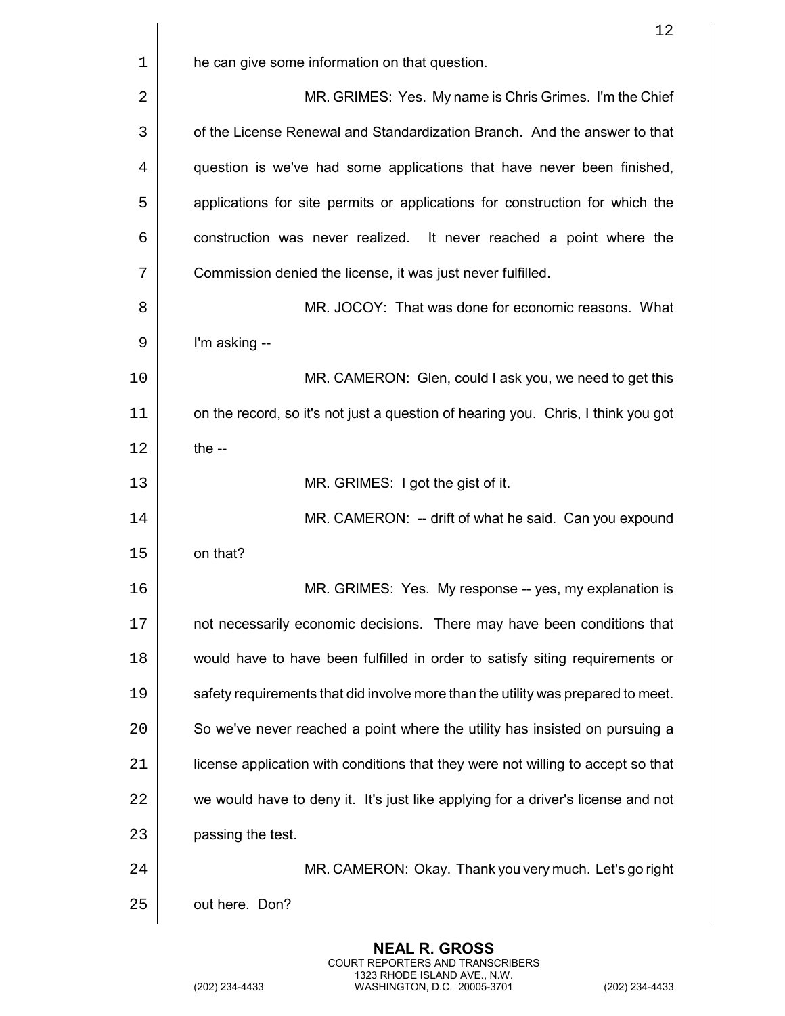| 12                                                                                |
|-----------------------------------------------------------------------------------|
| he can give some information on that question.                                    |
| MR. GRIMES: Yes. My name is Chris Grimes. I'm the Chief                           |
| of the License Renewal and Standardization Branch. And the answer to that         |
| question is we've had some applications that have never been finished,            |
| applications for site permits or applications for construction for which the      |
| construction was never realized. It never reached a point where the               |
| Commission denied the license, it was just never fulfilled.                       |
| MR. JOCOY: That was done for economic reasons. What                               |
| I'm asking --                                                                     |
| MR. CAMERON: Glen, could I ask you, we need to get this                           |
| on the record, so it's not just a question of hearing you. Chris, I think you got |
| the $-$                                                                           |
| MR. GRIMES: I got the gist of it.                                                 |
| MR. CAMERON: -- drift of what he said. Can you expound                            |
| on that?                                                                          |
| MR. GRIMES: Yes. My response -- yes, my explanation is                            |
| not necessarily economic decisions. There may have been conditions that           |
| would have to have been fulfilled in order to satisfy siting requirements or      |
| safety requirements that did involve more than the utility was prepared to meet.  |
| So we've never reached a point where the utility has insisted on pursuing a       |
| license application with conditions that they were not willing to accept so that  |
| we would have to deny it. It's just like applying for a driver's license and not  |
| passing the test.                                                                 |
| MR. CAMERON: Okay. Thank you very much. Let's go right                            |
| out here. Don?                                                                    |
|                                                                                   |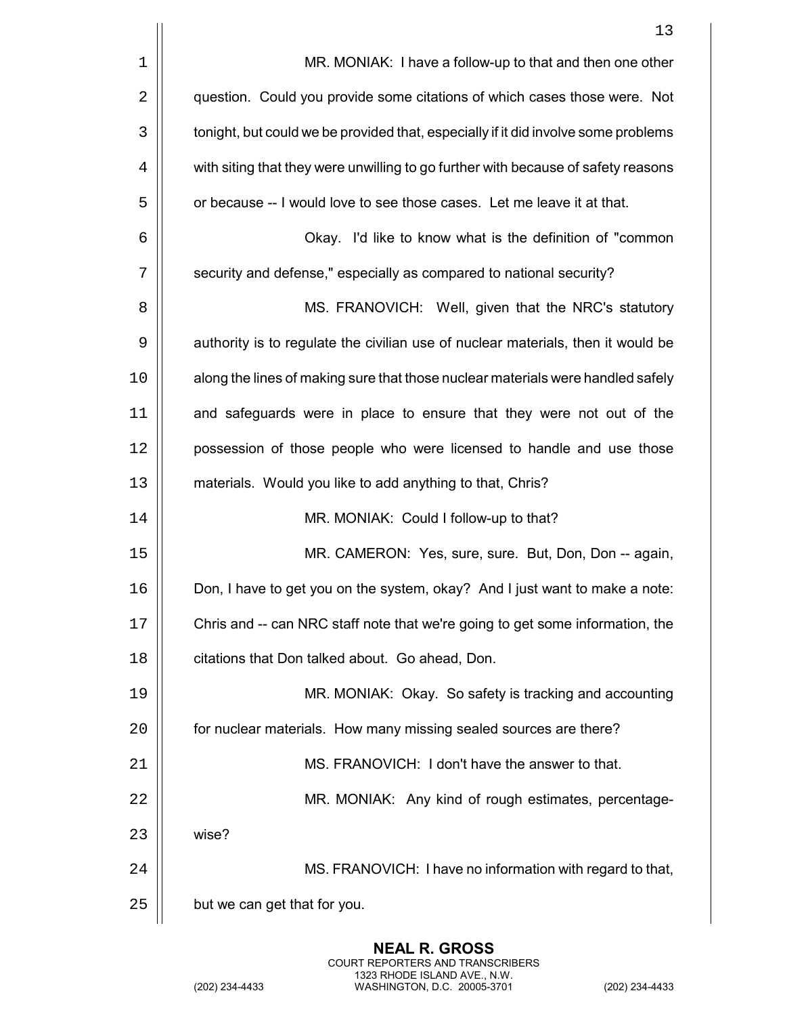|    | 13                                                                                 |
|----|------------------------------------------------------------------------------------|
| 1  | MR. MONIAK: I have a follow-up to that and then one other                          |
| 2  | question. Could you provide some citations of which cases those were. Not          |
| 3  | tonight, but could we be provided that, especially if it did involve some problems |
| 4  | with siting that they were unwilling to go further with because of safety reasons  |
| 5  | or because -- I would love to see those cases. Let me leave it at that.            |
| 6  | Okay. I'd like to know what is the definition of "common"                          |
| 7  | security and defense," especially as compared to national security?                |
| 8  | MS. FRANOVICH: Well, given that the NRC's statutory                                |
| 9  | authority is to regulate the civilian use of nuclear materials, then it would be   |
| 10 | along the lines of making sure that those nuclear materials were handled safely    |
| 11 | and safeguards were in place to ensure that they were not out of the               |
| 12 | possession of those people who were licensed to handle and use those               |
| 13 | materials. Would you like to add anything to that, Chris?                          |
| 14 | MR. MONIAK: Could I follow-up to that?                                             |
| 15 | MR. CAMERON: Yes, sure, sure. But, Don, Don -- again,                              |
| 16 | Don, I have to get you on the system, okay? And I just want to make a note:        |
| 17 | Chris and -- can NRC staff note that we're going to get some information, the      |
| 18 | citations that Don talked about. Go ahead, Don.                                    |
| 19 | MR. MONIAK: Okay. So safety is tracking and accounting                             |
| 20 | for nuclear materials. How many missing sealed sources are there?                  |
| 21 | MS. FRANOVICH: I don't have the answer to that.                                    |
| 22 | MR. MONIAK: Any kind of rough estimates, percentage-                               |
| 23 | wise?                                                                              |
| 24 | MS. FRANOVICH: I have no information with regard to that,                          |
| 25 | but we can get that for you.                                                       |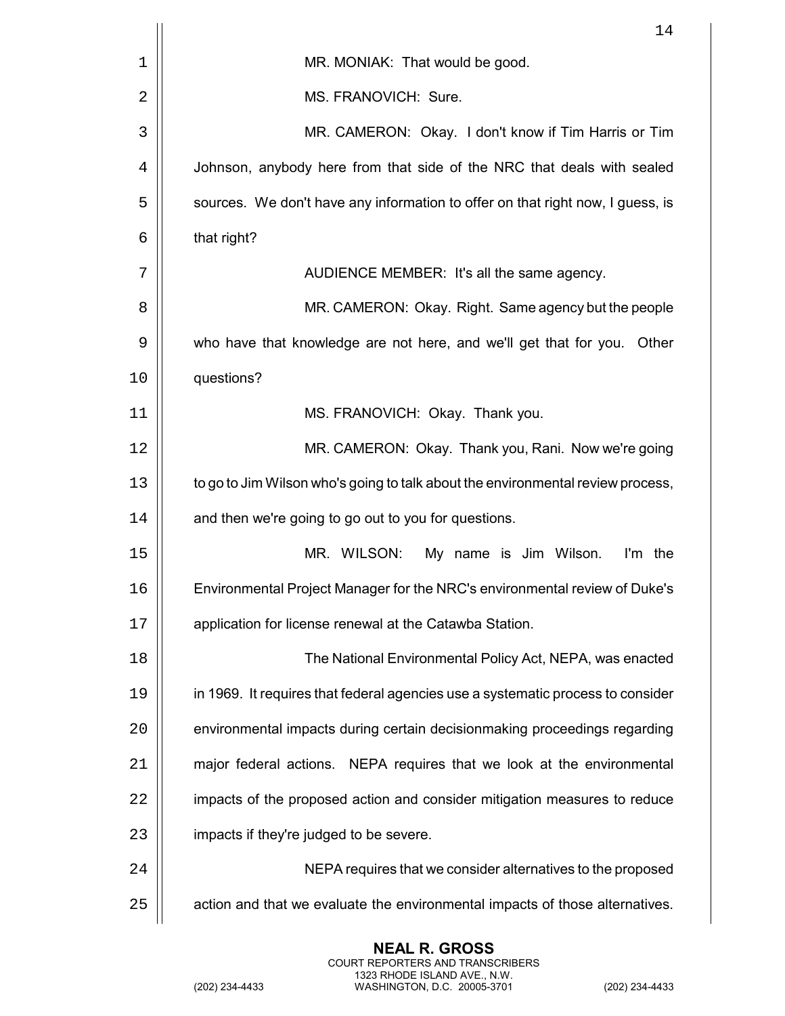|    | 14                                                                              |
|----|---------------------------------------------------------------------------------|
| 1  | MR. MONIAK: That would be good.                                                 |
| 2  | MS. FRANOVICH: Sure.                                                            |
| 3  | MR. CAMERON: Okay. I don't know if Tim Harris or Tim                            |
| 4  | Johnson, anybody here from that side of the NRC that deals with sealed          |
| 5  | sources. We don't have any information to offer on that right now, I guess, is  |
| 6  | that right?                                                                     |
| 7  | AUDIENCE MEMBER: It's all the same agency.                                      |
| 8  | MR. CAMERON: Okay. Right. Same agency but the people                            |
| 9  | who have that knowledge are not here, and we'll get that for you.<br>Other      |
| 10 | questions?                                                                      |
| 11 | MS. FRANOVICH: Okay. Thank you.                                                 |
| 12 | MR. CAMERON: Okay. Thank you, Rani. Now we're going                             |
| 13 | to go to Jim Wilson who's going to talk about the environmental review process, |
| 14 | and then we're going to go out to you for questions.                            |
| 15 | MR. WILSON:<br>My name is Jim Wilson.<br>I'm the                                |
| 16 | Environmental Project Manager for the NRC's environmental review of Duke's      |
| 17 | application for license renewal at the Catawba Station.                         |
| 18 | The National Environmental Policy Act, NEPA, was enacted                        |
| 19 | in 1969. It requires that federal agencies use a systematic process to consider |
| 20 | environmental impacts during certain decisionmaking proceedings regarding       |
| 21 | major federal actions. NEPA requires that we look at the environmental          |
| 22 | impacts of the proposed action and consider mitigation measures to reduce       |
| 23 | impacts if they're judged to be severe.                                         |
| 24 | NEPA requires that we consider alternatives to the proposed                     |
| 25 | action and that we evaluate the environmental impacts of those alternatives.    |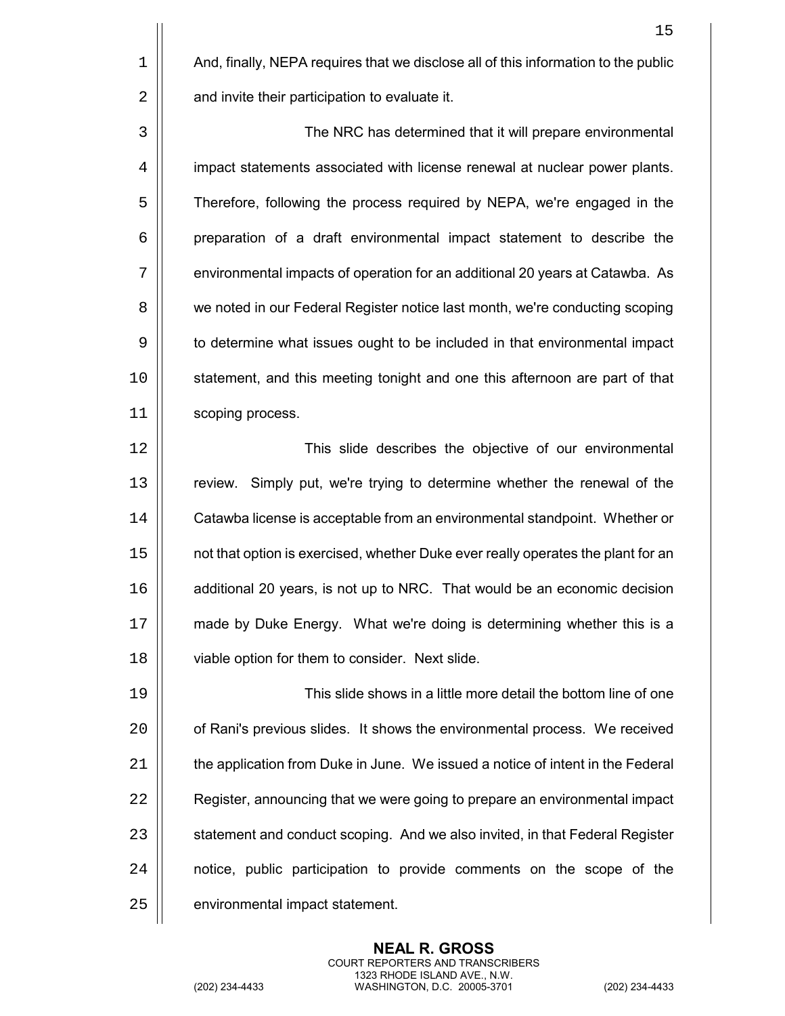$1$  |  $\blacksquare$  And, finally, NEPA requires that we disclose all of this information to the public  $2 \parallel$  and invite their participation to evaluate it.

3 The NRC has determined that it will prepare environmental 4 | impact statements associated with license renewal at nuclear power plants. 5  $\vert$  Therefore, following the process required by NEPA, we're engaged in the  $6$  | preparation of a draft environmental impact statement to describe the 7 | environmental impacts of operation for an additional 20 years at Catawba. As 8 | we noted in our Federal Register notice last month, we're conducting scoping 9  $\vert\vert$  to determine what issues ought to be included in that environmental impact 10 | statement, and this meeting tonight and one this afternoon are part of that 11 | scoping process.

12 This slide describes the objective of our environmental 13 | review. Simply put, we're trying to determine whether the renewal of the 14 | Catawba license is acceptable from an environmental standpoint. Whether or 15  $\vert\vert$  not that option is exercised, whether Duke ever really operates the plant for an 16 **d** additional 20 years, is not up to NRC. That would be an economic decision 17 | made by Duke Energy. What we're doing is determining whether this is a 18 | viable option for them to consider. Next slide.

19 This slide shows in a little more detail the bottom line of one 20 | cof Rani's previous slides. It shows the environmental process. We received  $21$   $\parallel$  the application from Duke in June. We issued a notice of intent in the Federal 22 | Register, announcing that we were going to prepare an environmental impact 23 | statement and conduct scoping. And we also invited, in that Federal Register 24 | notice, public participation to provide comments on the scope of the 25 | environmental impact statement.

> **NEAL R. GROSS** COURT REPORTERS AND TRANSCRIBERS 1323 RHODE ISLAND AVE., N.W.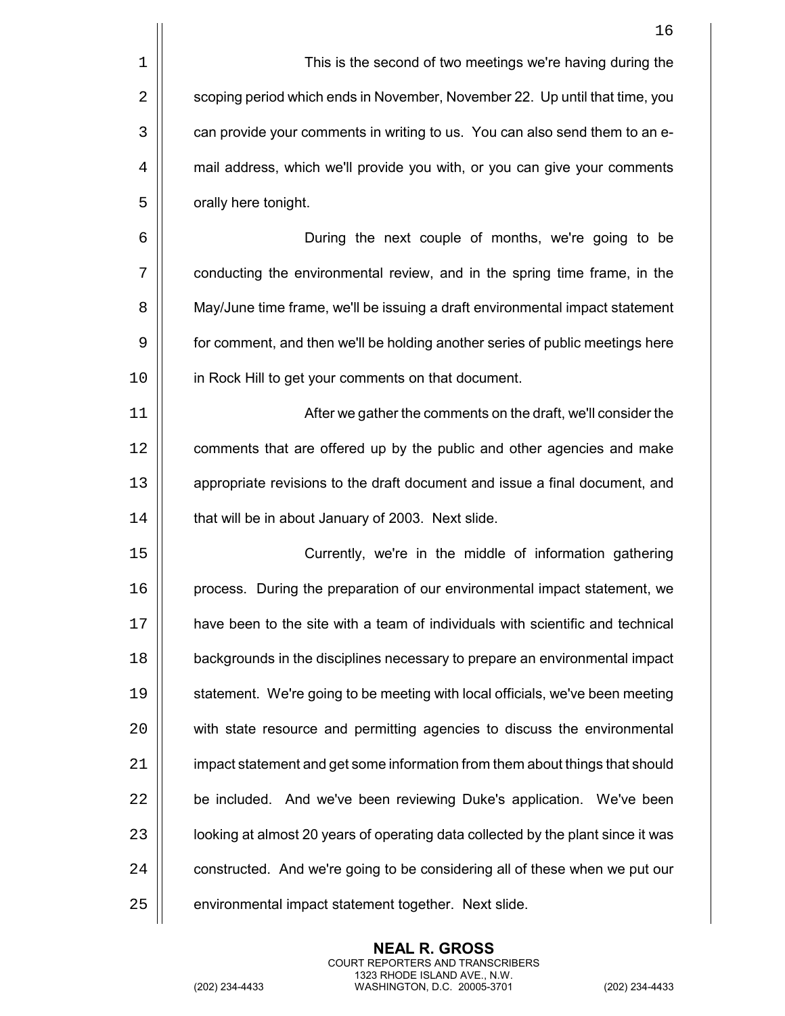|                | This is the second of two meetings we're having during the                  |
|----------------|-----------------------------------------------------------------------------|
| $\overline{2}$ | scoping period which ends in November, November 22. Up until that time, you |
| 3              | can provide your comments in writing to us. You can also send them to an e- |
| 4              | mail address, which we'll provide you with, or you can give your comments   |
| 5              | orally here tonight.                                                        |
| 6              | During the next couple of months, we're going to be                         |

7 | conducting the environmental review, and in the spring time frame, in the 8  $\vert$  May/June time frame, we'll be issuing a draft environmental impact statement 9 for comment, and then we'll be holding another series of public meetings here 10 | in Rock Hill to get your comments on that document.

11 After we gather the comments on the draft, we'll consider the 12 | comments that are offered up by the public and other agencies and make 13 | appropriate revisions to the draft document and issue a final document, and  $14$  | that will be in about January of 2003. Next slide.

 Currently, we're in the middle of information gathering process. During the preparation of our environmental impact statement, we  $\parallel$  have been to the site with a team of individuals with scientific and technical **backgrounds in the disciplines necessary to prepare an environmental impact**  statement. We're going to be meeting with local officials, we've been meeting 20 | with state resource and permitting agencies to discuss the environmental  $\parallel$  impact statement and get some information from them about things that should 22 | be included. And we've been reviewing Duke's application. We've been 23 | looking at almost 20 years of operating data collected by the plant since it was  $\parallel$  constructed. And we're going to be considering all of these when we put our 25 | environmental impact statement together. Next slide.

> **NEAL R. GROSS** COURT REPORTERS AND TRANSCRIBERS 1323 RHODE ISLAND AVE., N.W.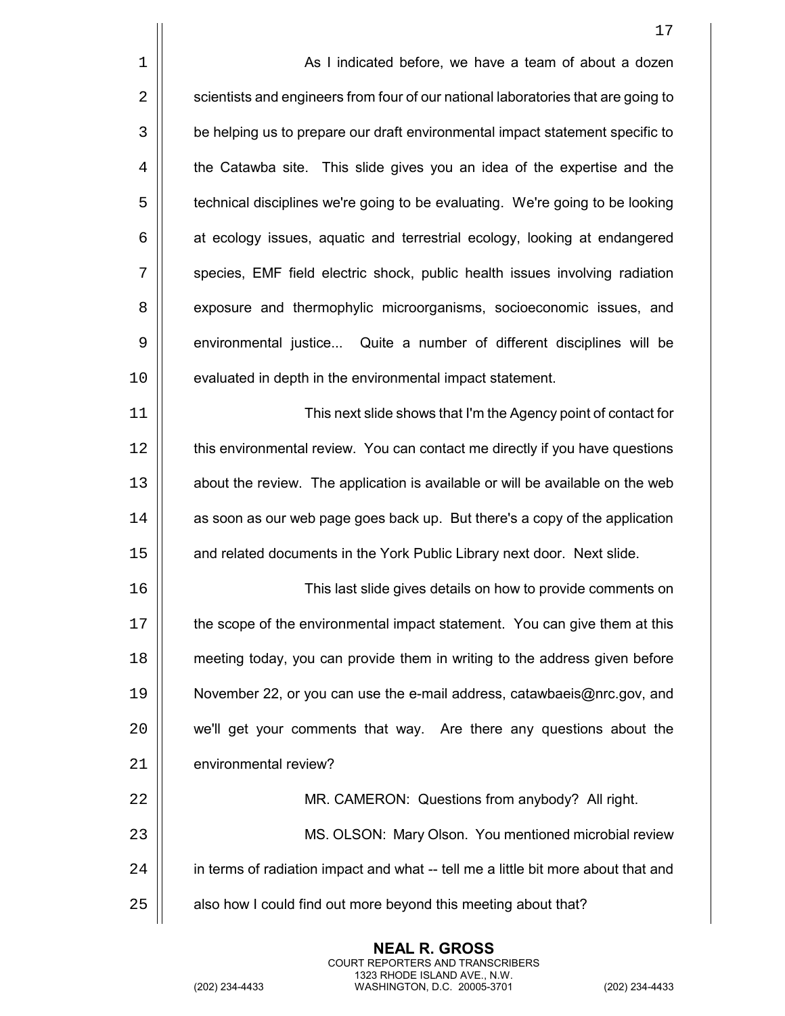|    | 17                                                                                |
|----|-----------------------------------------------------------------------------------|
| 1  | As I indicated before, we have a team of about a dozen                            |
| 2  | scientists and engineers from four of our national laboratories that are going to |
| 3  | be helping us to prepare our draft environmental impact statement specific to     |
| 4  | the Catawba site. This slide gives you an idea of the expertise and the           |
| 5  | technical disciplines we're going to be evaluating. We're going to be looking     |
| 6  | at ecology issues, aquatic and terrestrial ecology, looking at endangered         |
| 7  | species, EMF field electric shock, public health issues involving radiation       |
| 8  | exposure and thermophylic microorganisms, socioeconomic issues, and               |
| 9  | environmental justice Quite a number of different disciplines will be             |
| 10 | evaluated in depth in the environmental impact statement.                         |
| 11 | This next slide shows that I'm the Agency point of contact for                    |
| 12 | this environmental review. You can contact me directly if you have questions      |
| 13 | about the review. The application is available or will be available on the web    |
| 14 | as soon as our web page goes back up. But there's a copy of the application       |
| 15 | and related documents in the York Public Library next door. Next slide.           |
| 16 | This last slide gives details on how to provide comments on                       |
| 17 | the scope of the environmental impact statement. You can give them at this        |
| 18 | meeting today, you can provide them in writing to the address given before        |
| 19 | November 22, or you can use the e-mail address, catawbaeis@nrc.gov, and           |
| 20 | we'll get your comments that way. Are there any questions about the               |
| 21 | environmental review?                                                             |
| 22 | MR. CAMERON: Questions from anybody? All right.                                   |
| 23 | MS. OLSON: Mary Olson. You mentioned microbial review                             |
| 24 | in terms of radiation impact and what -- tell me a little bit more about that and |
| 25 | also how I could find out more beyond this meeting about that?                    |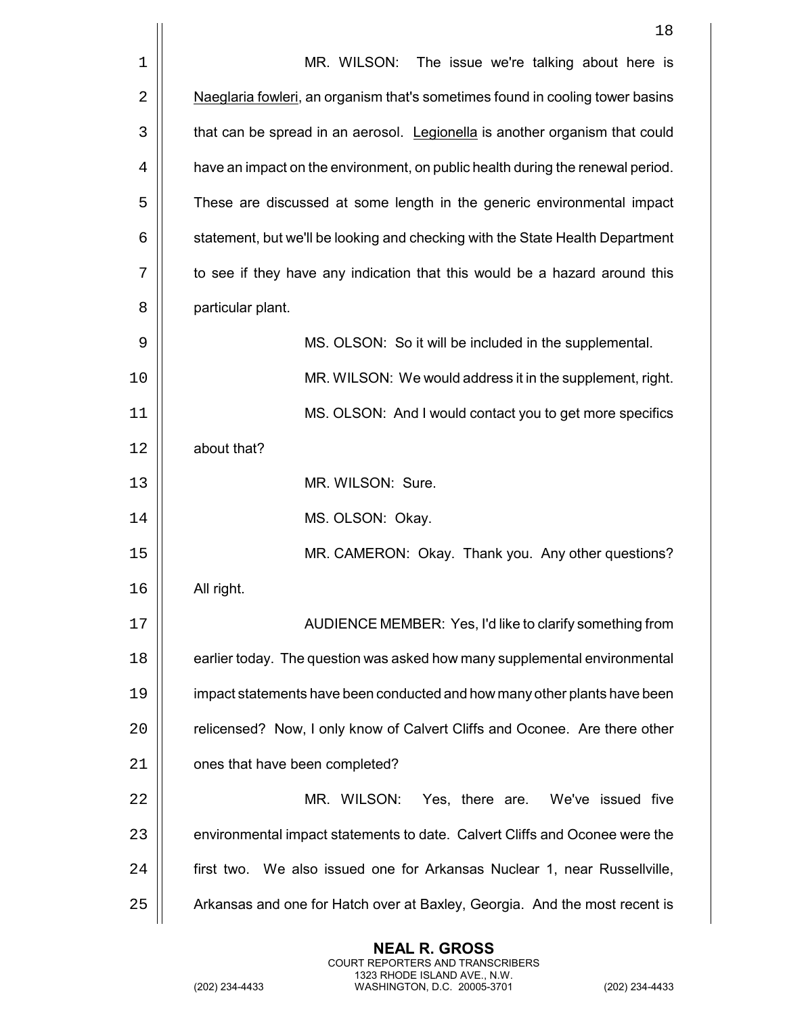|    | 18                                                                             |
|----|--------------------------------------------------------------------------------|
| 1  | MR. WILSON: The issue we're talking about here is                              |
| 2  | Naeglaria fowleri, an organism that's sometimes found in cooling tower basins  |
| 3  | that can be spread in an aerosol. Legionella is another organism that could    |
| 4  | have an impact on the environment, on public health during the renewal period. |
| 5  | These are discussed at some length in the generic environmental impact         |
| 6  | statement, but we'll be looking and checking with the State Health Department  |
| 7  | to see if they have any indication that this would be a hazard around this     |
| 8  | particular plant.                                                              |
| 9  | MS. OLSON: So it will be included in the supplemental.                         |
| 10 | MR. WILSON: We would address it in the supplement, right.                      |
| 11 | MS. OLSON: And I would contact you to get more specifics                       |
| 12 | about that?                                                                    |
| 13 | MR. WILSON: Sure.                                                              |
| 14 | MS. OLSON: Okay.                                                               |
| 15 | MR. CAMERON: Okay. Thank you. Any other questions?                             |
| 16 | All right.                                                                     |
| 17 | AUDIENCE MEMBER: Yes, I'd like to clarify something from                       |
| 18 | earlier today. The question was asked how many supplemental environmental      |
| 19 | impact statements have been conducted and how many other plants have been      |
| 20 | relicensed? Now, I only know of Calvert Cliffs and Oconee. Are there other     |
| 21 | ones that have been completed?                                                 |
| 22 | MR. WILSON:<br>Yes, there are. We've issued five                               |
| 23 | environmental impact statements to date. Calvert Cliffs and Oconee were the    |
| 24 | first two. We also issued one for Arkansas Nuclear 1, near Russellville,       |
| 25 | Arkansas and one for Hatch over at Baxley, Georgia. And the most recent is     |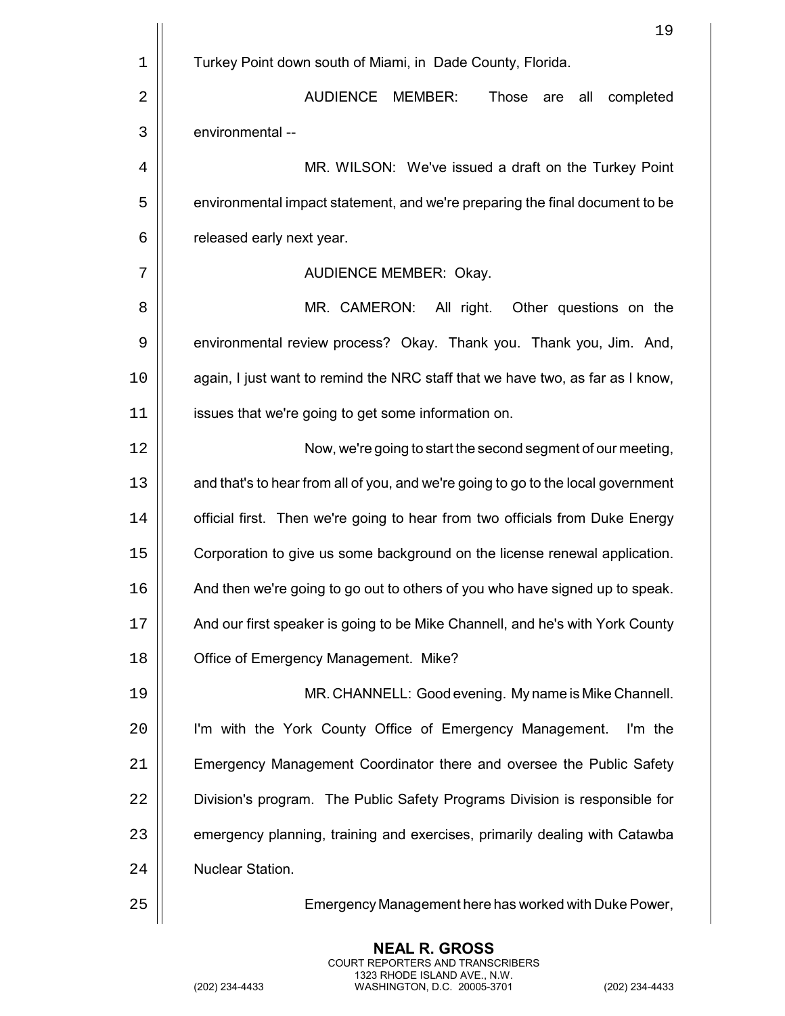|             | 19                                                                                |
|-------------|-----------------------------------------------------------------------------------|
| $\mathbf 1$ | Turkey Point down south of Miami, in Dade County, Florida.                        |
| 2           | <b>AUDIENCE</b><br>MEMBER:<br>Those<br>all<br>completed<br>are                    |
| 3           | environmental --                                                                  |
| 4           | MR. WILSON: We've issued a draft on the Turkey Point                              |
| 5           | environmental impact statement, and we're preparing the final document to be      |
| 6           | released early next year.                                                         |
| 7           | <b>AUDIENCE MEMBER: Okay.</b>                                                     |
| 8           | MR. CAMERON: All right.<br>Other questions on the                                 |
| 9           | environmental review process? Okay. Thank you. Thank you, Jim. And,               |
| 10          | again, I just want to remind the NRC staff that we have two, as far as I know,    |
| 11          | issues that we're going to get some information on.                               |
| 12          | Now, we're going to start the second segment of our meeting,                      |
| 13          | and that's to hear from all of you, and we're going to go to the local government |
| 14          | official first. Then we're going to hear from two officials from Duke Energy      |
| 15          | Corporation to give us some background on the license renewal application.        |
| 16          | And then we're going to go out to others of you who have signed up to speak.      |
| 17          | And our first speaker is going to be Mike Channell, and he's with York County     |
| 18          | Office of Emergency Management. Mike?                                             |
| 19          | MR. CHANNELL: Good evening. My name is Mike Channell.                             |
| 20          | I'm with the York County Office of Emergency Management.<br>I'm the               |
| 21          | Emergency Management Coordinator there and oversee the Public Safety              |
| 22          | Division's program. The Public Safety Programs Division is responsible for        |
| 23          | emergency planning, training and exercises, primarily dealing with Catawba        |
| 24          | Nuclear Station.                                                                  |
| 25          | Emergency Management here has worked with Duke Power,                             |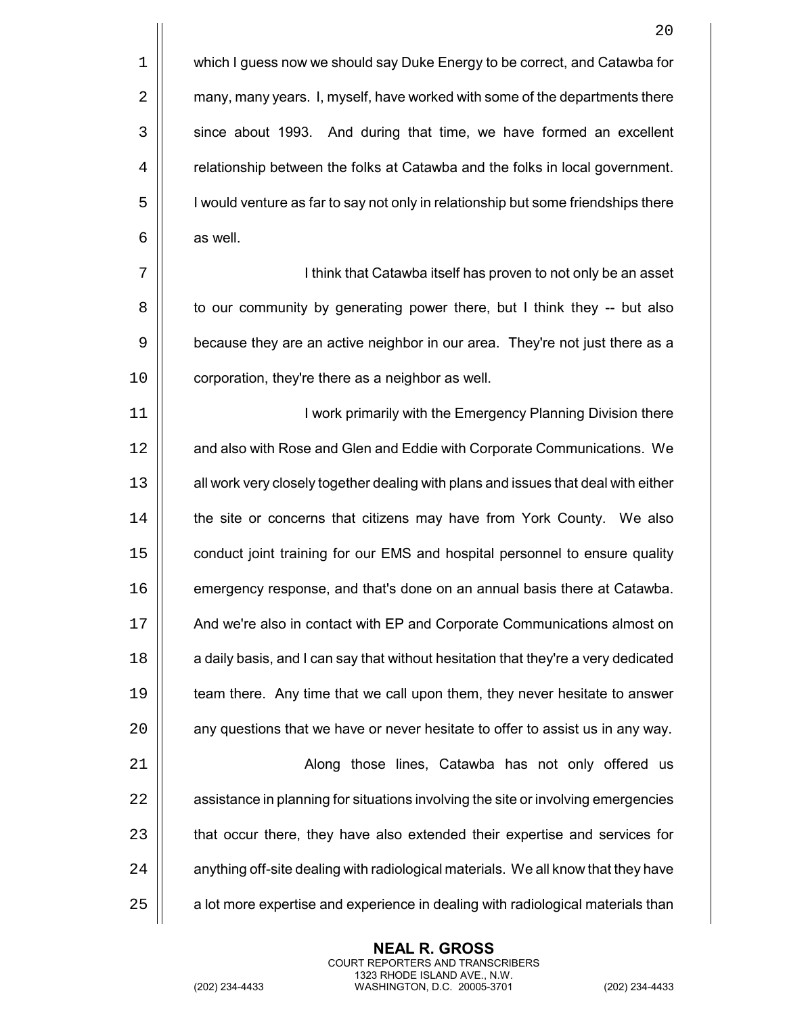1 | which I guess now we should say Duke Energy to be correct, and Catawba for 2 | many, many years. I, myself, have worked with some of the departments there 3 | since about 1993. And during that time, we have formed an excellent 4 **Figure** relationship between the folks at Catawba and the folks in local government. 5 | I vould venture as far to say not only in relationship but some friendships there  $6 \parallel$  as well.

7 | | I think that Catawba itself has proven to not only be an asset 8 | to our community by generating power there, but I think they -- but also 9 | because they are an active neighbor in our area. They're not just there as a 10 | corporation, they're there as a neighbor as well.

11 || **I work primarily with the Emergency Planning Division there** 12 | and also with Rose and Glen and Eddie with Corporate Communications. We 13 | all work very closely together dealing with plans and issues that deal with either 14 **the site or concerns that citizens may have from York County.** We also 15 **conduct joint training for our EMS and hospital personnel to ensure quality** 16 **emergency response, and that's done on an annual basis there at Catawba.** 17 | And we're also in contact with EP and Corporate Communications almost on 18 **a** daily basis, and I can say that without hesitation that they're a very dedicated 19 **that** team there. Any time that we call upon them, they never hesitate to answer  $20$   $\parallel$  any questions that we have or never hesitate to offer to assist us in any way. 21 | Along those lines, Catawba has not only offered us 22 | assistance in planning for situations involving the site or involving emergencies

 $24$   $\parallel$  anything off-site dealing with radiological materials. We all know that they have

23 | that occur there, they have also extended their expertise and services for

 $25$   $\parallel$  a lot more expertise and experience in dealing with radiological materials than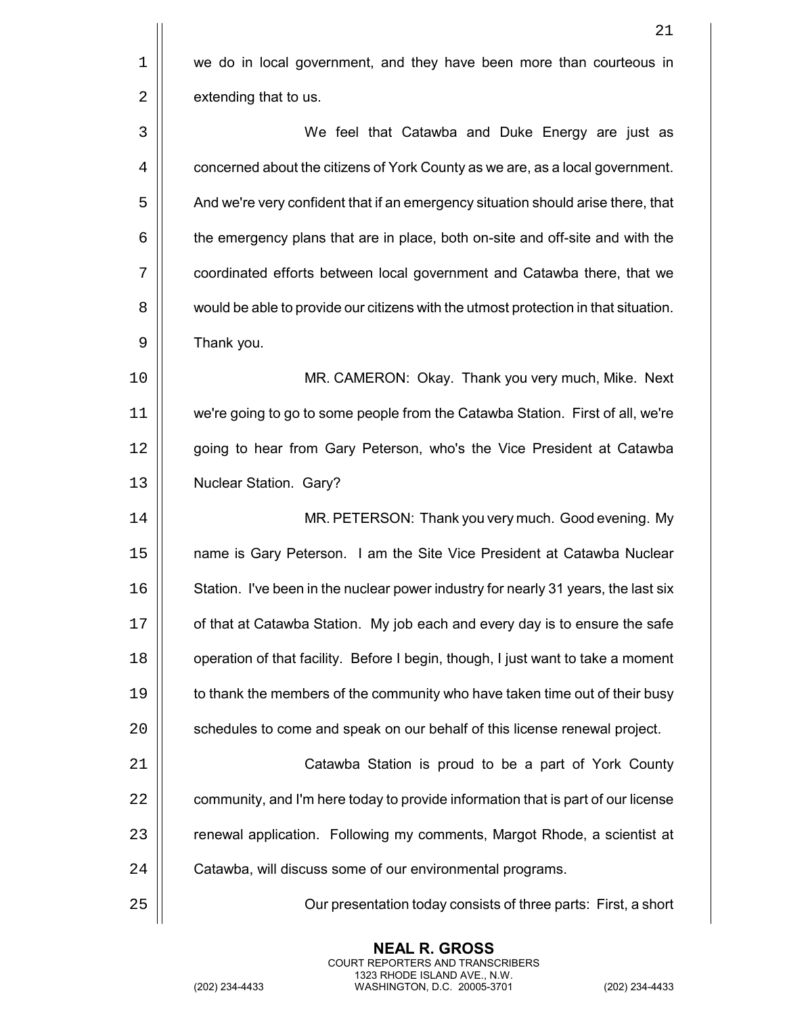|    | 21                                                                                  |
|----|-------------------------------------------------------------------------------------|
| 1  | we do in local government, and they have been more than courteous in                |
| 2  | extending that to us.                                                               |
| 3  | We feel that Catawba and Duke Energy are just as                                    |
| 4  | concerned about the citizens of York County as we are, as a local government.       |
| 5  | And we're very confident that if an emergency situation should arise there, that    |
| 6  | the emergency plans that are in place, both on-site and off-site and with the       |
| 7  | coordinated efforts between local government and Catawba there, that we             |
| 8  | would be able to provide our citizens with the utmost protection in that situation. |
| 9  | Thank you.                                                                          |
| 10 | MR. CAMERON: Okay. Thank you very much, Mike. Next                                  |
| 11 | we're going to go to some people from the Catawba Station. First of all, we're      |
| 12 | going to hear from Gary Peterson, who's the Vice President at Catawba               |
| 13 | Nuclear Station. Gary?                                                              |
| 14 | MR. PETERSON: Thank you very much. Good evening. My                                 |
| 15 | name is Gary Peterson. I am the Site Vice President at Catawba Nuclear              |
| 16 | Station. I've been in the nuclear power industry for nearly 31 years, the last six  |
| 17 | of that at Catawba Station. My job each and every day is to ensure the safe         |
| 18 | operation of that facility. Before I begin, though, I just want to take a moment    |
| 19 | to thank the members of the community who have taken time out of their busy         |
| 20 | schedules to come and speak on our behalf of this license renewal project.          |
| 21 | Catawba Station is proud to be a part of York County                                |
| 22 | community, and I'm here today to provide information that is part of our license    |
| 23 | renewal application. Following my comments, Margot Rhode, a scientist at            |
| 24 | Catawba, will discuss some of our environmental programs.                           |
| 25 | Our presentation today consists of three parts: First, a short                      |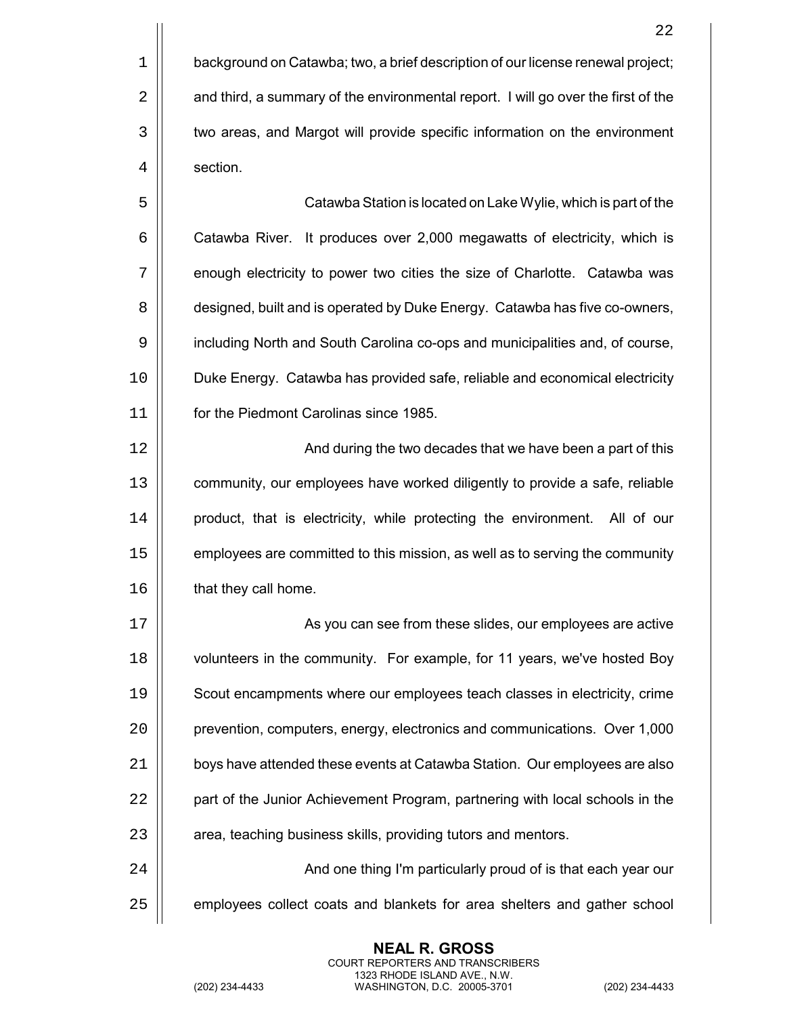$\vert\vert$  **Catawba Station is located on Lake Wylie, which is part of the** 6 | Catawba River. It produces over 2,000 megawatts of electricity, which is 7 | enough electricity to power two cities the size of Charlotte. Catawba was **designed, built and is operated by Duke Energy. Catawba has five co-owners,**  including North and South Carolina co-ops and municipalities and, of course, Duke Energy. Catawba has provided safe, reliable and economical electricity for the Piedmont Carolinas since 1985.

12 || **And during the two decades that we have been a part of this** 13 | community, our employees have worked diligently to provide a safe, reliable 14 | product, that is electricity, while protecting the environment. All of our 15 | employees are committed to this mission, as well as to serving the community 16 | that they call home.

 As you can see from these slides, our employees are active **b** volunteers in the community. For example, for 11 years, we've hosted Boy Scout encampments where our employees teach classes in electricity, crime **prevention, computers, energy, electronics and communications.** Over 1,000 21 | boys have attended these events at Catawba Station. Our employees are also 22 | part of the Junior Achievement Program, partnering with local schools in the  $\parallel$  area, teaching business skills, providing tutors and mentors.

24 |  $\vert$  **And one thing I'm particularly proud of is that each year our** 25 | employees collect coats and blankets for area shelters and gather school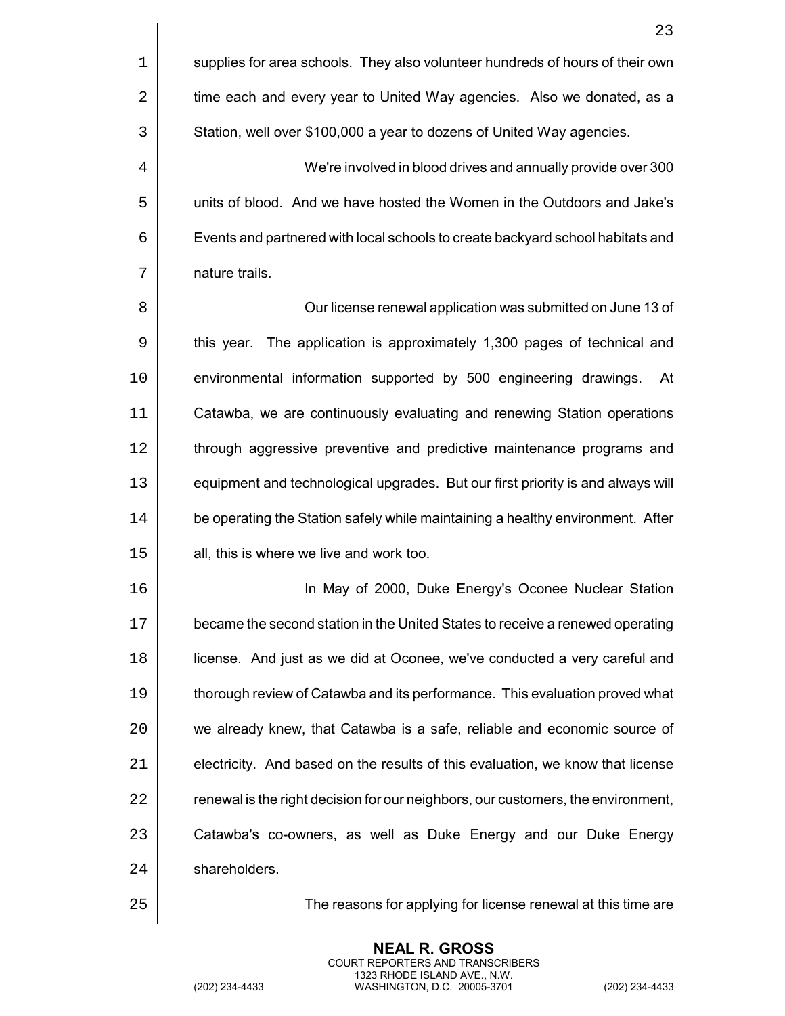|    | 23                                                                               |
|----|----------------------------------------------------------------------------------|
| 1  | supplies for area schools. They also volunteer hundreds of hours of their own    |
| 2  | time each and every year to United Way agencies. Also we donated, as a           |
| 3  | Station, well over \$100,000 a year to dozens of United Way agencies.            |
| 4  | We're involved in blood drives and annually provide over 300                     |
| 5  | units of blood. And we have hosted the Women in the Outdoors and Jake's          |
| 6  | Events and partnered with local schools to create backyard school habitats and   |
| 7  | nature trails.                                                                   |
| 8  | Our license renewal application was submitted on June 13 of                      |
| 9  | The application is approximately 1,300 pages of technical and<br>this year.      |
| 10 | environmental information supported by 500 engineering drawings.<br>At           |
| 11 | Catawba, we are continuously evaluating and renewing Station operations          |
| 12 | through aggressive preventive and predictive maintenance programs and            |
| 13 | equipment and technological upgrades. But our first priority is and always will  |
| 14 | be operating the Station safely while maintaining a healthy environment. After   |
| 15 | all, this is where we live and work too.                                         |
| 16 | In May of 2000, Duke Energy's Oconee Nuclear Station                             |
| 17 | became the second station in the United States to receive a renewed operating    |
| 18 | license. And just as we did at Oconee, we've conducted a very careful and        |
| 19 | thorough review of Catawba and its performance. This evaluation proved what      |
| 20 | we already knew, that Catawba is a safe, reliable and economic source of         |
| 21 | electricity. And based on the results of this evaluation, we know that license   |
| 22 | renewal is the right decision for our neighbors, our customers, the environment, |
| 23 | Catawba's co-owners, as well as Duke Energy and our Duke Energy                  |
| 24 | shareholders.                                                                    |
|    |                                                                                  |

25 | The reasons for applying for license renewal at this time are<br>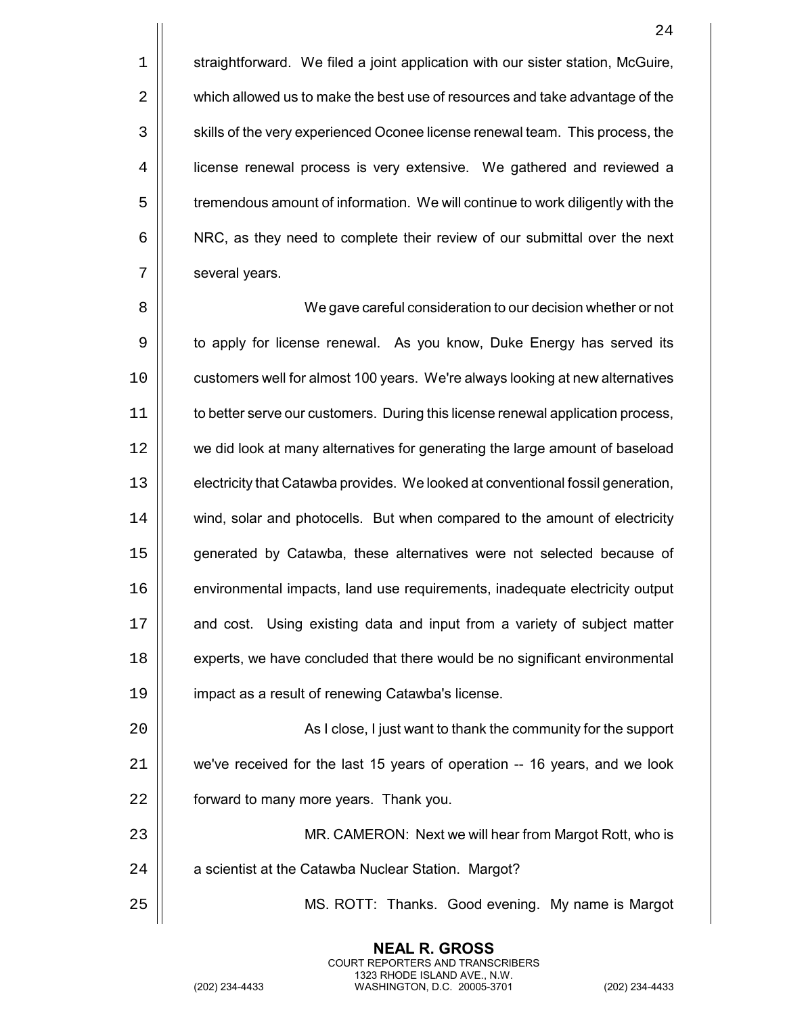$\parallel$  straightforward. We filed a joint application with our sister station, McGuire,  $\vert$  which allowed us to make the best use of resources and take advantage of the  $\vert$  skills of the very experienced Oconee license renewal team. This process, the 4 | license renewal process is very extensive. We gathered and reviewed a  $\vert\vert$  tremendous amount of information. We will continue to work diligently with the  $\vert$  NRC, as they need to complete their review of our submittal over the next  $7 \parallel$  several years.

 We gave careful consideration to our decision whether or not 9 | to apply for license renewal. As you know, Duke Energy has served its 10 | customers well for almost 100 years. We're always looking at new alternatives 11 | to better serve our customers. During this license renewal application process, we did look at many alternatives for generating the large amount of baseload  $\vert\vert$  electricity that Catawba provides. We looked at conventional fossil generation, 14 | wind, solar and photocells. But when compared to the amount of electricity generated by Catawba, these alternatives were not selected because of environmental impacts, land use requirements, inadequate electricity output **and cost.** Using existing data and input from a variety of subject matter **experts**, we have concluded that there would be no significant environmental impact as a result of renewing Catawba's license.

20 As I close, I just want to thank the community for the support 21 we've received for the last 15 years of operation -- 16 years, and we look 22 **forward to many more years. Thank you.** 

23 MR. CAMERON: Next we will hear from Margot Rott, who is  $24$  |  $\Box$  a scientist at the Catawba Nuclear Station. Margot?

> **NEAL R. GROSS** COURT REPORTERS AND TRANSCRIBERS 1323 RHODE ISLAND AVE., N.W.

25 MS. ROTT: Thanks. Good evening. My name is Margot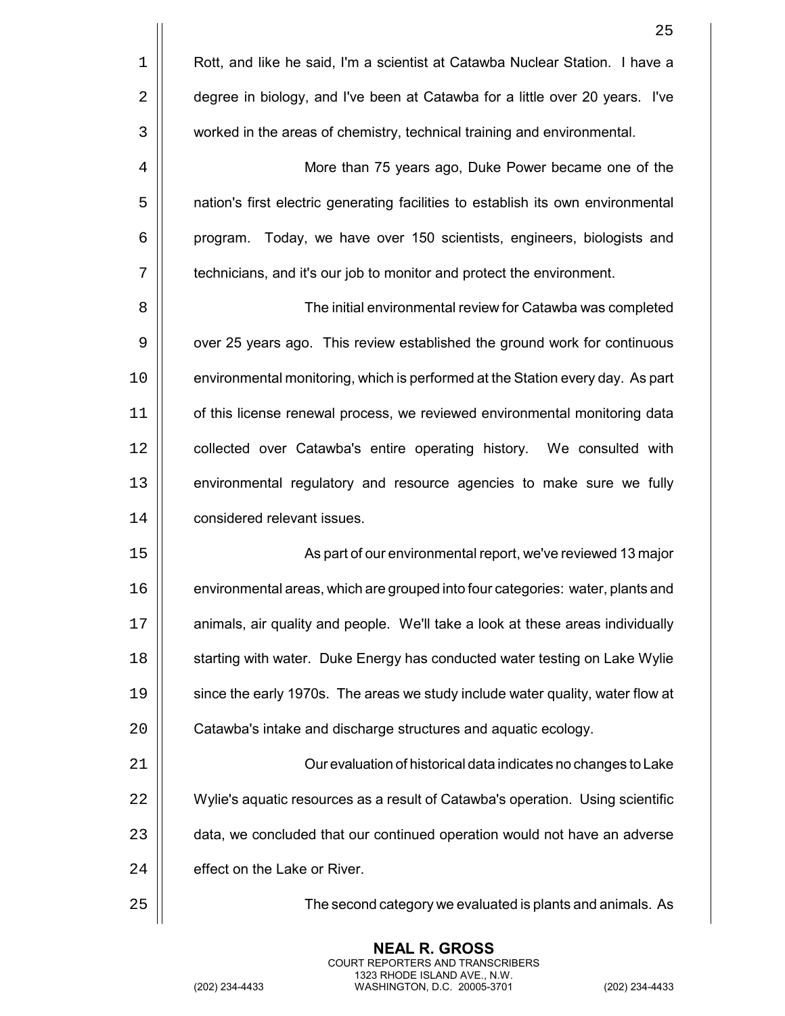|                | 25                                                                               |
|----------------|----------------------------------------------------------------------------------|
| $1\,$          | Rott, and like he said, I'm a scientist at Catawba Nuclear Station. I have a     |
| $\overline{2}$ | degree in biology, and I've been at Catawba for a little over 20 years. I've     |
| $\mathbf{3}$   | worked in the areas of chemistry, technical training and environmental.          |
| 4              | More than 75 years ago, Duke Power became one of the                             |
| 5              | nation's first electric generating facilities to establish its own environmental |
| 6              | Today, we have over 150 scientists, engineers, biologists and<br>program.        |
| 7              | technicians, and it's our job to monitor and protect the environment.            |
| 8              | The initial environmental review for Catawba was completed                       |
| $\mathsf 9$    | over 25 years ago. This review established the ground work for continuous        |
| 10             | environmental monitoring, which is performed at the Station every day. As part   |
| 11             | of this license renewal process, we reviewed environmental monitoring data       |
| 12             | collected over Catawba's entire operating history. We consulted with             |
| 13             | environmental regulatory and resource agencies to make sure we fully             |
| 14             | considered relevant issues.                                                      |
| 15             | As part of our environmental report, we've reviewed 13 major                     |
| 16             | environmental areas, which are grouped into four categories: water, plants and   |
| 17             | animals, air quality and people. We'll take a look at these areas individually   |
| 18             | starting with water. Duke Energy has conducted water testing on Lake Wylie       |
| 19             | since the early 1970s. The areas we study include water quality, water flow at   |
| 20             | Catawba's intake and discharge structures and aquatic ecology.                   |
| 21             | Our evaluation of historical data indicates no changes to Lake                   |
| 22             | Wylie's aquatic resources as a result of Catawba's operation. Using scientific   |
| 23             | data, we concluded that our continued operation would not have an adverse        |
| 24             | effect on the Lake or River.                                                     |
| 25             | The second category we evaluated is plants and animals. As                       |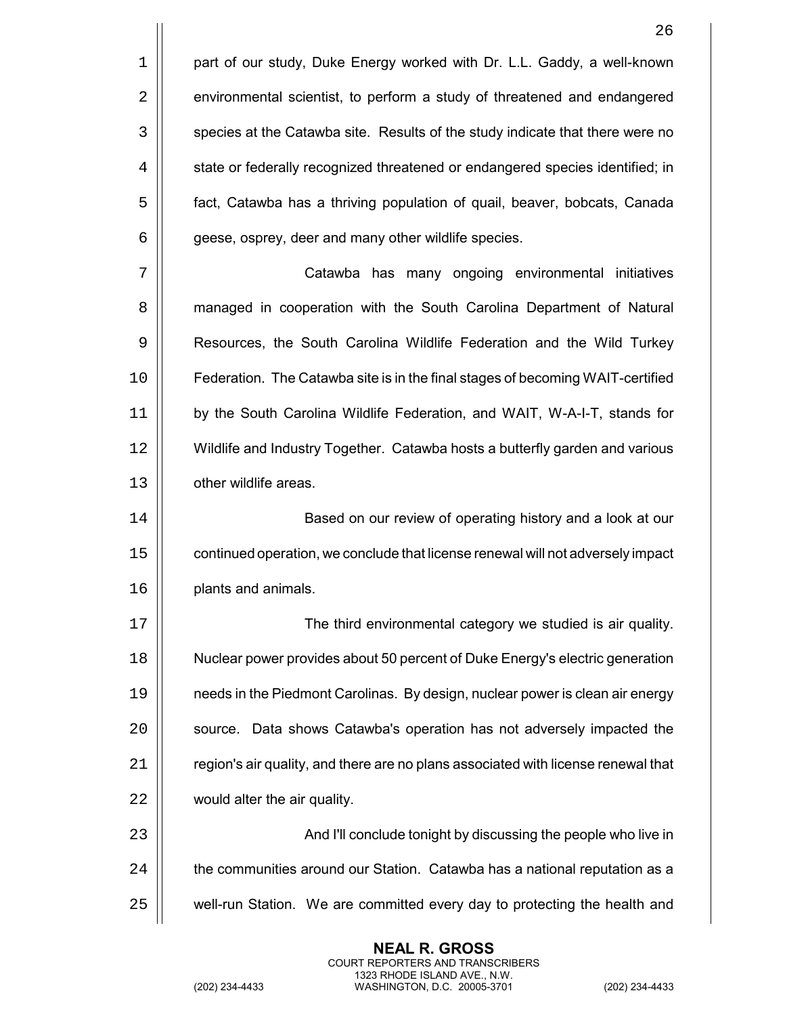|    | 26                                                                                |
|----|-----------------------------------------------------------------------------------|
| 1  | part of our study, Duke Energy worked with Dr. L.L. Gaddy, a well-known           |
| 2  | environmental scientist, to perform a study of threatened and endangered          |
| 3  | species at the Catawba site. Results of the study indicate that there were no     |
| 4  | state or federally recognized threatened or endangered species identified; in     |
| 5  | fact, Catawba has a thriving population of quail, beaver, bobcats, Canada         |
| 6  | geese, osprey, deer and many other wildlife species.                              |
| 7  | Catawba has many ongoing environmental initiatives                                |
| 8  | managed in cooperation with the South Carolina Department of Natural              |
| 9  | Resources, the South Carolina Wildlife Federation and the Wild Turkey             |
| 10 | Federation. The Catawba site is in the final stages of becoming WAIT-certified    |
| 11 | by the South Carolina Wildlife Federation, and WAIT, W-A-I-T, stands for          |
| 12 | Wildlife and Industry Together. Catawba hosts a butterfly garden and various      |
| 13 | other wildlife areas.                                                             |
| 14 | Based on our review of operating history and a look at our                        |
| 15 | continued operation, we conclude that license renewal will not adversely impact   |
| 16 | plants and animals.                                                               |
| 17 | The third environmental category we studied is air quality.                       |
| 18 | Nuclear power provides about 50 percent of Duke Energy's electric generation      |
| 19 | needs in the Piedmont Carolinas. By design, nuclear power is clean air energy     |
| 20 | source. Data shows Catawba's operation has not adversely impacted the             |
| 21 | region's air quality, and there are no plans associated with license renewal that |
| 22 | would alter the air quality.                                                      |
| 23 | And I'll conclude tonight by discussing the people who live in                    |
| 24 | the communities around our Station. Catawba has a national reputation as a        |
| 25 | well-run Station. We are committed every day to protecting the health and         |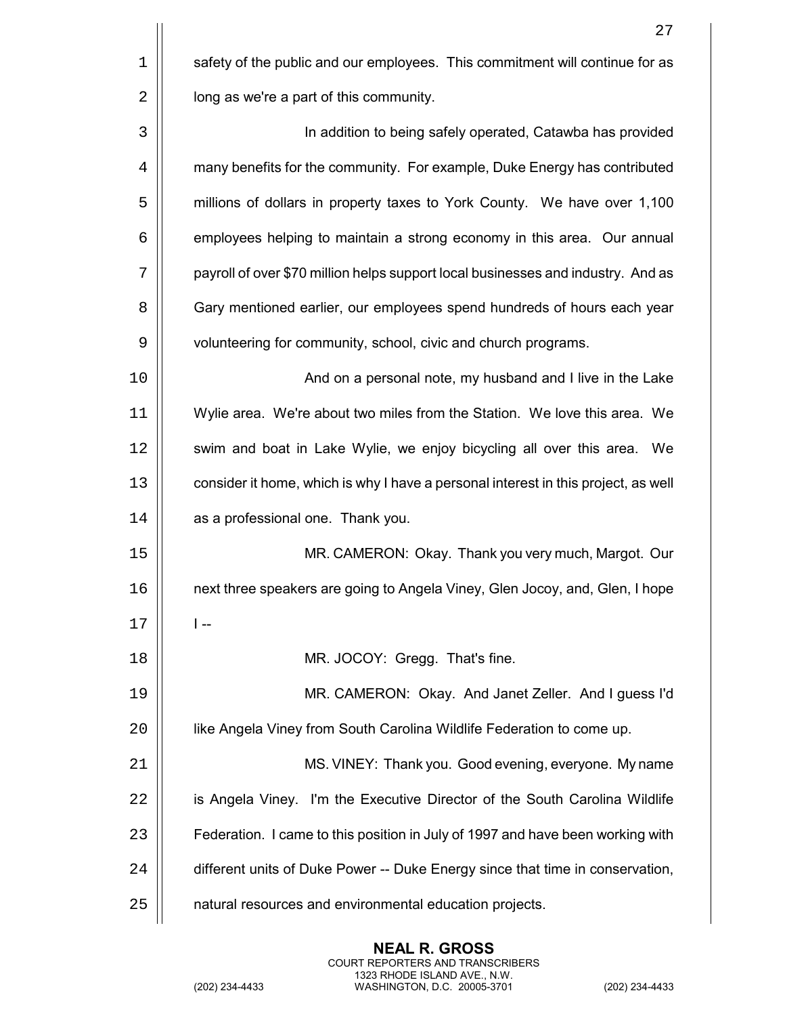|    | 27                                                                                 |
|----|------------------------------------------------------------------------------------|
| 1  | safety of the public and our employees. This commitment will continue for as       |
| 2  | long as we're a part of this community.                                            |
| 3  | In addition to being safely operated, Catawba has provided                         |
| 4  | many benefits for the community. For example, Duke Energy has contributed          |
| 5  | millions of dollars in property taxes to York County. We have over 1,100           |
| 6  | employees helping to maintain a strong economy in this area. Our annual            |
| 7  | payroll of over \$70 million helps support local businesses and industry. And as   |
| 8  | Gary mentioned earlier, our employees spend hundreds of hours each year            |
| 9  | volunteering for community, school, civic and church programs.                     |
| 10 | And on a personal note, my husband and I live in the Lake                          |
| 11 | Wylie area. We're about two miles from the Station. We love this area. We          |
| 12 | swim and boat in Lake Wylie, we enjoy bicycling all over this area. We             |
| 13 | consider it home, which is why I have a personal interest in this project, as well |
| 14 | as a professional one. Thank you.                                                  |
| 15 | MR. CAMERON: Okay. Thank you very much, Margot. Our                                |
| 16 | next three speakers are going to Angela Viney, Glen Jocoy, and, Glen, I hope       |
| 17 | l --                                                                               |
| 18 | MR. JOCOY: Gregg. That's fine.                                                     |
| 19 | MR. CAMERON: Okay. And Janet Zeller. And I guess I'd                               |
| 20 | like Angela Viney from South Carolina Wildlife Federation to come up.              |
| 21 | MS. VINEY: Thank you. Good evening, everyone. My name                              |
| 22 | is Angela Viney. I'm the Executive Director of the South Carolina Wildlife         |
| 23 | Federation. I came to this position in July of 1997 and have been working with     |
| 24 | different units of Duke Power -- Duke Energy since that time in conservation,      |
| 25 | natural resources and environmental education projects.                            |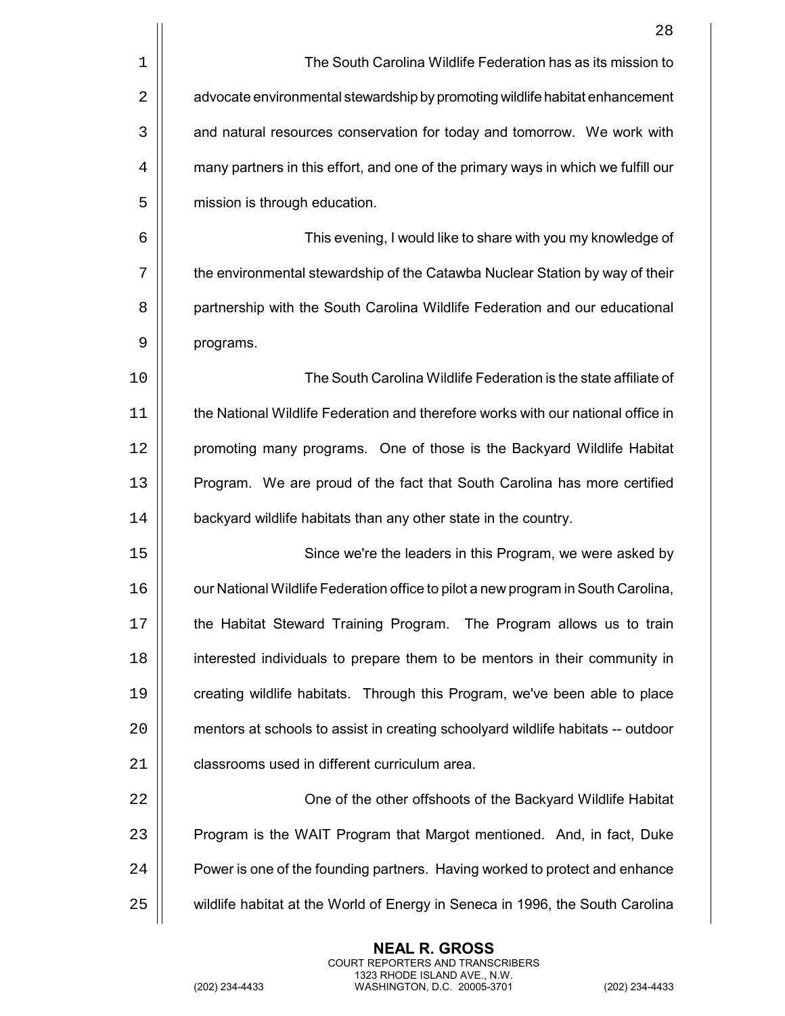|    | 28                                                                                |
|----|-----------------------------------------------------------------------------------|
| 1  | The South Carolina Wildlife Federation has as its mission to                      |
| 2  | advocate environmental stewardship by promoting wildlife habitat enhancement      |
| 3  | and natural resources conservation for today and tomorrow. We work with           |
| 4  | many partners in this effort, and one of the primary ways in which we fulfill our |
| 5  | mission is through education.                                                     |
| 6  | This evening, I would like to share with you my knowledge of                      |
| 7  | the environmental stewardship of the Catawba Nuclear Station by way of their      |
| 8  | partnership with the South Carolina Wildlife Federation and our educational       |
| 9  | programs.                                                                         |
| 10 | The South Carolina Wildlife Federation is the state affiliate of                  |
| 11 | the National Wildlife Federation and therefore works with our national office in  |
| 12 | promoting many programs. One of those is the Backyard Wildlife Habitat            |
| 13 | Program. We are proud of the fact that South Carolina has more certified          |
| 14 | backyard wildlife habitats than any other state in the country.                   |
| 15 | Since we're the leaders in this Program, we were asked by                         |
| 16 | our National Wildlife Federation office to pilot a new program in South Carolina, |
| 17 | the Habitat Steward Training Program. The Program allows us to train              |
| 18 | interested individuals to prepare them to be mentors in their community in        |
| 19 | creating wildlife habitats. Through this Program, we've been able to place        |
| 20 | mentors at schools to assist in creating schoolyard wildlife habitats -- outdoor  |
| 21 | classrooms used in different curriculum area.                                     |
| 22 | One of the other offshoots of the Backyard Wildlife Habitat                       |
| 23 | Program is the WAIT Program that Margot mentioned. And, in fact, Duke             |
| 24 | Power is one of the founding partners. Having worked to protect and enhance       |
| 25 | wildlife habitat at the World of Energy in Seneca in 1996, the South Carolina     |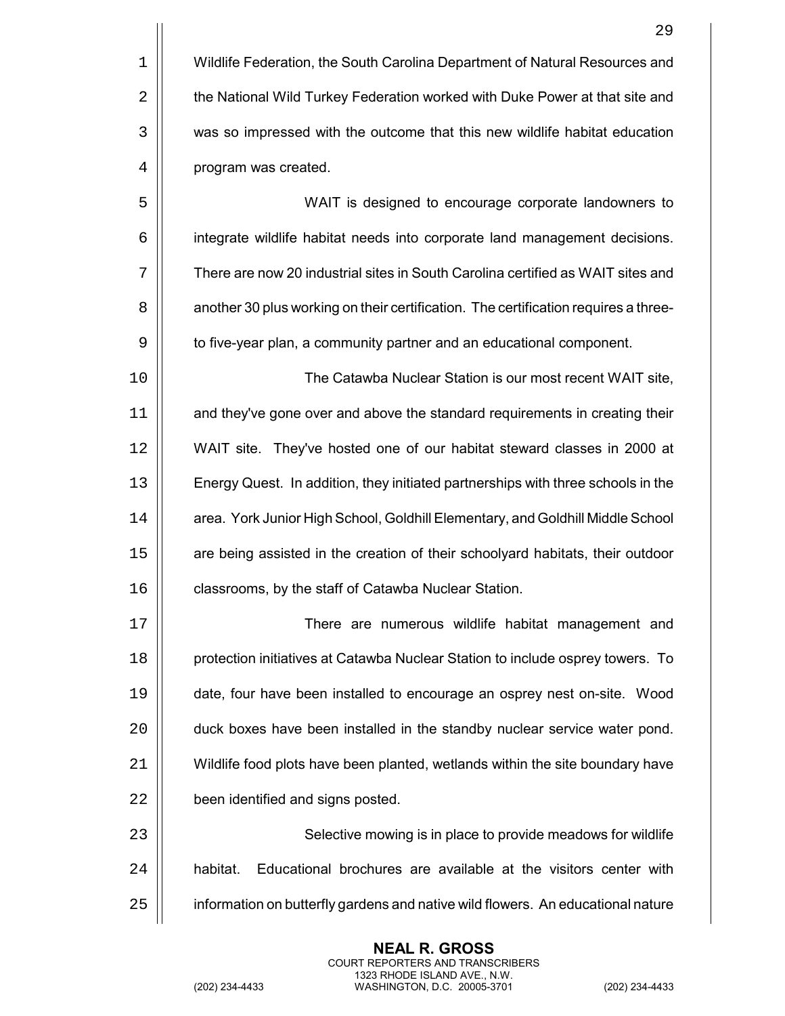| $1 \parallel$ | Wildlife Federation, the South Carolina Department of Natural Resources and |
|---------------|-----------------------------------------------------------------------------|
| $2 \parallel$ | the National Wild Turkey Federation worked with Duke Power at that site and |
| $3$           | was so impressed with the outcome that this new wildlife habitat education  |
| 4             | program was created.                                                        |

 WAIT is designed to encourage corporate landowners to 6 | integrate wildlife habitat needs into corporate land management decisions. There are now 20 industrial sites in South Carolina certified as WAIT sites and  $\vert$  another 30 plus working on their certification. The certification requires a three- $\vert$  to five-year plan, a community partner and an educational component.

10 The Catawba Nuclear Station is our most recent WAIT site, 11 | and they've gone over and above the standard requirements in creating their 12 WAIT site. They've hosted one of our habitat steward classes in 2000 at 13 Energy Quest. In addition, they initiated partnerships with three schools in the 14 | | area. York Junior High School, Goldhill Elementary, and Goldhill Middle School 15 | are being assisted in the creation of their schoolyard habitats, their outdoor 16 | classrooms, by the staff of Catawba Nuclear Station.

17 ||<br> **There are numerous wildlife habitat management and protection initiatives at Catawba Nuclear Station to include osprey towers.** To date, four have been installed to encourage an osprey nest on-site. Wood  $\vert$  duck boxes have been installed in the standby nuclear service water pond. Wildlife food plots have been planted, wetlands within the site boundary have **been identified and signs posted.** 

23 || Selective mowing is in place to provide meadows for wildlife  $24$   $\parallel$  habitat. Educational brochures are available at the visitors center with 25 | information on butterfly gardens and native wild flowers. An educational nature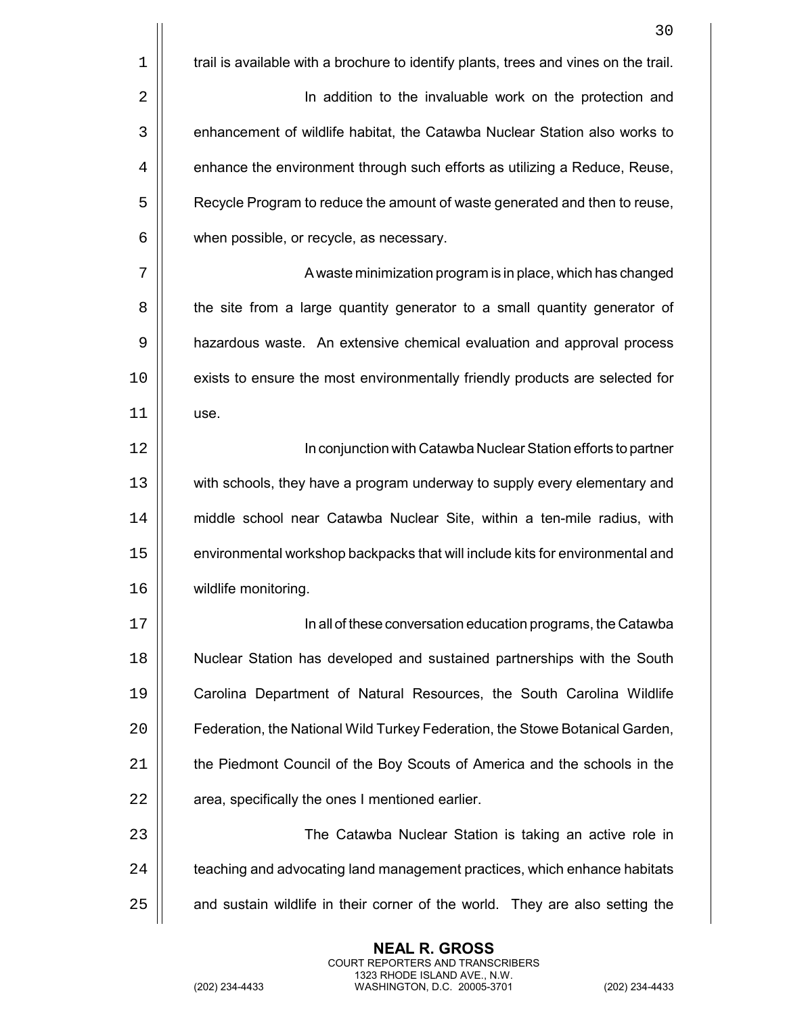| 30                                                                                   |
|--------------------------------------------------------------------------------------|
| trail is available with a brochure to identify plants, trees and vines on the trail. |
| In addition to the invaluable work on the protection and                             |
| enhancement of wildlife habitat, the Catawba Nuclear Station also works to           |
| enhance the environment through such efforts as utilizing a Reduce, Reuse,           |
| Recycle Program to reduce the amount of waste generated and then to reuse,           |
| when possible, or recycle, as necessary.                                             |
| A waste minimization program is in place, which has changed                          |
| the site from a large quantity generator to a small quantity generator of            |
| hazardous waste. An extensive chemical evaluation and approval process               |
| exists to ensure the most environmentally friendly products are selected for         |
| use.                                                                                 |
| In conjunction with Catawba Nuclear Station efforts to partner                       |
| with schools, they have a program underway to supply every elementary and            |
| middle school near Catawba Nuclear Site, within a ten-mile radius, with              |
| environmental workshop backpacks that will include kits for environmental and        |
| wildlife monitoring.                                                                 |
| In all of these conversation education programs, the Catawba                         |
| Nuclear Station has developed and sustained partnerships with the South              |
| Carolina Department of Natural Resources, the South Carolina Wildlife                |
| Federation, the National Wild Turkey Federation, the Stowe Botanical Garden,         |
| the Piedmont Council of the Boy Scouts of America and the schools in the             |
| area, specifically the ones I mentioned earlier.                                     |
| The Catawba Nuclear Station is taking an active role in                              |
| teaching and advocating land management practices, which enhance habitats            |
| and sustain wildlife in their corner of the world. They are also setting the         |
|                                                                                      |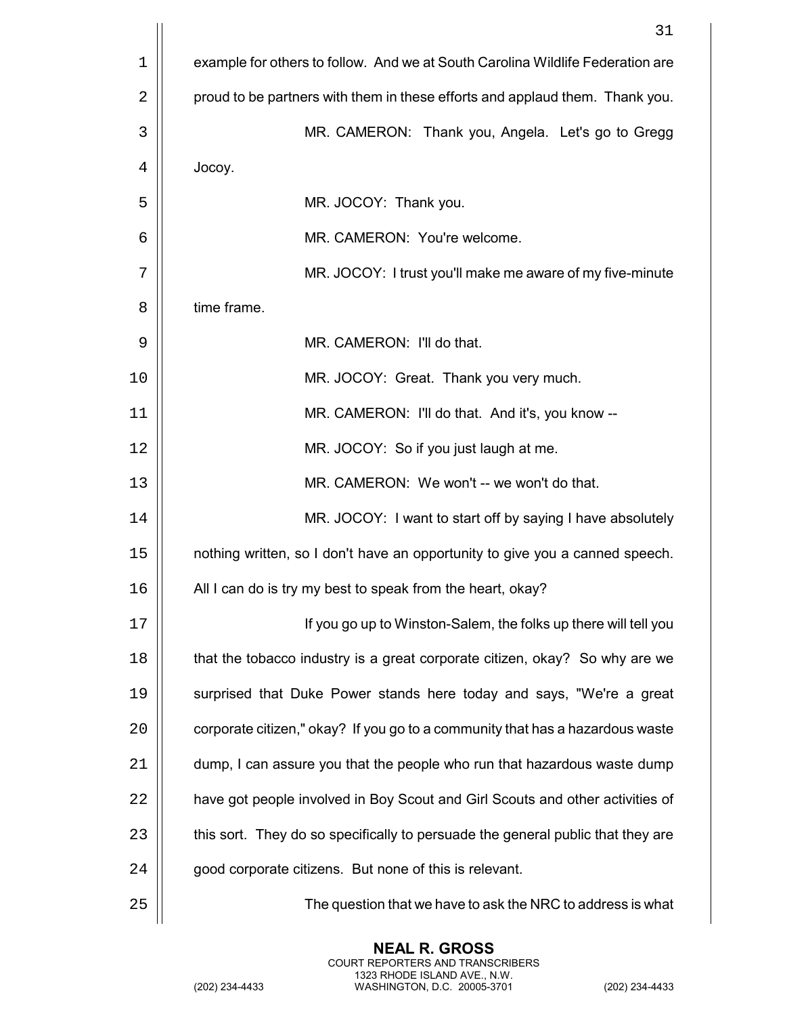|    | 31                                                                              |
|----|---------------------------------------------------------------------------------|
| 1  | example for others to follow. And we at South Carolina Wildlife Federation are  |
| 2  | proud to be partners with them in these efforts and applaud them. Thank you.    |
| 3  | MR. CAMERON: Thank you, Angela. Let's go to Gregg                               |
| 4  | Jocoy.                                                                          |
| 5  | MR. JOCOY: Thank you.                                                           |
| 6  | MR. CAMERON: You're welcome.                                                    |
| 7  | MR. JOCOY: I trust you'll make me aware of my five-minute                       |
| 8  | time frame.                                                                     |
| 9  | MR. CAMERON: I'll do that.                                                      |
| 10 | MR. JOCOY: Great. Thank you very much.                                          |
| 11 | MR. CAMERON: I'll do that. And it's, you know --                                |
| 12 | MR. JOCOY: So if you just laugh at me.                                          |
| 13 | MR. CAMERON: We won't -- we won't do that.                                      |
| 14 | MR. JOCOY: I want to start off by saying I have absolutely                      |
| 15 | nothing written, so I don't have an opportunity to give you a canned speech.    |
| 16 | All I can do is try my best to speak from the heart, okay?                      |
| 17 | If you go up to Winston-Salem, the folks up there will tell you                 |
| 18 | that the tobacco industry is a great corporate citizen, okay? So why are we     |
| 19 | surprised that Duke Power stands here today and says, "We're a great            |
| 20 | corporate citizen," okay? If you go to a community that has a hazardous waste   |
| 21 | dump, I can assure you that the people who run that hazardous waste dump        |
| 22 | have got people involved in Boy Scout and Girl Scouts and other activities of   |
| 23 | this sort. They do so specifically to persuade the general public that they are |
| 24 | good corporate citizens. But none of this is relevant.                          |
| 25 | The question that we have to ask the NRC to address is what                     |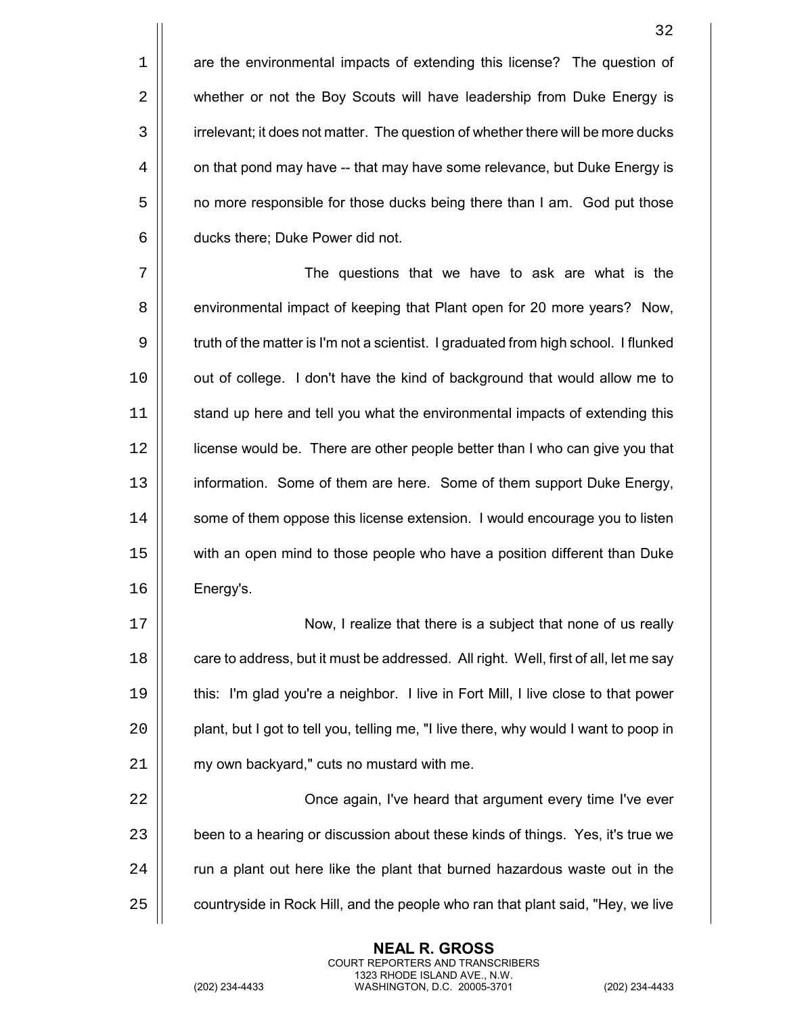1 **are the environmental impacts of extending this license?** The question of 2 | whether or not the Boy Scouts will have leadership from Duke Energy is 3 | irrelevant; it does not matter. The question of whether there will be more ducks  $4 \parallel$  on that pond may have -- that may have some relevance, but Duke Energy is 5 | no more responsible for those ducks being there than I am. God put those  $6 \parallel$  ducks there; Duke Power did not.

7 The questions that we have to ask are what is the 8 **e** environmental impact of keeping that Plant open for 20 more years? Now, 9  $\vert\vert$  truth of the matter is I'm not a scientist. I graduated from high school. I flunked 10 | out of college. I don't have the kind of background that would allow me to 11 | stand up here and tell you what the environmental impacts of extending this 12 license would be. There are other people better than I who can give you that 13 | information. Some of them are here. Some of them support Duke Energy, 14 | some of them oppose this license extension. I would encourage you to listen 15 with an open mind to those people who have a position different than Duke 16 Energy's.

17 | Now, I realize that there is a subject that none of us really 18 **care to address, but it must be addressed. All right. Well, first of all, let me say** 19 this: I'm glad you're a neighbor. I live in Fort Mill, I live close to that power 20 | plant, but I got to tell you, telling me, "I live there, why would I want to poop in 21 | my own backyard," cuts no mustard with me.

22 | Christene again, I've heard that argument every time I've ever 23 | been to a hearing or discussion about these kinds of things. Yes, it's true we  $24$   $\parallel$  run a plant out here like the plant that burned hazardous waste out in the  $25$   $\parallel$  countryside in Rock Hill, and the people who ran that plant said, "Hey, we live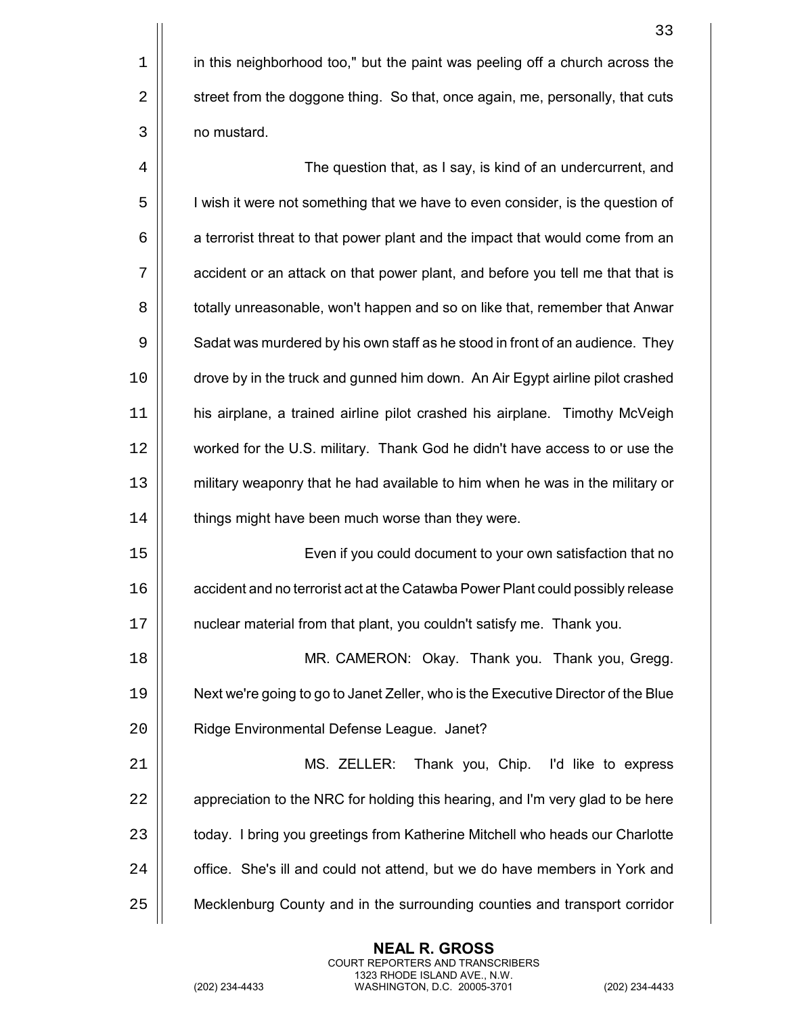1 in this neighborhood too," but the paint was peeling off a church across the 2 | street from the doggone thing. So that, once again, me, personally, that cuts 3 no mustard.

4 | Charles The question that, as I say, is kind of an undercurrent, and 5 | I wish it were not something that we have to even consider, is the question of  $6 \mid$  a terrorist threat to that power plant and the impact that would come from an 7 | accident or an attack on that power plant, and before you tell me that that is 8  $\vert\vert$  totally unreasonable, won't happen and so on like that, remember that Anwar  $9 \mid \mid$  Sadat was murdered by his own staff as he stood in front of an audience. They 10 drove by in the truck and gunned him down. An Air Egypt airline pilot crashed 11 his airplane, a trained airline pilot crashed his airplane. Timothy McVeigh 12 worked for the U.S. military. Thank God he didn't have access to or use the 13 military weaponry that he had available to him when he was in the military or 14 | things might have been much worse than they were.

15 Even if you could document to your own satisfaction that no 16 | | accident and no terrorist act at the Catawba Power Plant could possibly release 17 nuclear material from that plant, you couldn't satisfy me. Thank you.

18 MR. CAMERON: Okay. Thank you. Thank you, Gregg. 19 Next we're going to go to Janet Zeller, who is the Executive Director of the Blue 20 | Ridge Environmental Defense League. Janet?

21 MS. ZELLER: Thank you, Chip. I'd like to express  $22$   $\parallel$  appreciation to the NRC for holding this hearing, and I'm very glad to be here 23 | today. I bring you greetings from Katherine Mitchell who heads our Charlotte 24 | office. She's ill and could not attend, but we do have members in York and 25 Mecklenburg County and in the surrounding counties and transport corridor

> **NEAL R. GROSS** COURT REPORTERS AND TRANSCRIBERS 1323 RHODE ISLAND AVE., N.W.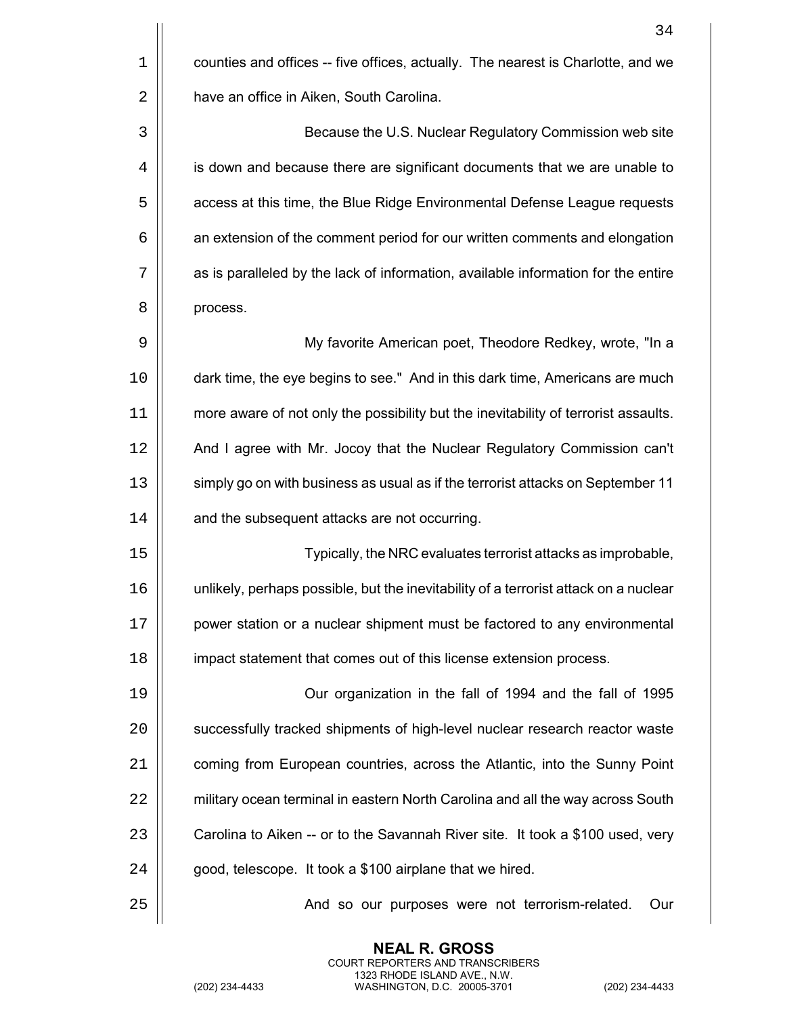|                | 34                                                                                   |
|----------------|--------------------------------------------------------------------------------------|
| $1\,$          | counties and offices -- five offices, actually. The nearest is Charlotte, and we     |
| $\overline{2}$ | have an office in Aiken, South Carolina.                                             |
| $\mathbf{3}$   | Because the U.S. Nuclear Regulatory Commission web site                              |
| $\overline{4}$ | is down and because there are significant documents that we are unable to            |
| 5              | access at this time, the Blue Ridge Environmental Defense League requests            |
| 6              | an extension of the comment period for our written comments and elongation           |
| 7              | as is paralleled by the lack of information, available information for the entire    |
| 8              | process.                                                                             |
| 9              | My favorite American poet, Theodore Redkey, wrote, "In a                             |
| 10             | dark time, the eye begins to see." And in this dark time, Americans are much         |
| 11             | more aware of not only the possibility but the inevitability of terrorist assaults.  |
| 12             | And I agree with Mr. Jocoy that the Nuclear Regulatory Commission can't              |
| 13             | simply go on with business as usual as if the terrorist attacks on September 11      |
| 14             | and the subsequent attacks are not occurring.                                        |
| 15             | Typically, the NRC evaluates terrorist attacks as improbable,                        |
| 16             | unlikely, perhaps possible, but the inevitability of a terrorist attack on a nuclear |
| 17             | power station or a nuclear shipment must be factored to any environmental            |
| 18             | impact statement that comes out of this license extension process.                   |
| 19             | Our organization in the fall of 1994 and the fall of 1995                            |
| 20             | successfully tracked shipments of high-level nuclear research reactor waste          |
| 21             | coming from European countries, across the Atlantic, into the Sunny Point            |
| 22             | military ocean terminal in eastern North Carolina and all the way across South       |
| 23             | Carolina to Aiken -- or to the Savannah River site. It took a \$100 used, very       |
| 24             | good, telescope. It took a \$100 airplane that we hired.                             |
| 25             | And so our purposes were not terrorism-related.<br>Our                               |
|                |                                                                                      |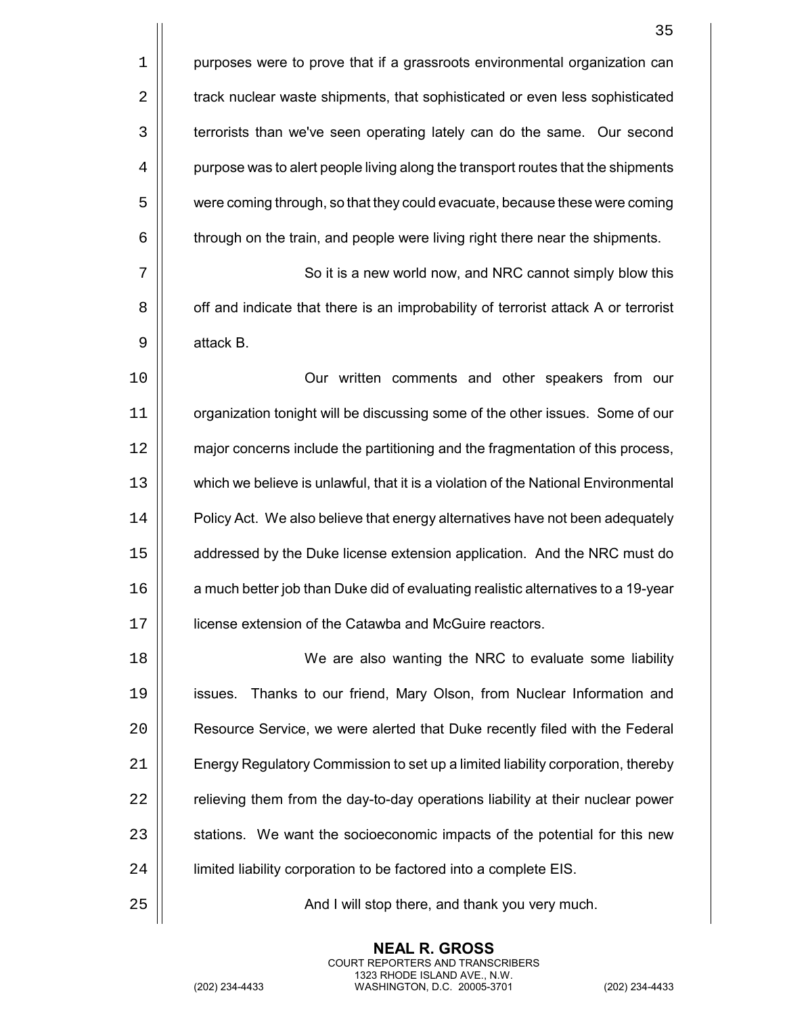|    | 35                                                                                 |
|----|------------------------------------------------------------------------------------|
| 1  | purposes were to prove that if a grassroots environmental organization can         |
| 2  | track nuclear waste shipments, that sophisticated or even less sophisticated       |
| 3  | terrorists than we've seen operating lately can do the same. Our second            |
| 4  | purpose was to alert people living along the transport routes that the shipments   |
| 5  | were coming through, so that they could evacuate, because these were coming        |
| 6  | through on the train, and people were living right there near the shipments.       |
| 7  | So it is a new world now, and NRC cannot simply blow this                          |
| 8  | off and indicate that there is an improbability of terrorist attack A or terrorist |
| 9  | attack B.                                                                          |
| 10 | Our written comments and other speakers from our                                   |
| 11 | organization tonight will be discussing some of the other issues. Some of our      |
| 12 | major concerns include the partitioning and the fragmentation of this process,     |
| 13 | which we believe is unlawful, that it is a violation of the National Environmental |
| 14 | Policy Act. We also believe that energy alternatives have not been adequately      |
| 15 | addressed by the Duke license extension application. And the NRC must do           |
| 16 | a much better job than Duke did of evaluating realistic alternatives to a 19-year  |
| 17 | license extension of the Catawba and McGuire reactors.                             |
| 18 | We are also wanting the NRC to evaluate some liability                             |
| 19 | Thanks to our friend, Mary Olson, from Nuclear Information and<br>issues.          |
| 20 | Resource Service, we were alerted that Duke recently filed with the Federal        |
| 21 | Energy Regulatory Commission to set up a limited liability corporation, thereby    |
| 22 | relieving them from the day-to-day operations liability at their nuclear power     |
| 23 | stations. We want the socioeconomic impacts of the potential for this new          |
| 24 | limited liability corporation to be factored into a complete EIS.                  |
| 25 | And I will stop there, and thank you very much.                                    |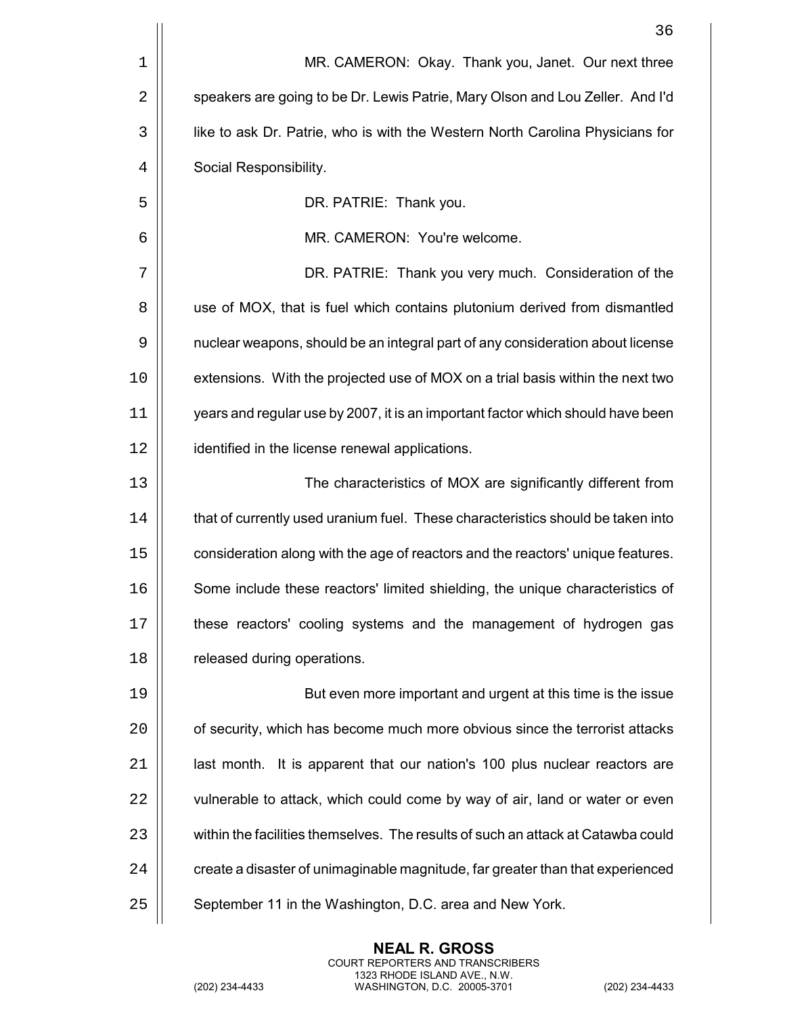| MR. CAMERON: Okay. Thank you, Janet. Our next three                              |
|----------------------------------------------------------------------------------|
| speakers are going to be Dr. Lewis Patrie, Mary Olson and Lou Zeller. And I'd    |
| like to ask Dr. Patrie, who is with the Western North Carolina Physicians for    |
| Social Responsibility.                                                           |
| DR. PATRIE: Thank you.                                                           |
| MR. CAMERON: You're welcome.                                                     |
| DR. PATRIE: Thank you very much. Consideration of the                            |
| use of MOX, that is fuel which contains plutonium derived from dismantled        |
| nuclear weapons, should be an integral part of any consideration about license   |
| extensions. With the projected use of MOX on a trial basis within the next two   |
| years and regular use by 2007, it is an important factor which should have been  |
| identified in the license renewal applications.                                  |
| The characteristics of MOX are significantly different from                      |
| that of currently used uranium fuel. These characteristics should be taken into  |
| consideration along with the age of reactors and the reactors' unique features.  |
| Some include these reactors' limited shielding, the unique characteristics of    |
| these reactors' cooling systems and the management of hydrogen gas               |
| released during operations.                                                      |
| But even more important and urgent at this time is the issue                     |
| of security, which has become much more obvious since the terrorist attacks      |
| last month. It is apparent that our nation's 100 plus nuclear reactors are       |
| vulnerable to attack, which could come by way of air, land or water or even      |
| within the facilities themselves. The results of such an attack at Catawba could |
| create a disaster of unimaginable magnitude, far greater than that experienced   |
| September 11 in the Washington, D.C. area and New York.                          |
|                                                                                  |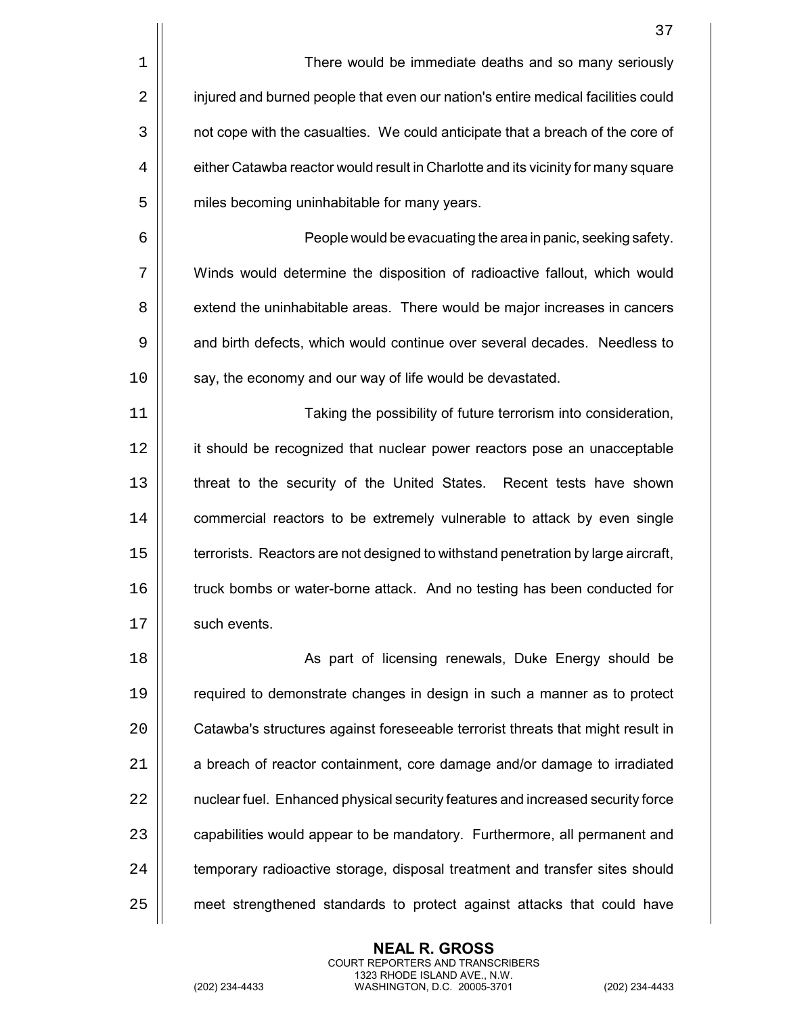|    | 37                                                                                |
|----|-----------------------------------------------------------------------------------|
| 1  | There would be immediate deaths and so many seriously                             |
| 2  | injured and burned people that even our nation's entire medical facilities could  |
| 3  | not cope with the casualties. We could anticipate that a breach of the core of    |
| 4  | either Catawba reactor would result in Charlotte and its vicinity for many square |
| 5  | miles becoming uninhabitable for many years.                                      |
| 6  | People would be evacuating the area in panic, seeking safety.                     |
| 7  | Winds would determine the disposition of radioactive fallout, which would         |
| 8  | extend the uninhabitable areas. There would be major increases in cancers         |
| 9  | and birth defects, which would continue over several decades. Needless to         |
| 10 | say, the economy and our way of life would be devastated.                         |
| 11 | Taking the possibility of future terrorism into consideration,                    |
| 12 | it should be recognized that nuclear power reactors pose an unacceptable          |
| 13 | threat to the security of the United States. Recent tests have shown              |
| 14 | commercial reactors to be extremely vulnerable to attack by even single           |
| 15 | terrorists. Reactors are not designed to withstand penetration by large aircraft, |
| 16 | truck bombs or water-borne attack. And no testing has been conducted for          |
| 17 | such events.                                                                      |
| 18 | As part of licensing renewals, Duke Energy should be                              |
| 19 | required to demonstrate changes in design in such a manner as to protect          |
| 20 | Catawba's structures against foreseeable terrorist threats that might result in   |
| 21 | a breach of reactor containment, core damage and/or damage to irradiated          |
| 22 | nuclear fuel. Enhanced physical security features and increased security force    |
| 23 | capabilities would appear to be mandatory. Furthermore, all permanent and         |
| 24 | temporary radioactive storage, disposal treatment and transfer sites should       |
| 25 | meet strengthened standards to protect against attacks that could have            |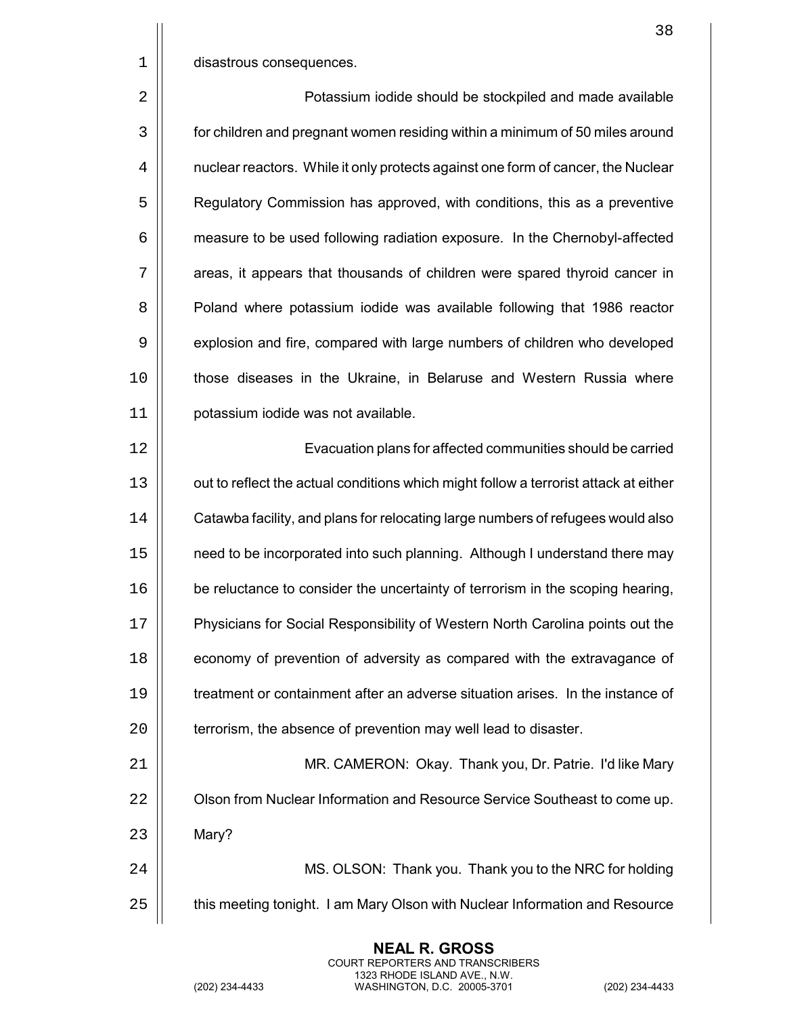|             | 38                                                                                   |
|-------------|--------------------------------------------------------------------------------------|
| $\mathbf 1$ | disastrous consequences.                                                             |
| 2           | Potassium iodide should be stockpiled and made available                             |
| 3           | for children and pregnant women residing within a minimum of 50 miles around         |
| 4           | nuclear reactors. While it only protects against one form of cancer, the Nuclear     |
| 5           | Regulatory Commission has approved, with conditions, this as a preventive            |
| 6           | measure to be used following radiation exposure. In the Chernobyl-affected           |
| 7           | areas, it appears that thousands of children were spared thyroid cancer in           |
| 8           | Poland where potassium iodide was available following that 1986 reactor              |
| 9           | explosion and fire, compared with large numbers of children who developed            |
| 10          | those diseases in the Ukraine, in Belaruse and Western Russia where                  |
| 11          | potassium iodide was not available.                                                  |
| 12          | Evacuation plans for affected communities should be carried                          |
| 13          | out to reflect the actual conditions which might follow a terrorist attack at either |
| 14          | Catawba facility, and plans for relocating large numbers of refugees would also      |
| 15          | need to be incorporated into such planning. Although I understand there may          |
| 16          | be reluctance to consider the uncertainty of terrorism in the scoping hearing,       |
| 17          | Physicians for Social Responsibility of Western North Carolina points out the        |
| 18          | economy of prevention of adversity as compared with the extravagance of              |
| 19          | treatment or containment after an adverse situation arises. In the instance of       |
| 20          | terrorism, the absence of prevention may well lead to disaster.                      |
| 21          | MR. CAMERON: Okay. Thank you, Dr. Patrie. I'd like Mary                              |
| 22          | Olson from Nuclear Information and Resource Service Southeast to come up.            |
| 23          | Mary?                                                                                |
| 24          | MS. OLSON: Thank you. Thank you to the NRC for holding                               |
| 25          | this meeting tonight. I am Mary Olson with Nuclear Information and Resource          |
|             |                                                                                      |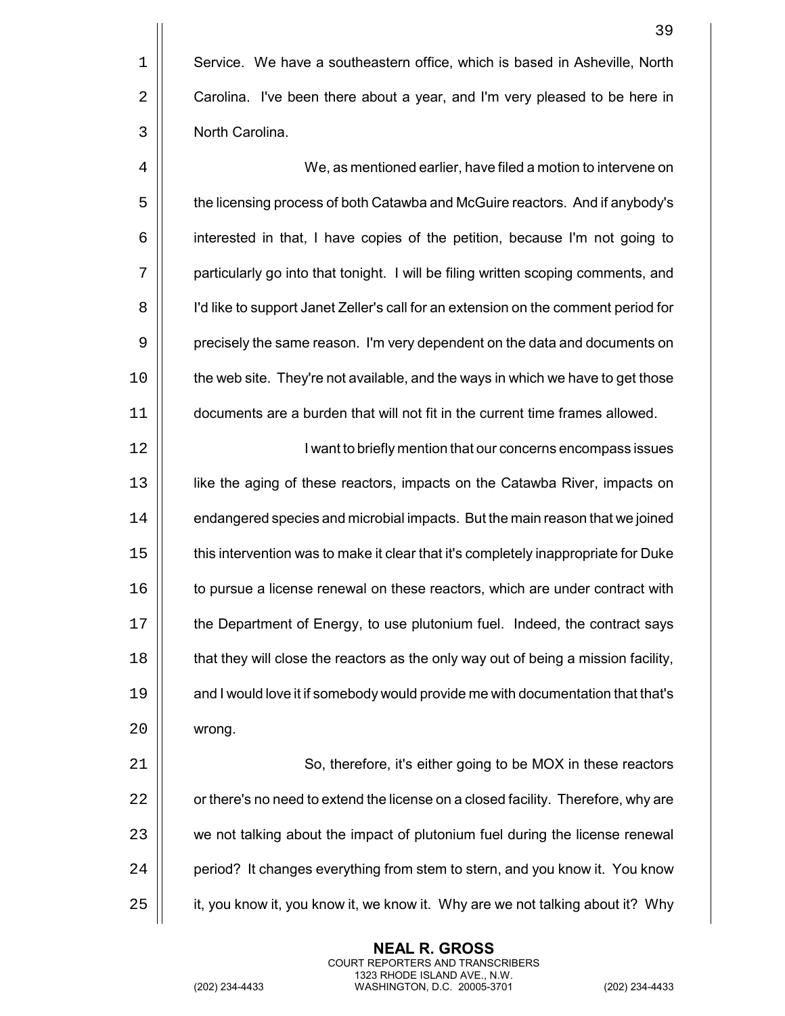We, as mentioned earlier, have filed a motion to intervene on  $\vert\vert$  the licensing process of both Catawba and McGuire reactors. And if anybody's interested in that, I have copies of the petition, because I'm not going to 7 | particularly go into that tonight. I will be filing written scoping comments, and I'd like to support Janet Zeller's call for an extension on the comment period for 9 | precisely the same reason. I'm very dependent on the data and documents on | the web site. They're not available, and the ways in which we have to get those documents are a burden that will not fit in the current time frames allowed.

12 || I want to briefly mention that our concerns encompass issues like the aging of these reactors, impacts on the Catawba River, impacts on 14 | endangered species and microbial impacts. But the main reason that we joined  $\vert\vert$  this intervention was to make it clear that it's completely inappropriate for Duke  $\parallel$  to pursue a license renewal on these reactors, which are under contract with the Department of Energy, to use plutonium fuel. Indeed, the contract says **that they will close the reactors as the only way out of being a mission facility,**  $\parallel$  and I would love it if somebody would provide me with documentation that that's 20 | wrong.

21 | So, therefore, it's either going to be MOX in these reactors 22  $\vert$  or there's no need to extend the license on a closed facility. Therefore, why are 23 | we not talking about the impact of plutonium fuel during the license renewal 24 | period? It changes everything from stem to stern, and you know it. You know 25  $\parallel$  it, you know it, you know it, we know it. Why are we not talking about it? Why

> **NEAL R. GROSS** COURT REPORTERS AND TRANSCRIBERS 1323 RHODE ISLAND AVE., N.W.

39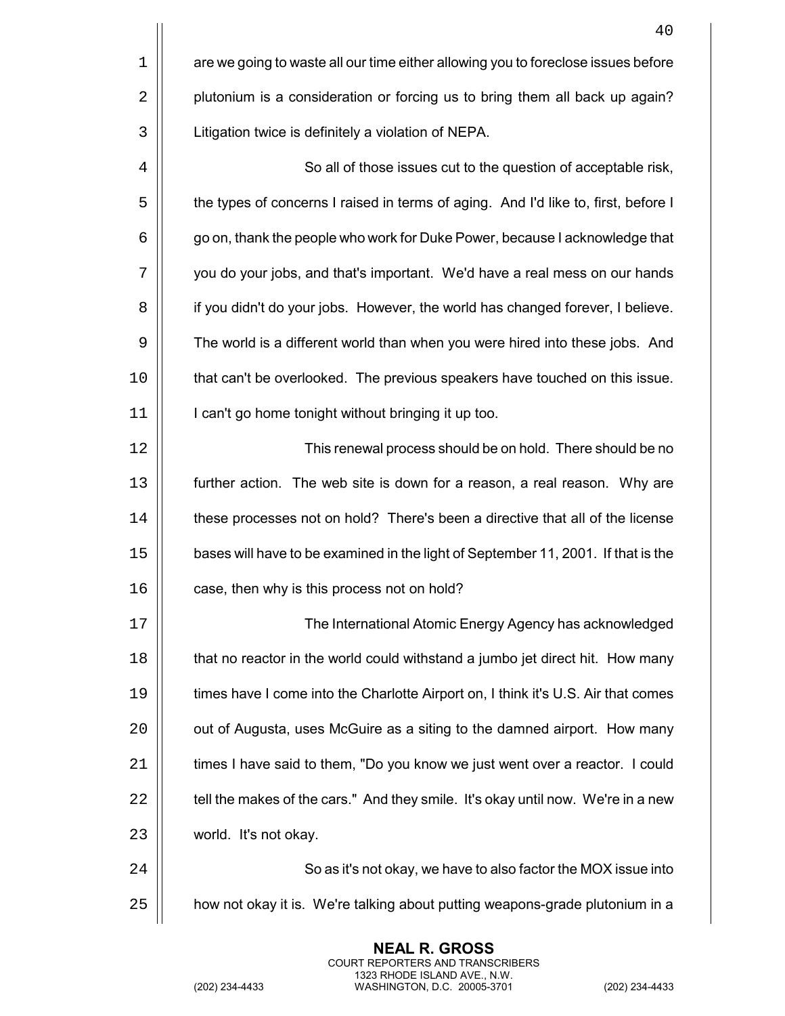|    | 40                                                                                 |
|----|------------------------------------------------------------------------------------|
| 1  | are we going to waste all our time either allowing you to foreclose issues before  |
| 2  | plutonium is a consideration or forcing us to bring them all back up again?        |
| 3  | Litigation twice is definitely a violation of NEPA.                                |
| 4  | So all of those issues cut to the question of acceptable risk,                     |
| 5  | the types of concerns I raised in terms of aging. And I'd like to, first, before I |
| 6  | go on, thank the people who work for Duke Power, because I acknowledge that        |
| 7  | you do your jobs, and that's important. We'd have a real mess on our hands         |
| 8  | if you didn't do your jobs. However, the world has changed forever, I believe.     |
| 9  | The world is a different world than when you were hired into these jobs. And       |
| 10 | that can't be overlooked. The previous speakers have touched on this issue.        |
| 11 | I can't go home tonight without bringing it up too.                                |
| 12 | This renewal process should be on hold. There should be no                         |
| 13 | further action. The web site is down for a reason, a real reason. Why are          |
| 14 | these processes not on hold? There's been a directive that all of the license      |
| 15 | bases will have to be examined in the light of September 11, 2001. If that is the  |
| 16 | case, then why is this process not on hold?                                        |
| 17 | The International Atomic Energy Agency has acknowledged                            |
| 18 | that no reactor in the world could withstand a jumbo jet direct hit. How many      |
| 19 | times have I come into the Charlotte Airport on, I think it's U.S. Air that comes  |
| 20 | out of Augusta, uses McGuire as a siting to the damned airport. How many           |
| 21 | times I have said to them, "Do you know we just went over a reactor. I could       |
| 22 | tell the makes of the cars." And they smile. It's okay until now. We're in a new   |
| 23 | world. It's not okay.                                                              |
| 24 | So as it's not okay, we have to also factor the MOX issue into                     |
| 25 | how not okay it is. We're talking about putting weapons-grade plutonium in a       |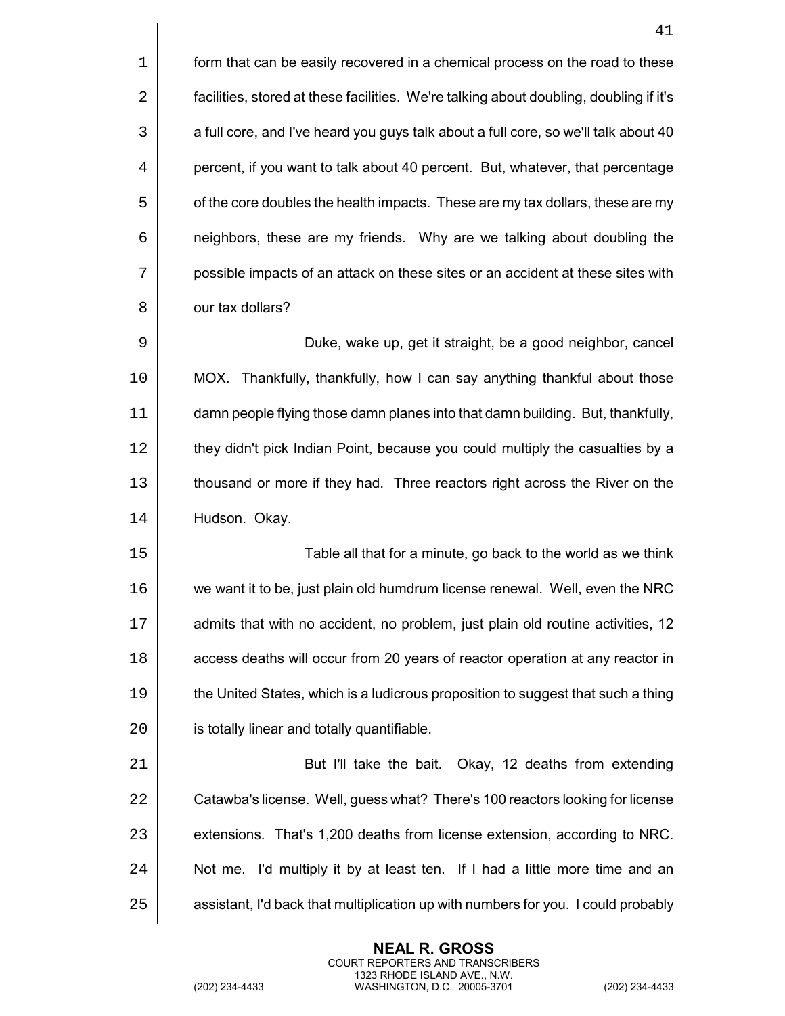|            | 41                                                                                     |
|------------|----------------------------------------------------------------------------------------|
| 1          | form that can be easily recovered in a chemical process on the road to these           |
| $\sqrt{2}$ | facilities, stored at these facilities. We're talking about doubling, doubling if it's |
| 3          | a full core, and I've heard you guys talk about a full core, so we'll talk about 40    |
| 4          | percent, if you want to talk about 40 percent. But, whatever, that percentage          |
| 5          | of the core doubles the health impacts. These are my tax dollars, these are my         |
| 6          | neighbors, these are my friends. Why are we talking about doubling the                 |
| 7          | possible impacts of an attack on these sites or an accident at these sites with        |
| 8          | our tax dollars?                                                                       |
| 9          | Duke, wake up, get it straight, be a good neighbor, cancel                             |
| 10         | MOX. Thankfully, thankfully, how I can say anything thankful about those               |
| 11         | damn people flying those damn planes into that damn building. But, thankfully,         |
| 12         | they didn't pick Indian Point, because you could multiply the casualties by a          |
| 13         | thousand or more if they had. Three reactors right across the River on the             |
| 14         | Hudson. Okay.                                                                          |
| 15         | Table all that for a minute, go back to the world as we think                          |
| 16         | we want it to be, just plain old humdrum license renewal. Well, even the NRC           |
| 17         | admits that with no accident, no problem, just plain old routine activities, 12        |
| 18         | access deaths will occur from 20 years of reactor operation at any reactor in          |
| 19         | the United States, which is a ludicrous proposition to suggest that such a thing       |
| 20         | is totally linear and totally quantifiable.                                            |
| 21         | But I'll take the bait. Okay, 12 deaths from extending                                 |
| 22         | Catawba's license. Well, guess what? There's 100 reactors looking for license          |
| 23         | extensions. That's 1,200 deaths from license extension, according to NRC.              |
| 24         | Not me. I'd multiply it by at least ten. If I had a little more time and an            |
| 25         | assistant, I'd back that multiplication up with numbers for you. I could probably      |
|            |                                                                                        |

(202) 234-4433 WASHINGTON, D.C. 20005-3701 (202) 234-4433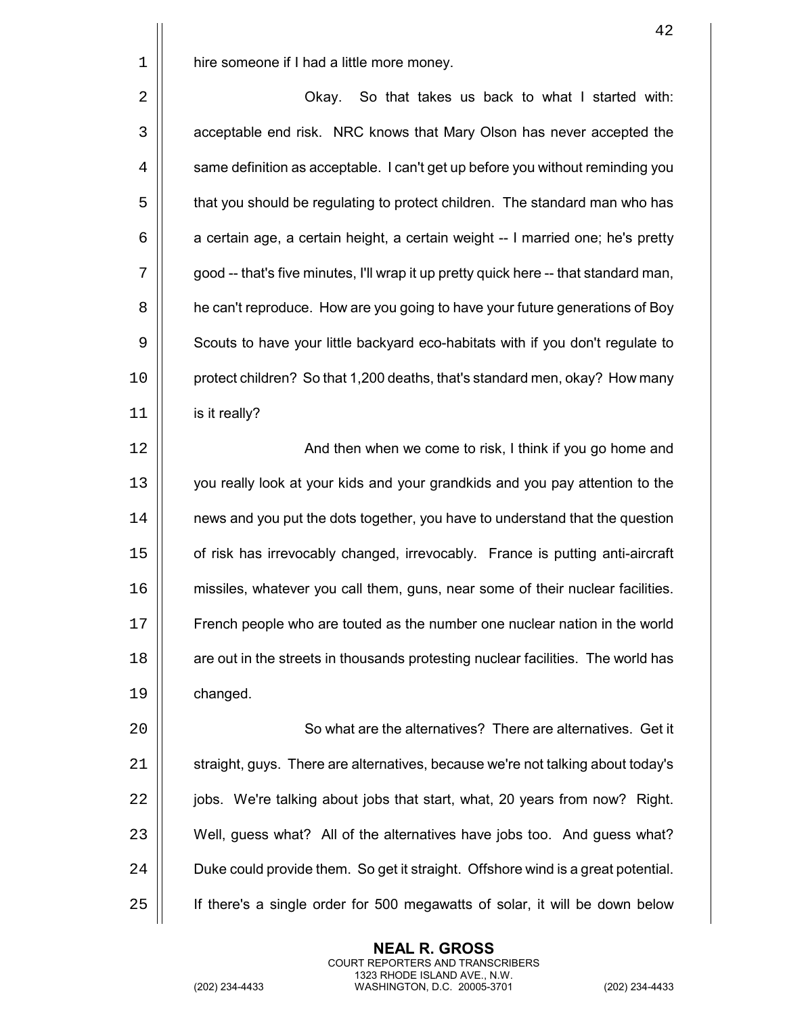|             | 42                                                                                   |
|-------------|--------------------------------------------------------------------------------------|
| $\mathbf 1$ | hire someone if I had a little more money.                                           |
| 2           | So that takes us back to what I started with:<br>Okay.                               |
| 3           | acceptable end risk. NRC knows that Mary Olson has never accepted the                |
| 4           | same definition as acceptable. I can't get up before you without reminding you       |
| 5           | that you should be regulating to protect children. The standard man who has          |
| 6           | a certain age, a certain height, a certain weight -- I married one; he's pretty      |
| 7           | good -- that's five minutes, I'll wrap it up pretty quick here -- that standard man, |
| 8           | he can't reproduce. How are you going to have your future generations of Boy         |
| 9           | Scouts to have your little backyard eco-habitats with if you don't regulate to       |
| 10          | protect children? So that 1,200 deaths, that's standard men, okay? How many          |
| 11          | is it really?                                                                        |
| 12          | And then when we come to risk, I think if you go home and                            |
| 13          | you really look at your kids and your grandkids and you pay attention to the         |
| 14          | news and you put the dots together, you have to understand that the question         |
| 15          | of risk has irrevocably changed, irrevocably. France is putting anti-aircraft        |
| 16          | missiles, whatever you call them, guns, near some of their nuclear facilities.       |
| 17          | French people who are touted as the number one nuclear nation in the world           |
| 18          | are out in the streets in thousands protesting nuclear facilities. The world has     |
| 19          | changed.                                                                             |
| 20          | So what are the alternatives? There are alternatives. Get it                         |
| 21          | straight, guys. There are alternatives, because we're not talking about today's      |
| 22          | jobs. We're talking about jobs that start, what, 20 years from now? Right.           |
| 23          | Well, guess what? All of the alternatives have jobs too. And guess what?             |
| 24          | Duke could provide them. So get it straight. Offshore wind is a great potential.     |
| 25          | If there's a single order for 500 megawatts of solar, it will be down below          |

(202) 234-4433 WASHINGTON, D.C. 20005-3701 (202) 234-4433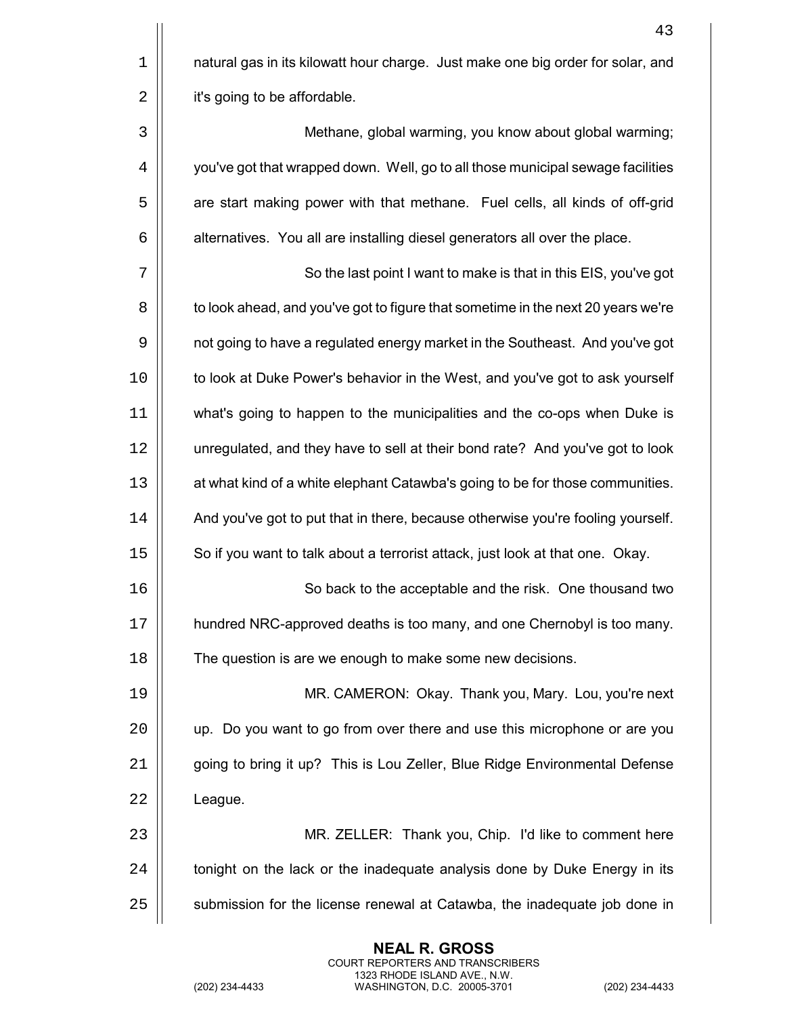$1$  | natural gas in its kilowatt hour charge. Just make one big order for solar, and  $2$  | it's going to be affordable.

3 Methane, global warming, you know about global warming; 4  $\vert\vert$  you've got that wrapped down. Well, go to all those municipal sewage facilities 5 | are start making power with that methane. Fuel cells, all kinds of off-grid  $6 \parallel$  alternatives. You all are installing diesel generators all over the place.

7 || So the last point I want to make is that in this EIS, you've got 8  $\vert\vert$  to look ahead, and you've got to figure that sometime in the next 20 years we're 9  $\vert\vert$  not going to have a regulated energy market in the Southeast. And you've got 10 | to look at Duke Power's behavior in the West, and you've got to ask yourself 11 what's going to happen to the municipalities and the co-ops when Duke is 12 unregulated, and they have to sell at their bond rate? And you've got to look 13 | at what kind of a white elephant Catawba's going to be for those communities. 14  $\vert\vert$  And you've got to put that in there, because otherwise you're fooling yourself. 15 | So if you want to talk about a terrorist attack, just look at that one. Okay.

16 So back to the acceptable and the risk. One thousand two 17 hundred NRC-approved deaths is too many, and one Chernobyl is too many. 18 | The question is are we enough to make some new decisions.

19 MR. CAMERON: Okay. Thank you, Mary. Lou, you're next 20 | up. Do you want to go from over there and use this microphone or are you 21 | going to bring it up? This is Lou Zeller, Blue Ridge Environmental Defense  $22$  | League.

23 MR. ZELLER: Thank you, Chip. I'd like to comment here  $24$   $\parallel$  tonight on the lack or the inadequate analysis done by Duke Energy in its 25 | submission for the license renewal at Catawba, the inadequate job done in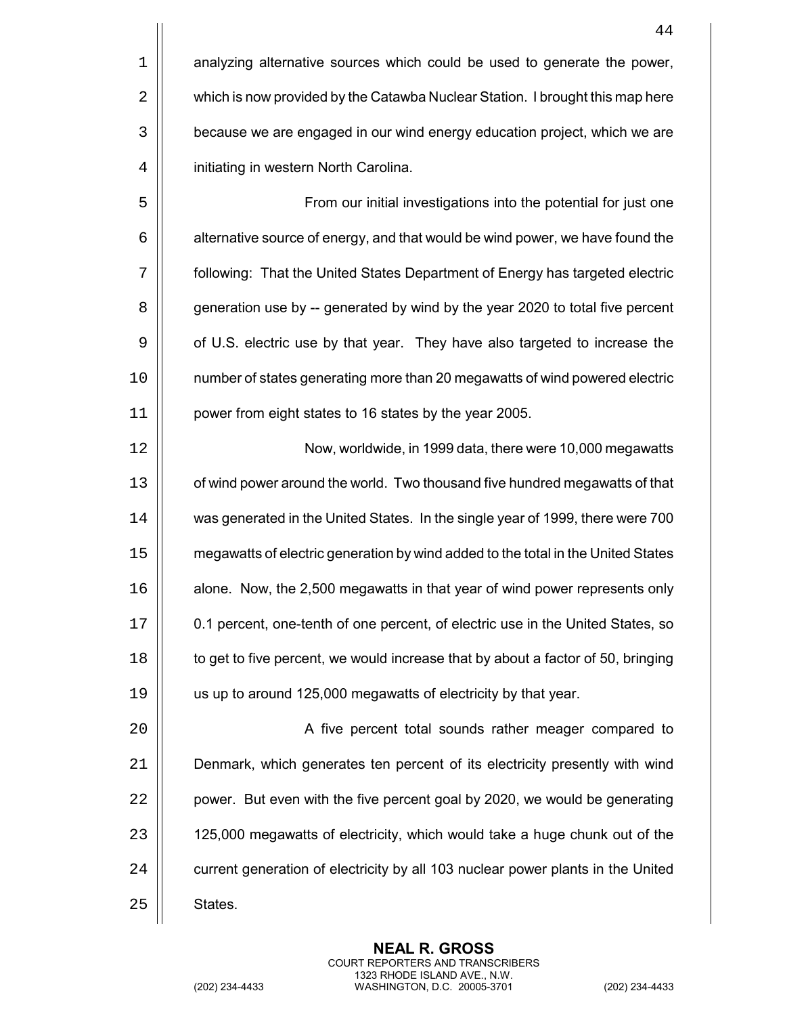|    | 44                                                                               |
|----|----------------------------------------------------------------------------------|
| 1  | analyzing alternative sources which could be used to generate the power,         |
| 2  | which is now provided by the Catawba Nuclear Station. I brought this map here    |
| 3  | because we are engaged in our wind energy education project, which we are        |
| 4  | initiating in western North Carolina.                                            |
| 5  | From our initial investigations into the potential for just one                  |
| 6  | alternative source of energy, and that would be wind power, we have found the    |
| 7  | following: That the United States Department of Energy has targeted electric     |
| 8  | generation use by -- generated by wind by the year 2020 to total five percent    |
| 9  | of U.S. electric use by that year. They have also targeted to increase the       |
| 10 | number of states generating more than 20 megawatts of wind powered electric      |
| 11 | power from eight states to 16 states by the year 2005.                           |
| 12 | Now, worldwide, in 1999 data, there were 10,000 megawatts                        |
| 13 | of wind power around the world. Two thousand five hundred megawatts of that      |
| 14 | was generated in the United States. In the single year of 1999, there were 700   |
| 15 | megawatts of electric generation by wind added to the total in the United States |
| 16 | alone. Now, the 2,500 megawatts in that year of wind power represents only       |
| 17 | 0.1 percent, one-tenth of one percent, of electric use in the United States, so  |
| 18 | to get to five percent, we would increase that by about a factor of 50, bringing |
| 19 | us up to around 125,000 megawatts of electricity by that year.                   |
| 20 | A five percent total sounds rather meager compared to                            |
| 21 | Denmark, which generates ten percent of its electricity presently with wind      |
| 22 | power. But even with the five percent goal by 2020, we would be generating       |
| 23 | 125,000 megawatts of electricity, which would take a huge chunk out of the       |

 $\left| \right|$  current generation of electricity by all 103 nuclear power plants in the United

States.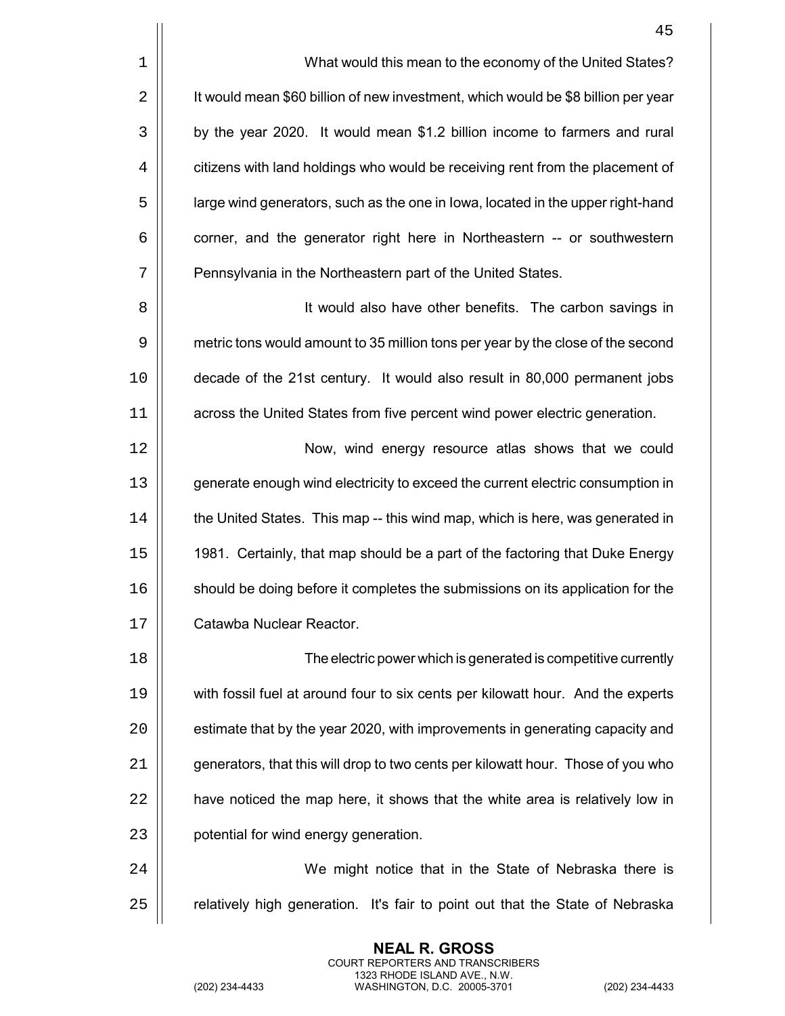|                | 45                                                                                |
|----------------|-----------------------------------------------------------------------------------|
| 1              | What would this mean to the economy of the United States?                         |
| $\overline{2}$ | It would mean \$60 billion of new investment, which would be \$8 billion per year |
| 3              | by the year 2020. It would mean \$1.2 billion income to farmers and rural         |
| 4              | citizens with land holdings who would be receiving rent from the placement of     |
| 5              | large wind generators, such as the one in lowa, located in the upper right-hand   |
| 6              | corner, and the generator right here in Northeastern -- or southwestern           |
| 7              | Pennsylvania in the Northeastern part of the United States.                       |
| 8              | It would also have other benefits. The carbon savings in                          |
| 9              | metric tons would amount to 35 million tons per year by the close of the second   |
| 10             | decade of the 21st century. It would also result in 80,000 permanent jobs         |
| 11             | across the United States from five percent wind power electric generation.        |
| 12             | Now, wind energy resource atlas shows that we could                               |
| 13             | generate enough wind electricity to exceed the current electric consumption in    |
| 14             | the United States. This map -- this wind map, which is here, was generated in     |
| 15             | 1981. Certainly, that map should be a part of the factoring that Duke Energy      |
| 16             | should be doing before it completes the submissions on its application for the    |
| 17             | Catawba Nuclear Reactor.                                                          |
| 18             | The electric power which is generated is competitive currently                    |
| 19             | with fossil fuel at around four to six cents per kilowatt hour. And the experts   |
| 20             | estimate that by the year 2020, with improvements in generating capacity and      |
| 21             | generators, that this will drop to two cents per kilowatt hour. Those of you who  |
| 22             | have noticed the map here, it shows that the white area is relatively low in      |

| potential for wind energy generation.

24 | We might notice that in the State of Nebraska there is | relatively high generation. It's fair to point out that the State of Nebraska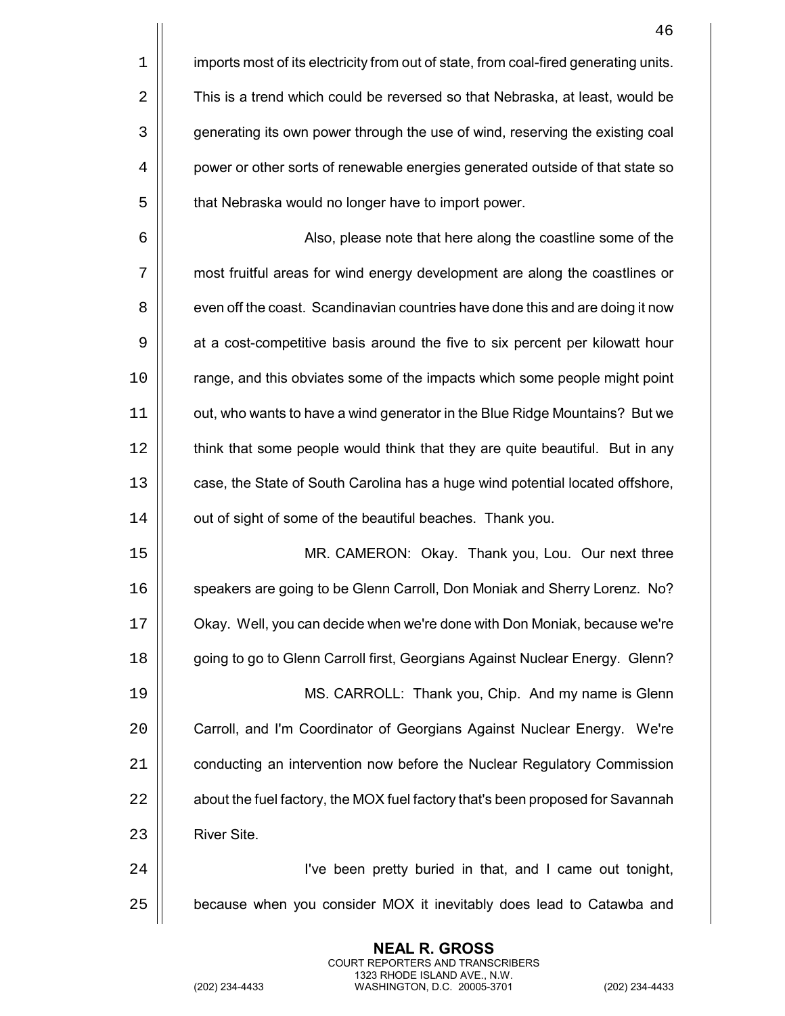|             | 46                                                                                   |
|-------------|--------------------------------------------------------------------------------------|
| $\mathbf 1$ | imports most of its electricity from out of state, from coal-fired generating units. |
| 2           | This is a trend which could be reversed so that Nebraska, at least, would be         |
| 3           | generating its own power through the use of wind, reserving the existing coal        |
| 4           | power or other sorts of renewable energies generated outside of that state so        |
| 5           | that Nebraska would no longer have to import power.                                  |
| 6           | Also, please note that here along the coastline some of the                          |
| 7           | most fruitful areas for wind energy development are along the coastlines or          |
| 8           | even off the coast. Scandinavian countries have done this and are doing it now       |
| 9           | at a cost-competitive basis around the five to six percent per kilowatt hour         |
| 10          | range, and this obviates some of the impacts which some people might point           |
| 11          | out, who wants to have a wind generator in the Blue Ridge Mountains? But we          |
| 12          | think that some people would think that they are quite beautiful. But in any         |
| 13          | case, the State of South Carolina has a huge wind potential located offshore,        |
| 14          | out of sight of some of the beautiful beaches. Thank you.                            |
| 15          | MR. CAMERON: Okay. Thank you, Lou. Our next three                                    |
| 16          | speakers are going to be Glenn Carroll, Don Moniak and Sherry Lorenz. No?            |
| 17          | Okay. Well, you can decide when we're done with Don Moniak, because we're            |
| 18          | going to go to Glenn Carroll first, Georgians Against Nuclear Energy. Glenn?         |
| 19          | MS. CARROLL: Thank you, Chip. And my name is Glenn                                   |
| 20          | Carroll, and I'm Coordinator of Georgians Against Nuclear Energy. We're              |
| 21          | conducting an intervention now before the Nuclear Regulatory Commission              |
| 22          | about the fuel factory, the MOX fuel factory that's been proposed for Savannah       |
| 23          | River Site.                                                                          |
| 24          | I've been pretty buried in that, and I came out tonight,                             |
| 25          | because when you consider MOX it inevitably does lead to Catawba and                 |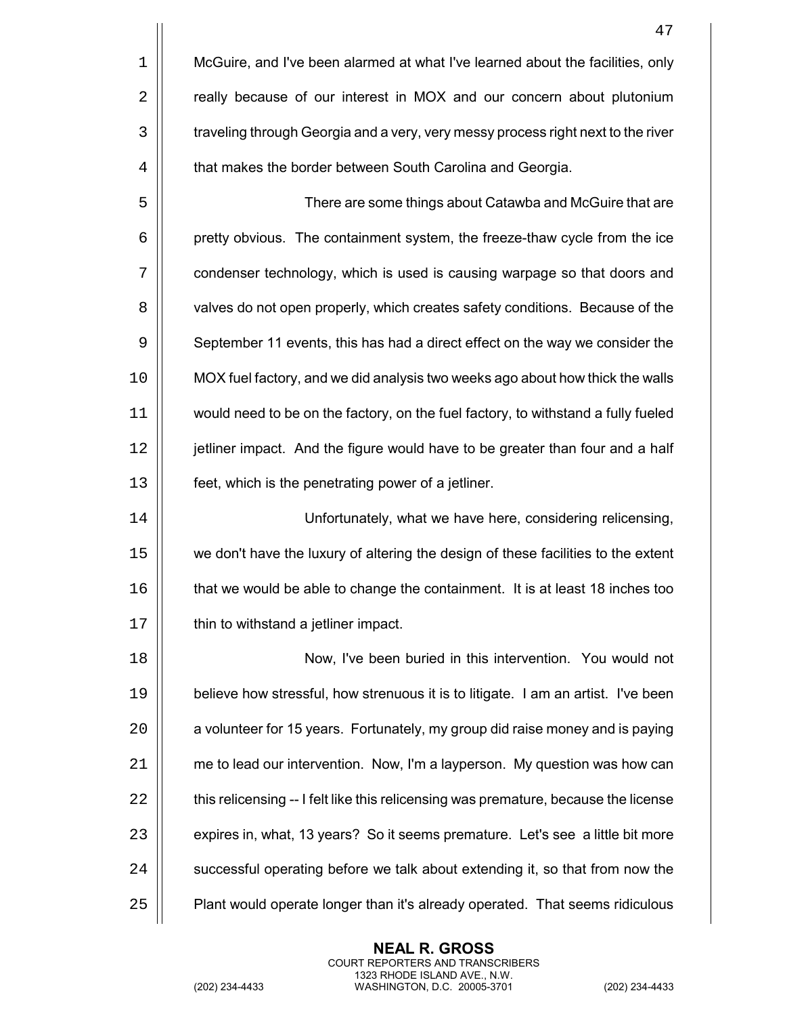|    | 47                                                                                  |
|----|-------------------------------------------------------------------------------------|
| 1  | McGuire, and I've been alarmed at what I've learned about the facilities, only      |
| 2  | really because of our interest in MOX and our concern about plutonium               |
| 3  | traveling through Georgia and a very, very messy process right next to the river    |
| 4  | that makes the border between South Carolina and Georgia.                           |
| 5  | There are some things about Catawba and McGuire that are                            |
| 6  | pretty obvious. The containment system, the freeze-thaw cycle from the ice          |
| 7  | condenser technology, which is used is causing warpage so that doors and            |
| 8  | valves do not open properly, which creates safety conditions. Because of the        |
| 9  | September 11 events, this has had a direct effect on the way we consider the        |
| 10 | MOX fuel factory, and we did analysis two weeks ago about how thick the walls       |
| 11 | would need to be on the factory, on the fuel factory, to withstand a fully fueled   |
| 12 | jetliner impact. And the figure would have to be greater than four and a half       |
| 13 | feet, which is the penetrating power of a jetliner.                                 |
| 14 | Unfortunately, what we have here, considering relicensing,                          |
| 15 | we don't have the luxury of altering the design of these facilities to the extent   |
| 16 | that we would be able to change the containment. It is at least 18 inches too       |
| 17 | thin to withstand a jetliner impact.                                                |
| 18 | Now, I've been buried in this intervention. You would not                           |
| 19 | believe how stressful, how strenuous it is to litigate. I am an artist. I've been   |
| 20 | a volunteer for 15 years. Fortunately, my group did raise money and is paying       |
| 21 | me to lead our intervention. Now, I'm a layperson. My question was how can          |
| 22 | this relicensing -- I felt like this relicensing was premature, because the license |
| 23 | expires in, what, 13 years? So it seems premature. Let's see a little bit more      |
| 24 | successful operating before we talk about extending it, so that from now the        |
| 25 | Plant would operate longer than it's already operated. That seems ridiculous        |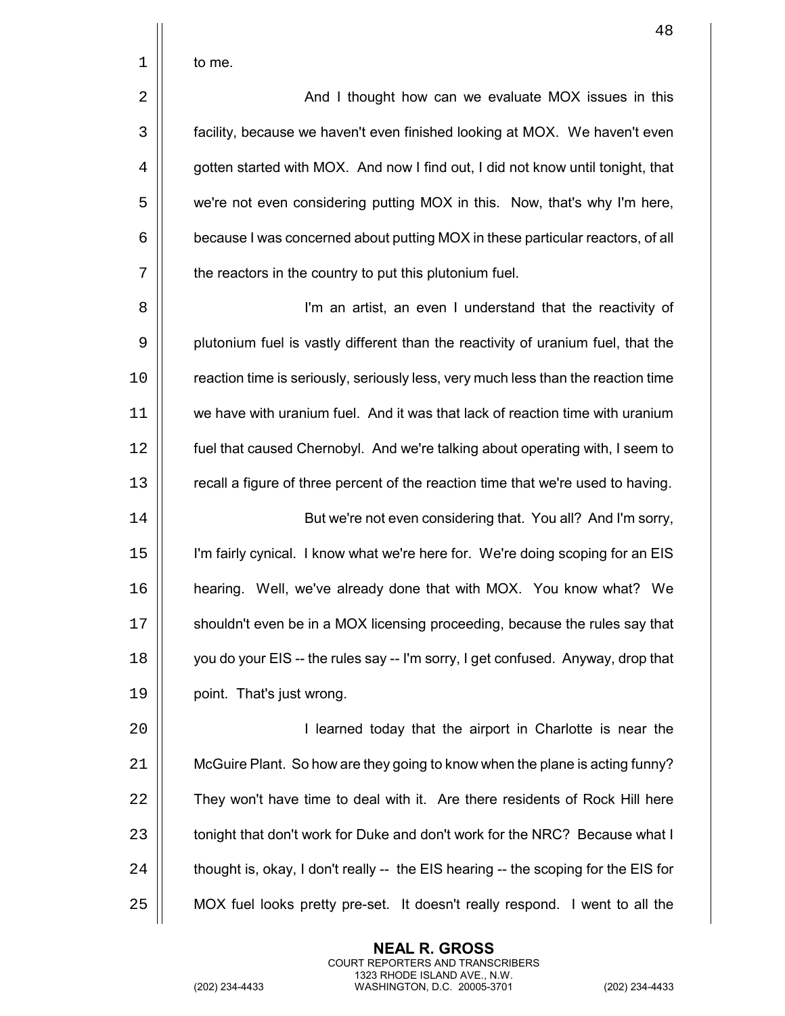| to me. |
|--------|
|        |

2 | And I thought how can we evaluate MOX issues in this facility, because we haven't even finished looking at MOX. We haven't even  $\parallel$  gotten started with MOX. And now I find out, I did not know until tonight, that 5 | we're not even considering putting MOX in this. Now, that's why I'm here,  $\vert\vert$  because I was concerned about putting MOX in these particular reactors, of all  $\vert\vert$  the reactors in the country to put this plutonium fuel.

8 || **I'm an artist, an even I understand that the reactivity of** 9 | plutonium fuel is vastly different than the reactivity of uranium fuel, that the 10 | reaction time is seriously, seriously less, very much less than the reaction time 11 we have with uranium fuel. And it was that lack of reaction time with uranium 12 fuel that caused Chernobyl. And we're talking about operating with, I seem to 13 | recall a figure of three percent of the reaction time that we're used to having.

14 | But we're not even considering that. You all? And I'm sorry, 15 I'm fairly cynical. I know what we're here for. We're doing scoping for an EIS 16 hearing. Well, we've already done that with MOX. You know what? We 17 | shouldn't even be in a MOX licensing proceeding, because the rules say that 18  $\parallel$  you do your EIS -- the rules say -- I'm sorry, I get confused. Anyway, drop that 19 | point. That's just wrong.

20 | **I** learned today that the airport in Charlotte is near the 21 McGuire Plant. So how are they going to know when the plane is acting funny? 22 | They won't have time to deal with it. Are there residents of Rock Hill here 23 | tonight that don't work for Duke and don't work for the NRC? Because what I  $24$   $\parallel$  thought is, okay, I don't really -- the EIS hearing -- the scoping for the EIS for 25 MOX fuel looks pretty pre-set. It doesn't really respond. I went to all the

> **NEAL R. GROSS** COURT REPORTERS AND TRANSCRIBERS 1323 RHODE ISLAND AVE., N.W.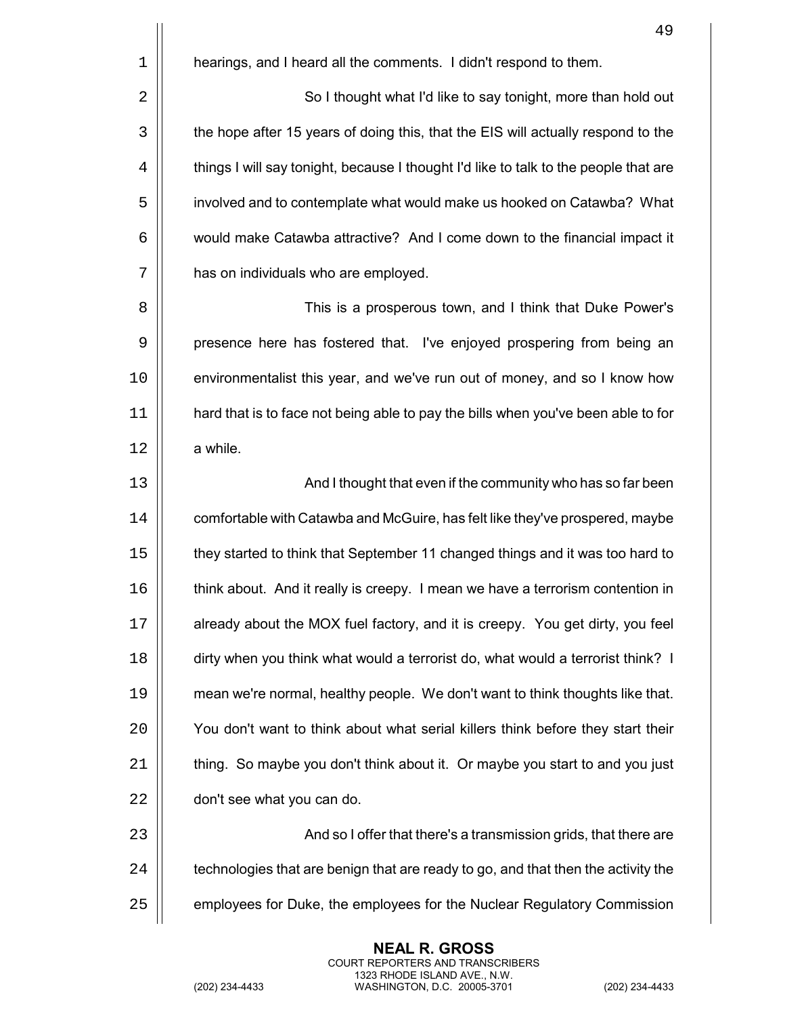|                | 49                                                                                   |
|----------------|--------------------------------------------------------------------------------------|
| $\mathbf 1$    | hearings, and I heard all the comments. I didn't respond to them.                    |
| $\overline{2}$ | So I thought what I'd like to say tonight, more than hold out                        |
| 3              | the hope after 15 years of doing this, that the EIS will actually respond to the     |
| 4              | things I will say tonight, because I thought I'd like to talk to the people that are |
| 5              | involved and to contemplate what would make us hooked on Catawba? What               |
| 6              | would make Catawba attractive? And I come down to the financial impact it            |
| 7              | has on individuals who are employed.                                                 |
| 8              | This is a prosperous town, and I think that Duke Power's                             |
| 9              | presence here has fostered that. I've enjoyed prospering from being an               |
| 10             | environmentalist this year, and we've run out of money, and so I know how            |
| 11             | hard that is to face not being able to pay the bills when you've been able to for    |
| 12             | a while.                                                                             |
| 13             | And I thought that even if the community who has so far been                         |
| 14             | comfortable with Catawba and McGuire, has felt like they've prospered, maybe         |
| 15             | they started to think that September 11 changed things and it was too hard to        |
| 16             | think about. And it really is creepy. I mean we have a terrorism contention in       |
| 17             | already about the MOX fuel factory, and it is creepy. You get dirty, you feel        |
| 18             | dirty when you think what would a terrorist do, what would a terrorist think? I      |
| 19             | mean we're normal, healthy people. We don't want to think thoughts like that.        |
| 20             | You don't want to think about what serial killers think before they start their      |
| 21             | thing. So maybe you don't think about it. Or maybe you start to and you just         |
| 22             | don't see what you can do.                                                           |
| 23             | And so I offer that there's a transmission grids, that there are                     |
| 24             | technologies that are benign that are ready to go, and that then the activity the    |
| 25             | employees for Duke, the employees for the Nuclear Regulatory Commission              |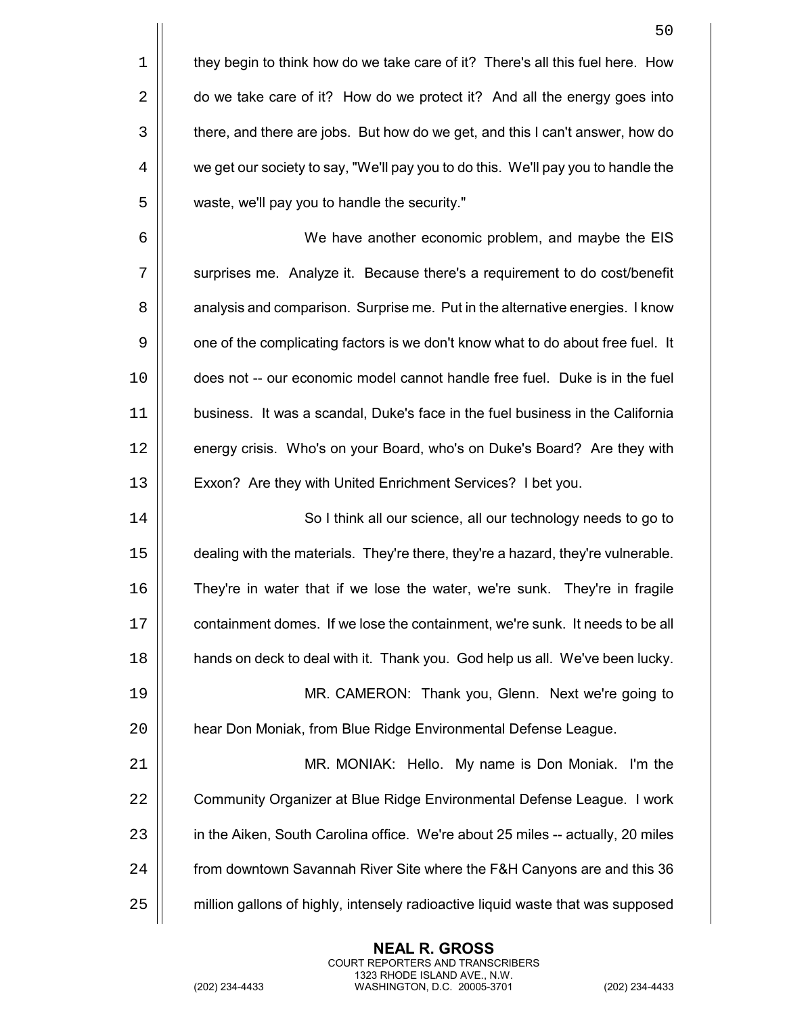|    | 50                                                                                |
|----|-----------------------------------------------------------------------------------|
| 1  | they begin to think how do we take care of it? There's all this fuel here. How    |
| 2  | do we take care of it? How do we protect it? And all the energy goes into         |
| 3  | there, and there are jobs. But how do we get, and this I can't answer, how do     |
| 4  | we get our society to say, "We'll pay you to do this. We'll pay you to handle the |
| 5  | waste, we'll pay you to handle the security."                                     |
| 6  | We have another economic problem, and maybe the EIS                               |
| 7  | surprises me. Analyze it. Because there's a requirement to do cost/benefit        |
| 8  | analysis and comparison. Surprise me. Put in the alternative energies. I know     |
| 9  | one of the complicating factors is we don't know what to do about free fuel. It   |
| 10 | does not -- our economic model cannot handle free fuel. Duke is in the fuel       |
| 11 | business. It was a scandal, Duke's face in the fuel business in the California    |
| 12 | energy crisis. Who's on your Board, who's on Duke's Board? Are they with          |
| 13 | Exxon? Are they with United Enrichment Services? I bet you.                       |
| 14 | So I think all our science, all our technology needs to go to                     |
| 15 | dealing with the materials. They're there, they're a hazard, they're vulnerable.  |
| 16 | They're in water that if we lose the water, we're sunk. They're in fragile        |
| 17 | containment domes. If we lose the containment, we're sunk. It needs to be all     |
| 18 | hands on deck to deal with it. Thank you. God help us all. We've been lucky.      |
| 19 | MR. CAMERON: Thank you, Glenn. Next we're going to                                |
| 20 | hear Don Moniak, from Blue Ridge Environmental Defense League.                    |
| 21 | MR. MONIAK: Hello. My name is Don Moniak. I'm the                                 |
| 22 | Community Organizer at Blue Ridge Environmental Defense League. I work            |
| 23 | in the Aiken, South Carolina office. We're about 25 miles -- actually, 20 miles   |
| 24 | from downtown Savannah River Site where the F&H Canyons are and this 36           |
| 25 | million gallons of highly, intensely radioactive liquid waste that was supposed   |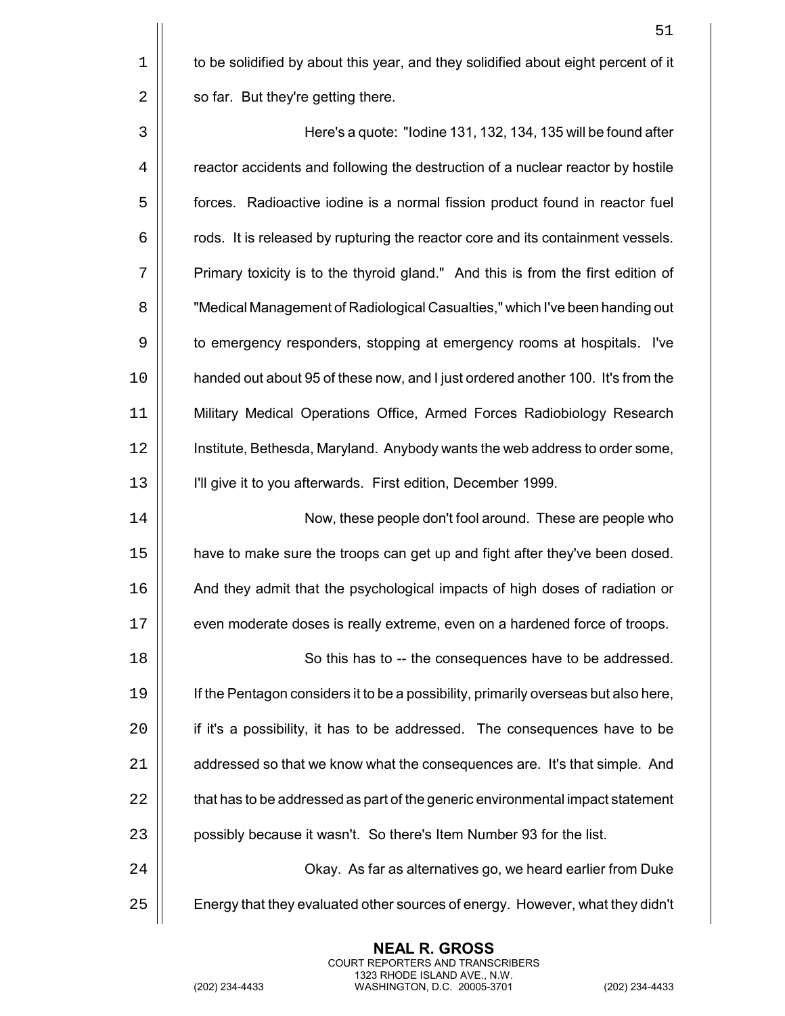$1 \parallel$  to be solidified by about this year, and they solidified about eight percent of it  $2 \parallel$  so far. But they're getting there.

 Here's a quote: "Iodine 131, 132, 134, 135 will be found after 4 | reactor accidents and following the destruction of a nuclear reactor by hostile 5 | forces. Radioactive iodine is a normal fission product found in reactor fuel  $6 \mid$  rods. It is released by rupturing the reactor core and its containment vessels. 7 | Primary toxicity is to the thyroid gland." And this is from the first edition of "Medical Management of Radiological Casualties," which I've been handing out  $\vert\vert$  to emergency responders, stopping at emergency rooms at hospitals. I've handed out about 95 of these now, and I just ordered another 100. It's from the Military Medical Operations Office, Armed Forces Radiobiology Research Institute, Bethesda, Maryland. Anybody wants the web address to order some, I'll give it to you afterwards. First edition, December 1999.

14 | Now, these people don't fool around. These are people who 15 have to make sure the troops can get up and fight after they've been dosed. 16 And they admit that the psychological impacts of high doses of radiation or 17 | even moderate doses is really extreme, even on a hardened force of troops.

18 || So this has to -- the consequences have to be addressed. 19 | If the Pentagon considers it to be a possibility, primarily overseas but also here, 20 | if it's a possibility, it has to be addressed. The consequences have to be 21 | addressed so that we know what the consequences are. It's that simple. And  $22$   $\parallel$  that has to be addressed as part of the generic environmental impact statement 23 | possibly because it wasn't. So there's Item Number 93 for the list.

24 Okay. As far as alternatives go, we heard earlier from Duke 25  $\vert$  Energy that they evaluated other sources of energy. However, what they didn't

> **NEAL R. GROSS** COURT REPORTERS AND TRANSCRIBERS 1323 RHODE ISLAND AVE., N.W.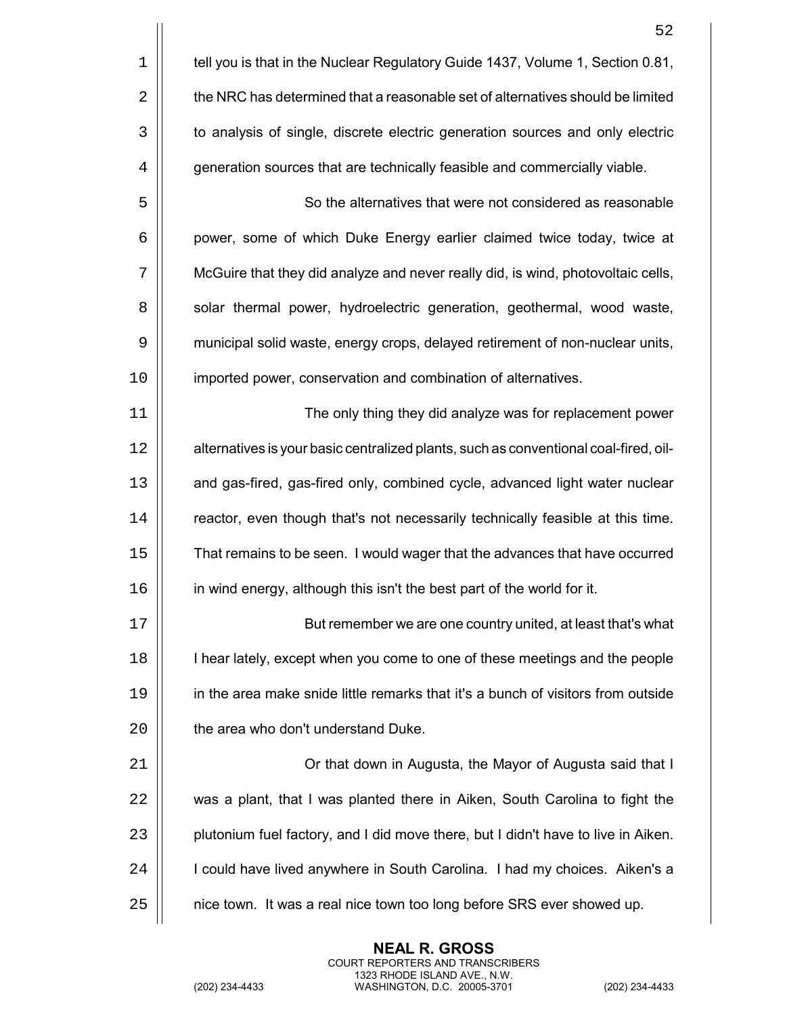|             | 52                                                                                   |
|-------------|--------------------------------------------------------------------------------------|
| $\mathbf 1$ | tell you is that in the Nuclear Regulatory Guide 1437, Volume 1, Section 0.81,       |
| 2           | the NRC has determined that a reasonable set of alternatives should be limited       |
| 3           | to analysis of single, discrete electric generation sources and only electric        |
| 4           | generation sources that are technically feasible and commercially viable.            |
| 5           | So the alternatives that were not considered as reasonable                           |
| 6           | power, some of which Duke Energy earlier claimed twice today, twice at               |
| 7           | McGuire that they did analyze and never really did, is wind, photovoltaic cells,     |
| 8           | solar thermal power, hydroelectric generation, geothermal, wood waste,               |
| 9           | municipal solid waste, energy crops, delayed retirement of non-nuclear units,        |
| 10          | imported power, conservation and combination of alternatives.                        |
| 11          | The only thing they did analyze was for replacement power                            |
| 12          | alternatives is your basic centralized plants, such as conventional coal-fired, oil- |
| 13          | and gas-fired, gas-fired only, combined cycle, advanced light water nuclear          |
| 14          | reactor, even though that's not necessarily technically feasible at this time.       |
| 15          | That remains to be seen. I would wager that the advances that have occurred          |
| 16          | in wind energy, although this isn't the best part of the world for it.               |
| 17          | But remember we are one country united, at least that's what                         |
| 18          | I hear lately, except when you come to one of these meetings and the people          |
| 19          | in the area make snide little remarks that it's a bunch of visitors from outside     |
| 20          | the area who don't understand Duke.                                                  |
| 21          | Or that down in Augusta, the Mayor of Augusta said that I                            |
| 22          | was a plant, that I was planted there in Aiken, South Carolina to fight the          |
| 23          | plutonium fuel factory, and I did move there, but I didn't have to live in Aiken.    |
| 24          | I could have lived anywhere in South Carolina. I had my choices. Aiken's a           |
| 25          | nice town. It was a real nice town too long before SRS ever showed up.               |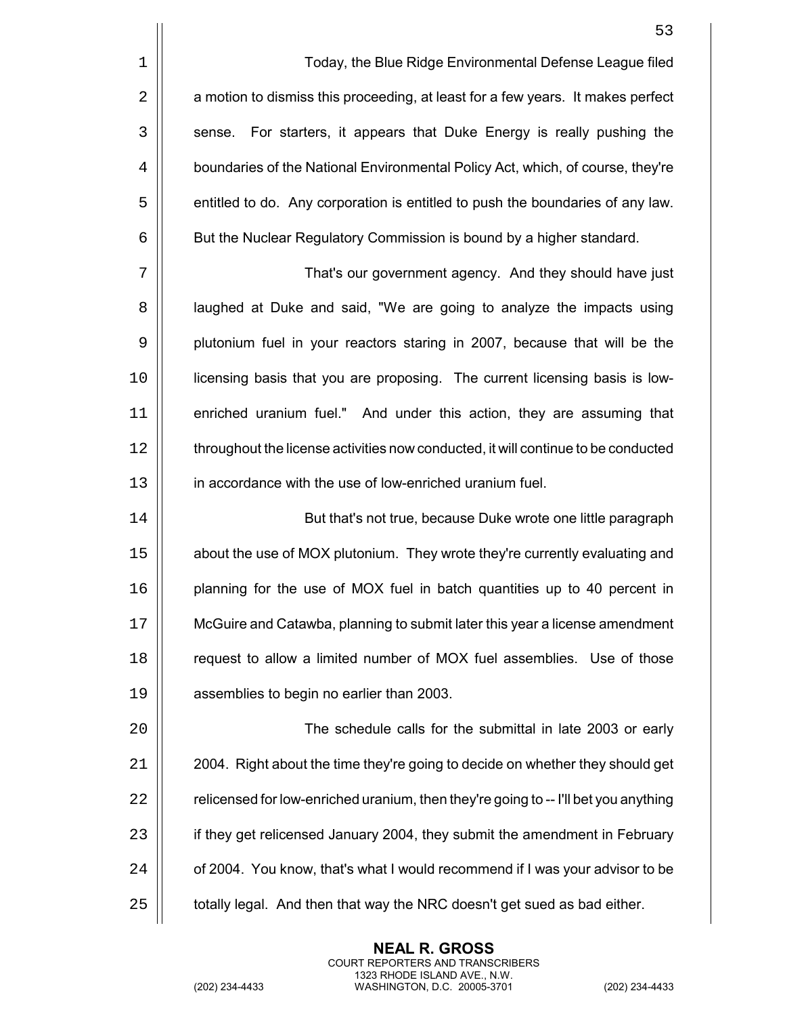|    | 53                                                                                  |
|----|-------------------------------------------------------------------------------------|
| 1  | Today, the Blue Ridge Environmental Defense League filed                            |
| 2  | a motion to dismiss this proceeding, at least for a few years. It makes perfect     |
| 3  | For starters, it appears that Duke Energy is really pushing the<br>sense.           |
| 4  | boundaries of the National Environmental Policy Act, which, of course, they're      |
| 5  | entitled to do. Any corporation is entitled to push the boundaries of any law.      |
| 6  | But the Nuclear Regulatory Commission is bound by a higher standard.                |
| 7  | That's our government agency. And they should have just                             |
| 8  | laughed at Duke and said, "We are going to analyze the impacts using                |
| 9  | plutonium fuel in your reactors staring in 2007, because that will be the           |
| 10 | licensing basis that you are proposing. The current licensing basis is low-         |
| 11 | enriched uranium fuel." And under this action, they are assuming that               |
| 12 | throughout the license activities now conducted, it will continue to be conducted   |
| 13 | in accordance with the use of low-enriched uranium fuel.                            |
| 14 | But that's not true, because Duke wrote one little paragraph                        |
| 15 | about the use of MOX plutonium. They wrote they're currently evaluating and         |
| 16 | planning for the use of MOX fuel in batch quantities up to 40 percent in            |
| 17 | McGuire and Catawba, planning to submit later this year a license amendment         |
| 18 | request to allow a limited number of MOX fuel assemblies. Use of those              |
| 19 | assemblies to begin no earlier than 2003.                                           |
| 20 | The schedule calls for the submittal in late 2003 or early                          |
| 21 | 2004. Right about the time they're going to decide on whether they should get       |
| 22 | relicensed for low-enriched uranium, then they're going to -- I'll bet you anything |
| 23 | if they get relicensed January 2004, they submit the amendment in February          |
| 24 | of 2004. You know, that's what I would recommend if I was your advisor to be        |
| 25 | totally legal. And then that way the NRC doesn't get sued as bad either.            |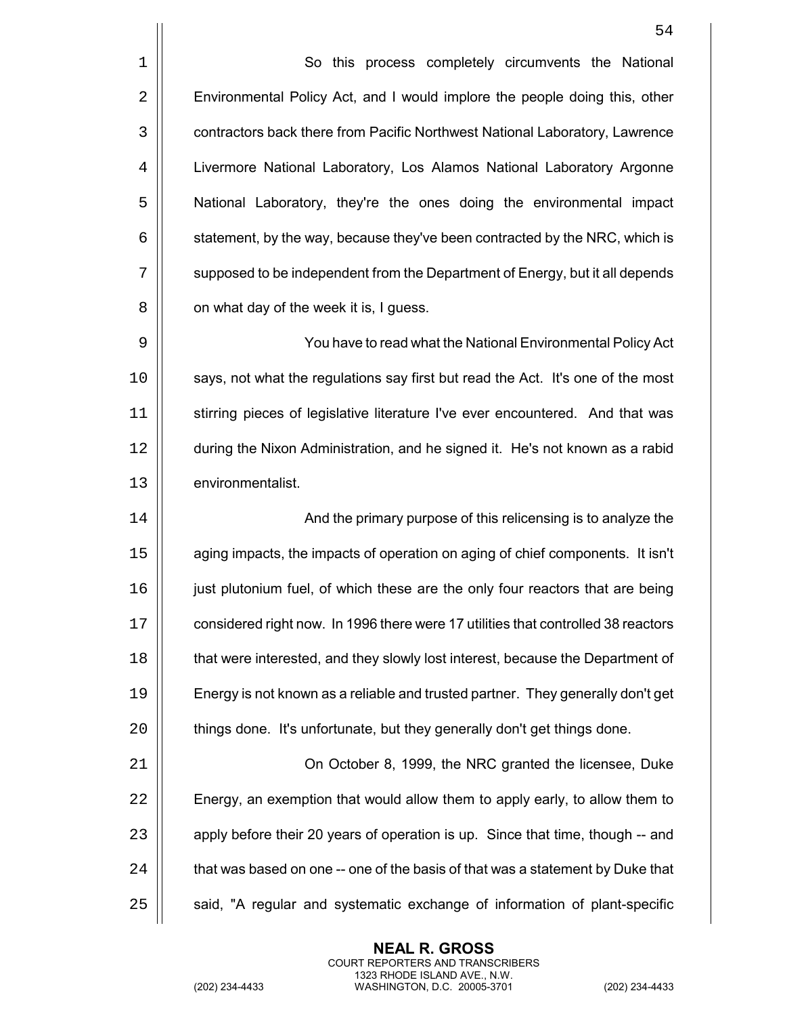1 | So this process completely circumvents the National 2 **Environmental Policy Act, and I would implore the people doing this, other** 3 | contractors back there from Pacific Northwest National Laboratory, Lawrence 4 Livermore National Laboratory, Los Alamos National Laboratory Argonne 5 | National Laboratory, they're the ones doing the environmental impact  $6 \mid$  statement, by the way, because they've been contracted by the NRC, which is 7  $\vert\vert$  supposed to be independent from the Department of Energy, but it all depends  $8 \parallel$  on what day of the week it is, I guess.

9 You have to read what the National Environmental Policy Act 10 | says, not what the regulations say first but read the Act. It's one of the most 11 | stirring pieces of legislative literature I've ever encountered. And that was 12 during the Nixon Administration, and he signed it. He's not known as a rabid 13 | environmentalist.

 And the primary purpose of this relicensing is to analyze the aging impacts, the impacts of operation on aging of chief components. It isn't just plutonium fuel, of which these are the only four reactors that are being 17 | considered right now. In 1996 there were 17 utilities that controlled 38 reactors **that were interested, and they slowly lost interest, because the Department of**  Energy is not known as a reliable and trusted partner. They generally don't get  $\parallel$  things done. It's unfortunate, but they generally don't get things done.

 On October 8, 1999, the NRC granted the licensee, Duke  $\parallel$  Energy, an exemption that would allow them to apply early, to allow them to 23 | apply before their 20 years of operation is up. Since that time, though -- and  $\parallel$  that was based on one -- one of the basis of that was a statement by Duke that  $\parallel$  said, "A regular and systematic exchange of information of plant-specific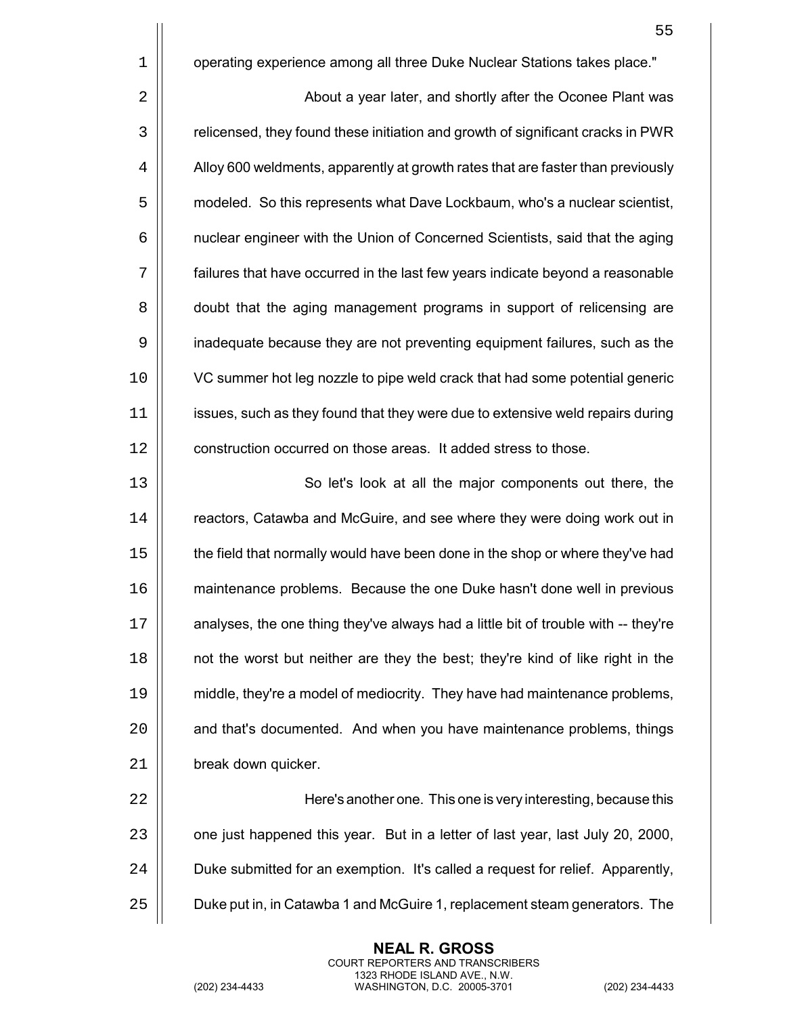|    | 55                                                                                 |
|----|------------------------------------------------------------------------------------|
| 1  | operating experience among all three Duke Nuclear Stations takes place."           |
| 2  | About a year later, and shortly after the Oconee Plant was                         |
| 3  | relicensed, they found these initiation and growth of significant cracks in PWR    |
| 4  | Alloy 600 weldments, apparently at growth rates that are faster than previously    |
| 5  | modeled. So this represents what Dave Lockbaum, who's a nuclear scientist,         |
| 6  | nuclear engineer with the Union of Concerned Scientists, said that the aging       |
| 7  | failures that have occurred in the last few years indicate beyond a reasonable     |
| 8  | doubt that the aging management programs in support of relicensing are             |
| 9  | inadequate because they are not preventing equipment failures, such as the         |
| 10 | VC summer hot leg nozzle to pipe weld crack that had some potential generic        |
| 11 | issues, such as they found that they were due to extensive weld repairs during     |
| 12 | construction occurred on those areas. It added stress to those.                    |
| 13 | So let's look at all the major components out there, the                           |
| 14 | reactors, Catawba and McGuire, and see where they were doing work out in           |
| 15 | the field that normally would have been done in the shop or where they've had      |
| 16 | maintenance problems. Because the one Duke hasn't done well in previous            |
| 17 | analyses, the one thing they've always had a little bit of trouble with -- they're |
| 18 | not the worst but neither are they the best; they're kind of like right in the     |
| 19 | middle, they're a model of mediocrity. They have had maintenance problems,         |
| 20 | and that's documented. And when you have maintenance problems, things              |
| 21 | break down quicker.                                                                |
| 22 | Here's another one. This one is very interesting, because this                     |
| 23 | one just happened this year. But in a letter of last year, last July 20, 2000,     |
| 24 | Duke submitted for an exemption. It's called a request for relief. Apparently,     |

**Duke put in, in Catawba 1 and McGuire 1, replacement steam generators. The** 

**NEAL R. GROSS** COURT REPORTERS AND TRANSCRIBERS 1323 RHODE ISLAND AVE., N.W.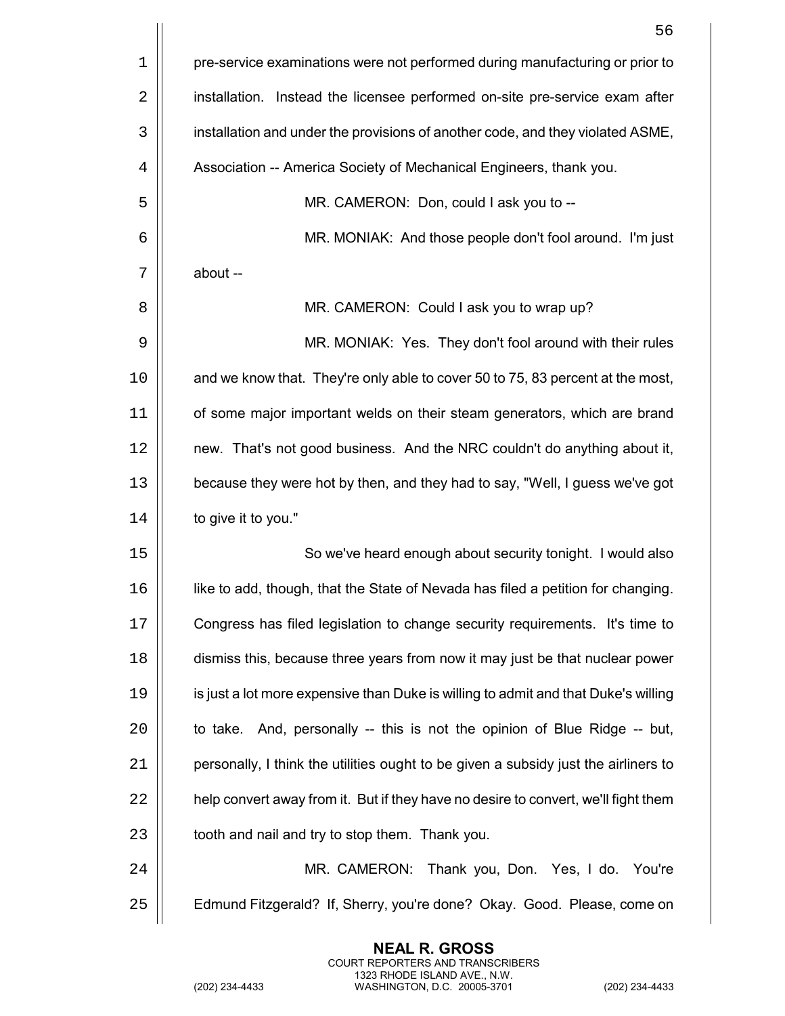|    | 56                                                                                  |
|----|-------------------------------------------------------------------------------------|
| 1  | pre-service examinations were not performed during manufacturing or prior to        |
| 2  | installation. Instead the licensee performed on-site pre-service exam after         |
| 3  | installation and under the provisions of another code, and they violated ASME,      |
| 4  | Association -- America Society of Mechanical Engineers, thank you.                  |
| 5  | MR. CAMERON: Don, could I ask you to --                                             |
| 6  | MR. MONIAK: And those people don't fool around. I'm just                            |
| 7  | about --                                                                            |
| 8  | MR. CAMERON: Could I ask you to wrap up?                                            |
| 9  | MR. MONIAK: Yes. They don't fool around with their rules                            |
| 10 | and we know that. They're only able to cover 50 to 75, 83 percent at the most,      |
| 11 | of some major important welds on their steam generators, which are brand            |
| 12 | new. That's not good business. And the NRC couldn't do anything about it,           |
| 13 | because they were hot by then, and they had to say, "Well, I guess we've got        |
| 14 | to give it to you."                                                                 |
| 15 | So we've heard enough about security tonight. I would also                          |
| 16 | like to add, though, that the State of Nevada has filed a petition for changing.    |
| 17 | Congress has filed legislation to change security requirements. It's time to        |
| 18 | dismiss this, because three years from now it may just be that nuclear power        |
| 19 | is just a lot more expensive than Duke is willing to admit and that Duke's willing  |
| 20 | to take. And, personally -- this is not the opinion of Blue Ridge -- but,           |
| 21 | personally, I think the utilities ought to be given a subsidy just the airliners to |
| 22 | help convert away from it. But if they have no desire to convert, we'll fight them  |
| 23 | tooth and nail and try to stop them. Thank you.                                     |
| 24 | MR. CAMERON: Thank you, Don. Yes, I do. You're                                      |
| 25 | Edmund Fitzgerald? If, Sherry, you're done? Okay. Good. Please, come on             |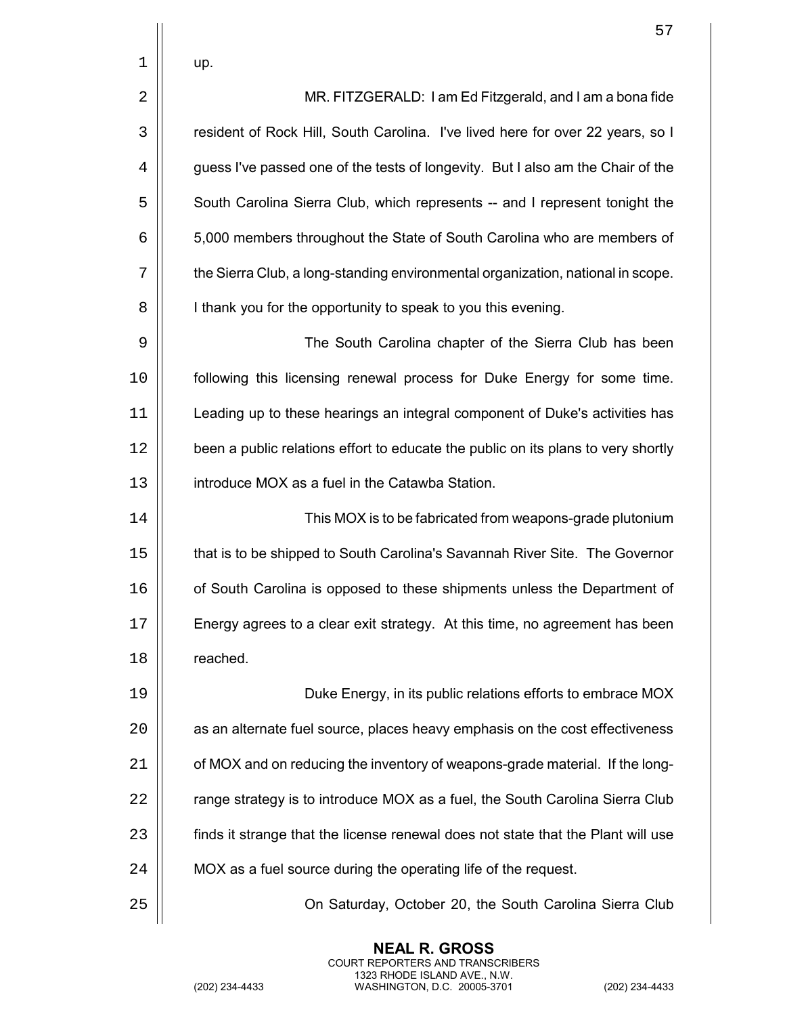2 | MR. FITZGERALD: I am Ed Fitzgerald, and I am a bona fide 3 | resident of Rock Hill, South Carolina. I've lived here for over 22 years, so I 4  $\parallel$  guess I've passed one of the tests of longevity. But I also am the Chair of the 5  $\vert$  South Carolina Sierra Club, which represents -- and I represent tonight the 6 5,000 members throughout the State of South Carolina who are members of 7 the Sierra Club, a long-standing environmental organization, national in scope. 8 | I thank you for the opportunity to speak to you this evening.

 The South Carolina chapter of the Sierra Club has been following this licensing renewal process for Duke Energy for some time. Leading up to these hearings an integral component of Duke's activities has 12 | been a public relations effort to educate the public on its plans to very shortly introduce MOX as a fuel in the Catawba Station.

14 This MOX is to be fabricated from weapons-grade plutonium 15  $\parallel$  that is to be shipped to South Carolina's Savannah River Site. The Governor 16 | of South Carolina is opposed to these shipments unless the Department of  $17$   $\parallel$  Energy agrees to a clear exit strategy. At this time, no agreement has been 18 | reached.

 Duke Energy, in its public relations efforts to embrace MOX 20 | as an alternate fuel source, places heavy emphasis on the cost effectiveness  $\parallel$  of MOX and on reducing the inventory of weapons-grade material. If the long-  $\parallel$  range strategy is to introduce MOX as a fuel, the South Carolina Sierra Club 23 | finds it strange that the license renewal does not state that the Plant will use  $\vert$  MOX as a fuel source during the operating life of the request.

> **NEAL R. GROSS** COURT REPORTERS AND TRANSCRIBERS 1323 RHODE ISLAND AVE., N.W.

25 On Saturday, October 20, the South Carolina Sierra Club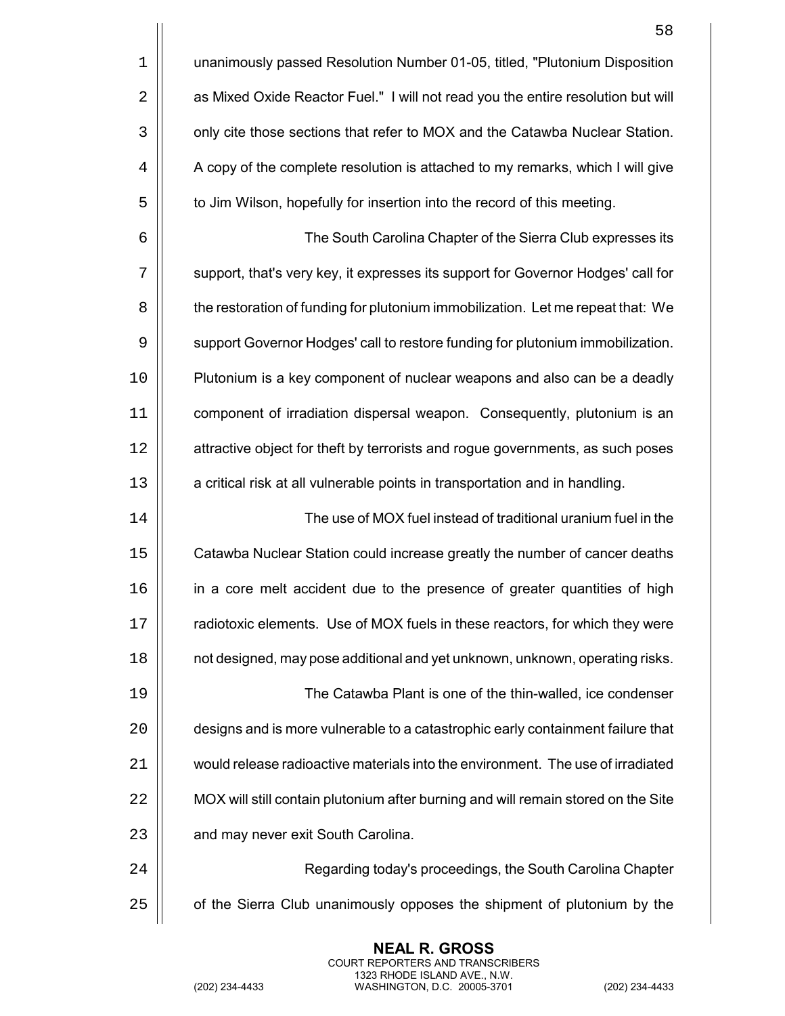|    | 58                                                                                |
|----|-----------------------------------------------------------------------------------|
| 1  | unanimously passed Resolution Number 01-05, titled, "Plutonium Disposition        |
| 2  | as Mixed Oxide Reactor Fuel." I will not read you the entire resolution but will  |
| 3  | only cite those sections that refer to MOX and the Catawba Nuclear Station.       |
| 4  | A copy of the complete resolution is attached to my remarks, which I will give    |
| 5  | to Jim Wilson, hopefully for insertion into the record of this meeting.           |
| 6  | The South Carolina Chapter of the Sierra Club expresses its                       |
| 7  | support, that's very key, it expresses its support for Governor Hodges' call for  |
| 8  | the restoration of funding for plutonium immobilization. Let me repeat that: We   |
| 9  | support Governor Hodges' call to restore funding for plutonium immobilization.    |
| 10 | Plutonium is a key component of nuclear weapons and also can be a deadly          |
| 11 | component of irradiation dispersal weapon. Consequently, plutonium is an          |
| 12 | attractive object for theft by terrorists and rogue governments, as such poses    |
| 13 | a critical risk at all vulnerable points in transportation and in handling.       |
| 14 | The use of MOX fuel instead of traditional uranium fuel in the                    |
| 15 | Catawba Nuclear Station could increase greatly the number of cancer deaths        |
| 16 | in a core melt accident due to the presence of greater quantities of high         |
| 17 | radiotoxic elements. Use of MOX fuels in these reactors, for which they were      |
| 18 | not designed, may pose additional and yet unknown, unknown, operating risks.      |
| 19 | The Catawba Plant is one of the thin-walled, ice condenser                        |
| 20 | designs and is more vulnerable to a catastrophic early containment failure that   |
| 21 | would release radioactive materials into the environment. The use of irradiated   |
| 22 | MOX will still contain plutonium after burning and will remain stored on the Site |
| 23 | and may never exit South Carolina.                                                |
| 24 | Regarding today's proceedings, the South Carolina Chapter                         |
| 25 | of the Sierra Club unanimously opposes the shipment of plutonium by the           |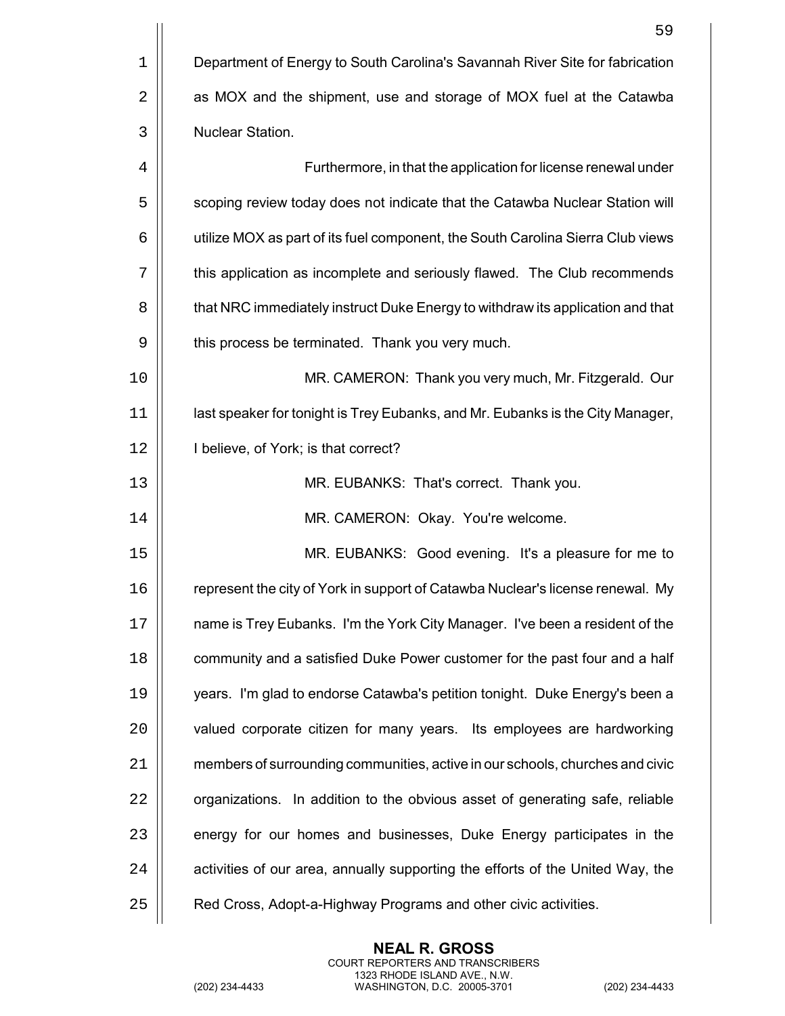|    | 59                                                                              |
|----|---------------------------------------------------------------------------------|
| 1  | Department of Energy to South Carolina's Savannah River Site for fabrication    |
| 2  | as MOX and the shipment, use and storage of MOX fuel at the Catawba             |
| 3  | Nuclear Station.                                                                |
| 4  | Furthermore, in that the application for license renewal under                  |
| 5  | scoping review today does not indicate that the Catawba Nuclear Station will    |
| 6  | utilize MOX as part of its fuel component, the South Carolina Sierra Club views |
| 7  | this application as incomplete and seriously flawed. The Club recommends        |
| 8  | that NRC immediately instruct Duke Energy to withdraw its application and that  |
| 9  | this process be terminated. Thank you very much.                                |
| 10 | MR. CAMERON: Thank you very much, Mr. Fitzgerald. Our                           |
| 11 | last speaker for tonight is Trey Eubanks, and Mr. Eubanks is the City Manager,  |
| 12 | I believe, of York; is that correct?                                            |
| 13 | MR. EUBANKS: That's correct. Thank you.                                         |
| 14 | MR. CAMERON: Okay. You're welcome.                                              |
| 15 | MR. EUBANKS: Good evening. It's a pleasure for me to                            |
| 16 | represent the city of York in support of Catawba Nuclear's license renewal. My  |
| 17 | name is Trey Eubanks. I'm the York City Manager. I've been a resident of the    |
| 18 | community and a satisfied Duke Power customer for the past four and a half      |
| 19 | years. I'm glad to endorse Catawba's petition tonight. Duke Energy's been a     |
| 20 | valued corporate citizen for many years. Its employees are hardworking          |
| 21 | members of surrounding communities, active in our schools, churches and civic   |
| 22 | organizations. In addition to the obvious asset of generating safe, reliable    |
| 23 | energy for our homes and businesses, Duke Energy participates in the            |
| 24 | activities of our area, annually supporting the efforts of the United Way, the  |
| 25 | Red Cross, Adopt-a-Highway Programs and other civic activities.                 |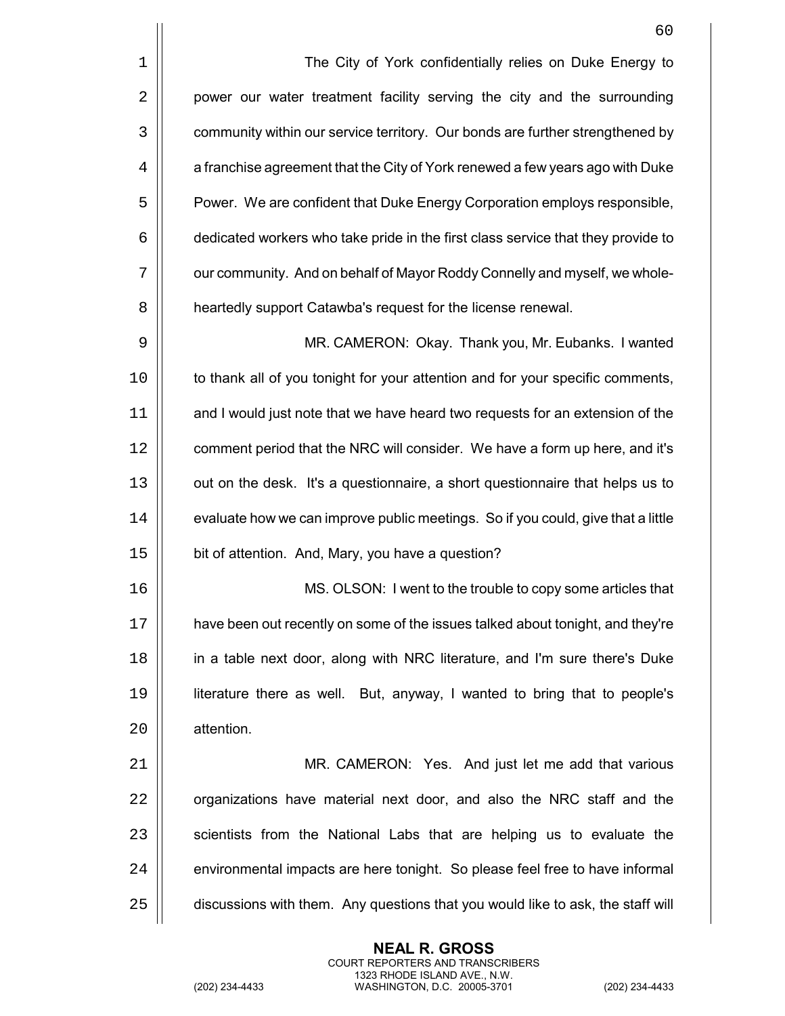|             | 60                                                                               |
|-------------|----------------------------------------------------------------------------------|
| $\mathbf 1$ | The City of York confidentially relies on Duke Energy to                         |
| 2           | power our water treatment facility serving the city and the surrounding          |
| 3           | community within our service territory. Our bonds are further strengthened by    |
| 4           | a franchise agreement that the City of York renewed a few years ago with Duke    |
| 5           | Power. We are confident that Duke Energy Corporation employs responsible,        |
| 6           | dedicated workers who take pride in the first class service that they provide to |
| 7           | our community. And on behalf of Mayor Roddy Connelly and myself, we whole-       |
| 8           | heartedly support Catawba's request for the license renewal.                     |
| 9           | MR. CAMERON: Okay. Thank you, Mr. Eubanks. I wanted                              |
| 0           | to thank all of you tonight for your attention and for your specific comments,   |
| 1           | and I would just note that we have heard two requests for an extension of the    |
| 2           | comment period that the NRC will consider. We have a form up here, and it's      |
| 3           | out on the desk. It's a questionnaire, a short questionnaire that helps us to    |
| 4           | evaluate how we can improve public meetings. So if you could, give that a little |
| 5           | bit of attention. And, Mary, you have a question?                                |
|             |                                                                                  |
| 6           | MS. OLSON: I went to the trouble to copy some articles that                      |
| 7           | have been out recently on some of the issues talked about tonight, and they're   |
| 8           | in a table next door, along with NRC literature, and I'm sure there's Duke       |

17 | have been out recently on some of the issues talked about tonight, and they're 18 in a table next door, along with NRC literature, and I'm sure there's Duke 19 | literature there as well. But, anyway, I wanted to bring that to people's 20 | attention.

21 | MR. CAMERON: Yes. And just let me add that various  $\parallel$  organizations have material next door, and also the NRC staff and the  $\parallel$  scientists from the National Labs that are helping us to evaluate the  $\parallel$  environmental impacts are here tonight. So please feel free to have informal  $\vert$  discussions with them. Any questions that you would like to ask, the staff will

> **NEAL R. GROSS** COURT REPORTERS AND TRANSCRIBERS 1323 RHODE ISLAND AVE., N.W.

(202) 234-4433 WASHINGTON, D.C. 20005-3701 (202) 234-4433